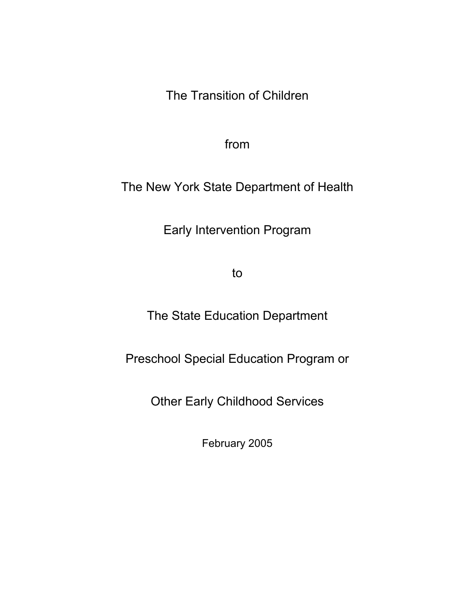The Transition of Children

from

The New York State Department of Health

Early Intervention Program

to

The State Education Department

Preschool Special Education Program or

Other Early Childhood Services

February 2005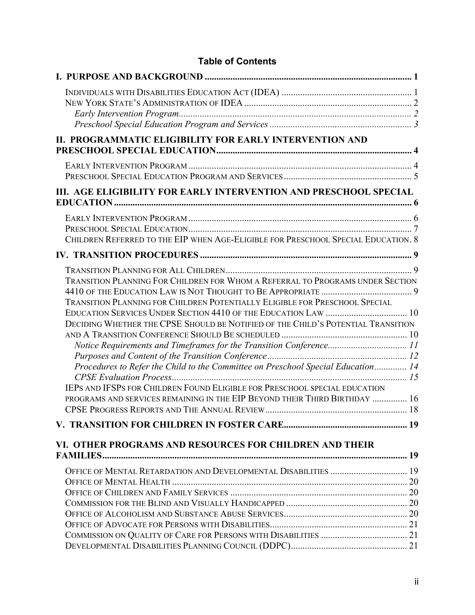| II. PROGRAMMATIC ELIGIBILITY FOR EARLY INTERVENTION AND                                                                                                                                                                                                                                                                                                                                                                                                                                                                                                                                                                                   |  |
|-------------------------------------------------------------------------------------------------------------------------------------------------------------------------------------------------------------------------------------------------------------------------------------------------------------------------------------------------------------------------------------------------------------------------------------------------------------------------------------------------------------------------------------------------------------------------------------------------------------------------------------------|--|
|                                                                                                                                                                                                                                                                                                                                                                                                                                                                                                                                                                                                                                           |  |
| III. AGE ELIGIBILITY FOR EARLY INTERVENTION AND PRESCHOOL SPECIAL                                                                                                                                                                                                                                                                                                                                                                                                                                                                                                                                                                         |  |
| CHILDREN REFERRED TO THE EIP WHEN AGE-ELIGIBLE FOR PRESCHOOL SPECIAL EDUCATION. 8                                                                                                                                                                                                                                                                                                                                                                                                                                                                                                                                                         |  |
|                                                                                                                                                                                                                                                                                                                                                                                                                                                                                                                                                                                                                                           |  |
| TRANSITION PLANNING FOR CHILDREN FOR WHOM A REFERRAL TO PROGRAMS UNDER SECTION<br>TRANSITION PLANNING FOR CHILDREN POTENTIALLY ELIGIBLE FOR PRESCHOOL SPECIAL<br>EDUCATION SERVICES UNDER SECTION 4410 OF THE EDUCATION LAW  10<br>DECIDING WHETHER THE CPSE SHOULD BE NOTIFIED OF THE CHILD'S POTENTIAL TRANSITION<br>Notice Requirements and Timeframes for the Transition Conference11<br>Procedures to Refer the Child to the Committee on Preschool Special Education 14<br>IEPS AND IFSPS FOR CHILDREN FOUND ELIGIBLE FOR PRESCHOOL SPECIAL EDUCATION<br>PROGRAMS AND SERVICES REMAINING IN THE EIP BEYOND THEIR THIRD BIRTHDAY  16 |  |
| VI. OTHER PROGRAMS AND RESOURCES FOR CHILDREN AND THEIR                                                                                                                                                                                                                                                                                                                                                                                                                                                                                                                                                                                   |  |
| OFFICE OF MENTAL RETARDATION AND DEVELOPMENTAL DISABILITIES  19                                                                                                                                                                                                                                                                                                                                                                                                                                                                                                                                                                           |  |
|                                                                                                                                                                                                                                                                                                                                                                                                                                                                                                                                                                                                                                           |  |
|                                                                                                                                                                                                                                                                                                                                                                                                                                                                                                                                                                                                                                           |  |
|                                                                                                                                                                                                                                                                                                                                                                                                                                                                                                                                                                                                                                           |  |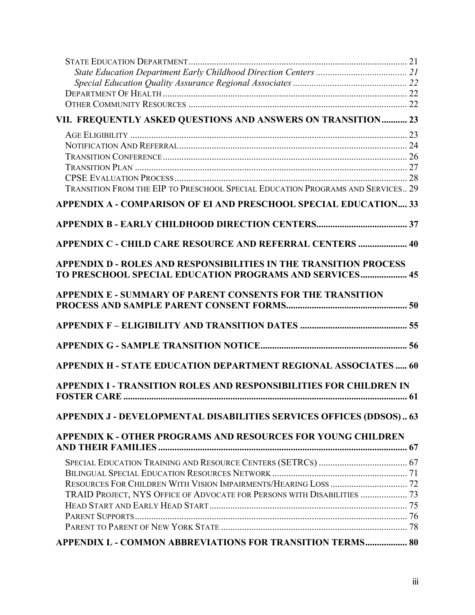| VII. FREQUENTLY ASKED QUESTIONS AND ANSWERS ON TRANSITION 23                                                                        |  |
|-------------------------------------------------------------------------------------------------------------------------------------|--|
|                                                                                                                                     |  |
|                                                                                                                                     |  |
|                                                                                                                                     |  |
|                                                                                                                                     |  |
| TRANSITION FROM THE EIP TO PRESCHOOL SPECIAL EDUCATION PROGRAMS AND SERVICES 29                                                     |  |
| APPENDIX A - COMPARISON OF EI AND PRESCHOOL SPECIAL EDUCATION 33                                                                    |  |
|                                                                                                                                     |  |
|                                                                                                                                     |  |
| <b>APPENDIX C - CHILD CARE RESOURCE AND REFERRAL CENTERS  40</b>                                                                    |  |
| APPENDIX D - ROLES AND RESPONSIBILITIES IN THE TRANSITION PROCESS<br><b>TO PRESCHOOL SPECIAL EDUCATION PROGRAMS AND SERVICES 45</b> |  |
|                                                                                                                                     |  |
| APPENDIX E - SUMMARY OF PARENT CONSENTS FOR THE TRANSITION                                                                          |  |
|                                                                                                                                     |  |
|                                                                                                                                     |  |
|                                                                                                                                     |  |
| <b>APPENDIX H - STATE EDUCATION DEPARTMENT REGIONAL ASSOCIATES  60</b>                                                              |  |
| <b>APPENDIX I - TRANSITION ROLES AND RESPONSIBILITIES FOR CHILDREN IN</b>                                                           |  |
|                                                                                                                                     |  |
| APPENDIX J - DEVELOPMENTAL DISABILITIES SERVICES OFFICES (DDSOS) 63                                                                 |  |
| APPENDIX K - OTHER PROGRAMS AND RESOURCES FOR YOUNG CHILDREN                                                                        |  |
|                                                                                                                                     |  |
|                                                                                                                                     |  |
|                                                                                                                                     |  |
|                                                                                                                                     |  |
| TRAID PROJECT, NYS OFFICE OF ADVOCATE FOR PERSONS WITH DISABILITIES  73                                                             |  |
|                                                                                                                                     |  |
|                                                                                                                                     |  |
|                                                                                                                                     |  |
| APPENDIX L - COMMON ABBREVIATIONS FOR TRANSITION TERMS 80                                                                           |  |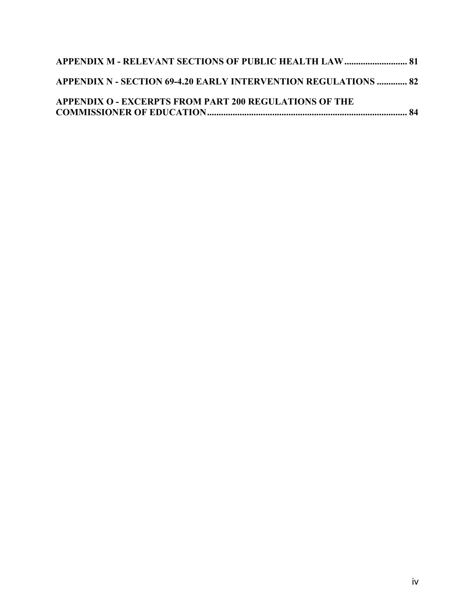| <b>APPENDIX M - RELEVANT SECTIONS OF PUBLIC HEALTH LAW  81</b>  |  |
|-----------------------------------------------------------------|--|
| APPENDIX N - SECTION 69-4.20 EARLY INTERVENTION REGULATIONS  82 |  |
| <b>APPENDIX O - EXCERPTS FROM PART 200 REGULATIONS OF THE</b>   |  |
|                                                                 |  |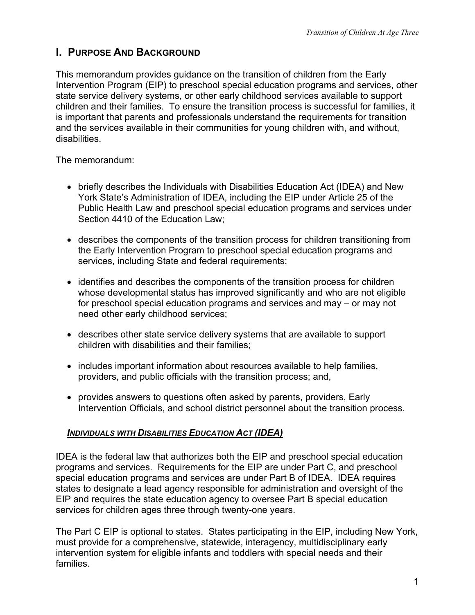# <span id="page-4-0"></span>**I. PURPOSE AND BACKGROUND**

This memorandum provides guidance on the transition of children from the Early Intervention Program (EIP) to preschool special education programs and services, other state service delivery systems, or other early childhood services available to support children and their families. To ensure the transition process is successful for families, it is important that parents and professionals understand the requirements for transition and the services available in their communities for young children with, and without, disabilities.

The memorandum:

- briefly describes the Individuals with Disabilities Education Act (IDEA) and New York State's Administration of IDEA, including the EIP under Article 25 of the Public Health Law and preschool special education programs and services under Section 4410 of the Education Law;
- describes the components of the transition process for children transitioning from the Early Intervention Program to preschool special education programs and services, including State and federal requirements;
- identifies and describes the components of the transition process for children whose developmental status has improved significantly and who are not eligible for preschool special education programs and services and may – or may not need other early childhood services;
- describes other state service delivery systems that are available to support children with disabilities and their families;
- includes important information about resources available to help families, providers, and public officials with the transition process; and,
- provides answers to questions often asked by parents, providers, Early Intervention Officials, and school district personnel about the transition process.

# *INDIVIDUALS WITH DISABILITIES EDUCATION ACT (IDEA)*

IDEA is the federal law that authorizes both the EIP and preschool special education programs and services. Requirements for the EIP are under Part C, and preschool special education programs and services are under Part B of IDEA. IDEA requires states to designate a lead agency responsible for administration and oversight of the EIP and requires the state education agency to oversee Part B special education services for children ages three through twenty-one years.

The Part C EIP is optional to states. States participating in the EIP, including New York, must provide for a comprehensive, statewide, interagency, multidisciplinary early intervention system for eligible infants and toddlers with special needs and their families.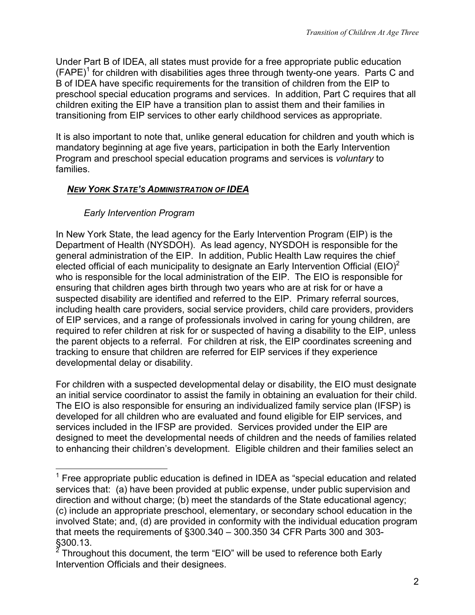<span id="page-5-0"></span>Under Part B of IDEA, all states must provide for a free appropriate public education  $(FAPE)^1$  $(FAPE)^1$  for children with disabilities ages three through twenty-one years. Parts C and B of IDEA have specific requirements for the transition of children from the EIP to preschool special education programs and services. In addition, Part C requires that all children exiting the EIP have a transition plan to assist them and their families in transitioning from EIP services to other early childhood services as appropriate.

It is also important to note that, unlike general education for children and youth which is mandatory beginning at age five years, participation in both the Early Intervention Program and preschool special education programs and services is *voluntary* to families.

# *NEW YORK STATE'S ADMINISTRATION OF IDEA*

# *Early Intervention Program*

In New York State, the lead agency for the Early Intervention Program (EIP) is the Department of Health (NYSDOH). As lead agency, NYSDOH is responsible for the general administration of the EIP. In addition, Public Health Law requires the chief elected official of each municipality to designate an Early Intervention Official (EIO)<sup>[2](#page-5-2)</sup> who is responsible for the local administration of the EIP. The EIO is responsible for ensuring that children ages birth through two years who are at risk for or have a suspected disability are identified and referred to the EIP. Primary referral sources, including health care providers, social service providers, child care providers, providers of EIP services, and a range of professionals involved in caring for young children, are required to refer children at risk for or suspected of having a disability to the EIP, unless the parent objects to a referral. For children at risk, the EIP coordinates screening and tracking to ensure that children are referred for EIP services if they experience developmental delay or disability.

For children with a suspected developmental delay or disability, the EIO must designate an initial service coordinator to assist the family in obtaining an evaluation for their child. The EIO is also responsible for ensuring an individualized family service plan (IFSP) is developed for all children who are evaluated and found eligible for EIP services, and services included in the IFSP are provided. Services provided under the EIP are designed to meet the developmental needs of children and the needs of families related to enhancing their children's development. Eligible children and their families select an

<span id="page-5-1"></span><sup>————————————————————&</sup>lt;br><sup>1</sup> Free appropriate public education is defined in IDEA as "special education and related services that: (a) have been provided at public expense, under public supervision and direction and without charge; (b) meet the standards of the State educational agency; (c) include an appropriate preschool, elementary, or secondary school education in the involved State; and, (d) are provided in conformity with the individual education program that meets the requirements of §300.340 – 300.350 34 CFR Parts 300 and 303-

<span id="page-5-2"></span><sup>§300.13.&</sup>lt;br><sup>2</sup> Throughout this document, the term "EIO" will be used to reference both Early Intervention Officials and their designees.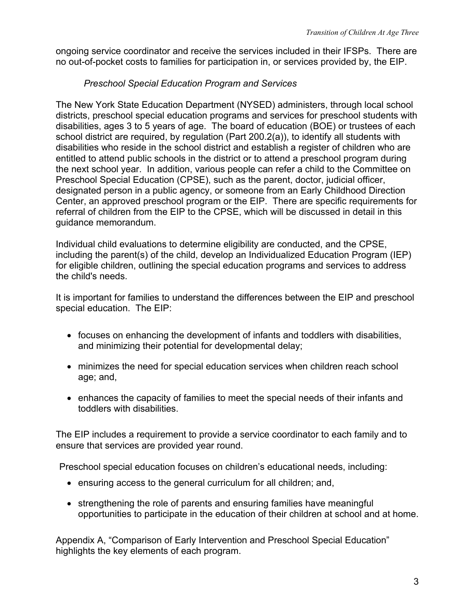<span id="page-6-0"></span>ongoing service coordinator and receive the services included in their IFSPs. There are no out-of-pocket costs to families for participation in, or services provided by, the EIP.

## *Preschool Special Education Program and Services*

The New York State Education Department (NYSED) administers, through local school districts, preschool special education programs and services for preschool students with disabilities, ages 3 to 5 years of age. The board of education (BOE) or trustees of each school district are required, by regulation (Part 200.2(a)), to identify all students with disabilities who reside in the school district and establish a register of children who are entitled to attend public schools in the district or to attend a preschool program during the next school year. In addition, various people can refer a child to the Committee on Preschool Special Education (CPSE), such as the parent, doctor, judicial officer, designated person in a public agency, or someone from an Early Childhood Direction Center, an approved preschool program or the EIP. There are specific requirements for referral of children from the EIP to the CPSE, which will be discussed in detail in this guidance memorandum.

Individual child evaluations to determine eligibility are conducted, and the CPSE, including the parent(s) of the child, develop an Individualized Education Program (IEP) for eligible children, outlining the special education programs and services to address the child's needs.

It is important for families to understand the differences between the EIP and preschool special education. The EIP:

- focuses on enhancing the development of infants and toddlers with disabilities, and minimizing their potential for developmental delay;
- minimizes the need for special education services when children reach school age; and,
- enhances the capacity of families to meet the special needs of their infants and toddlers with disabilities.

The EIP includes a requirement to provide a service coordinator to each family and to ensure that services are provided year round.

Preschool special education focuses on children's educational needs, including:

- ensuring access to the general curriculum for all children; and,
- strengthening the role of parents and ensuring families have meaningful opportunities to participate in the education of their children at school and at home.

Appendix A, "Comparison of Early Intervention and Preschool Special Education" highlights the key elements of each program.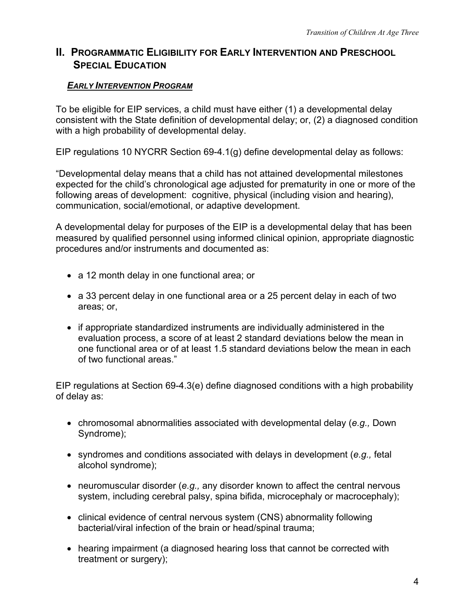# <span id="page-7-0"></span>**II. PROGRAMMATIC ELIGIBILITY FOR EARLY INTERVENTION AND PRESCHOOL SPECIAL EDUCATION**

### *EARLY INTERVENTION PROGRAM*

To be eligible for EIP services, a child must have either (1) a developmental delay consistent with the State definition of developmental delay; or, (2) a diagnosed condition with a high probability of developmental delay.

EIP regulations 10 NYCRR Section 69-4.1(g) define developmental delay as follows:

"Developmental delay means that a child has not attained developmental milestones expected for the child's chronological age adjusted for prematurity in one or more of the following areas of development: cognitive, physical (including vision and hearing), communication, social/emotional, or adaptive development.

A developmental delay for purposes of the EIP is a developmental delay that has been measured by qualified personnel using informed clinical opinion, appropriate diagnostic procedures and/or instruments and documented as:

- a 12 month delay in one functional area; or
- a 33 percent delay in one functional area or a 25 percent delay in each of two areas; or,
- if appropriate standardized instruments are individually administered in the evaluation process, a score of at least 2 standard deviations below the mean in one functional area or of at least 1.5 standard deviations below the mean in each of two functional areas."

EIP regulations at Section 69-4.3(e) define diagnosed conditions with a high probability of delay as:

- chromosomal abnormalities associated with developmental delay (*e.g.,* Down Syndrome);
- syndromes and conditions associated with delays in development (*e.g.,* fetal alcohol syndrome);
- neuromuscular disorder (*e.g.,* any disorder known to affect the central nervous system, including cerebral palsy, spina bifida, microcephaly or macrocephaly);
- clinical evidence of central nervous system (CNS) abnormality following bacterial/viral infection of the brain or head/spinal trauma;
- hearing impairment (a diagnosed hearing loss that cannot be corrected with treatment or surgery);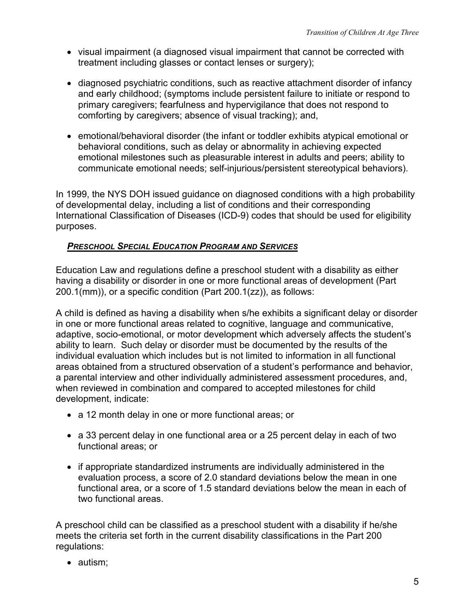- <span id="page-8-0"></span>• visual impairment (a diagnosed visual impairment that cannot be corrected with treatment including glasses or contact lenses or surgery);
- diagnosed psychiatric conditions, such as reactive attachment disorder of infancy and early childhood; (symptoms include persistent failure to initiate or respond to primary caregivers; fearfulness and hypervigilance that does not respond to comforting by caregivers; absence of visual tracking); and,
- emotional/behavioral disorder (the infant or toddler exhibits atypical emotional or behavioral conditions, such as delay or abnormality in achieving expected emotional milestones such as pleasurable interest in adults and peers; ability to communicate emotional needs; self-injurious/persistent stereotypical behaviors).

In 1999, the NYS DOH issued guidance on diagnosed conditions with a high probability of developmental delay, including a list of conditions and their corresponding International Classification of Diseases (ICD-9) codes that should be used for eligibility purposes.

# *PRESCHOOL SPECIAL EDUCATION PROGRAM AND SERVICES*

Education Law and regulations define a preschool student with a disability as either having a disability or disorder in one or more functional areas of development (Part 200.1(mm)), or a specific condition (Part 200.1(zz)), as follows:

A child is defined as having a disability when s/he exhibits a significant delay or disorder in one or more functional areas related to cognitive, language and communicative, adaptive, socio-emotional, or motor development which adversely affects the student's ability to learn. Such delay or disorder must be documented by the results of the individual evaluation which includes but is not limited to information in all functional areas obtained from a structured observation of a student's performance and behavior, a parental interview and other individually administered assessment procedures, and, when reviewed in combination and compared to accepted milestones for child development, indicate:

- a 12 month delay in one or more functional areas; or
- a 33 percent delay in one functional area or a 25 percent delay in each of two functional areas; or
- if appropriate standardized instruments are individually administered in the evaluation process, a score of 2.0 standard deviations below the mean in one functional area, or a score of 1.5 standard deviations below the mean in each of two functional areas.

A preschool child can be classified as a preschool student with a disability if he/she meets the criteria set forth in the current disability classifications in the Part 200 regulations:

• autism;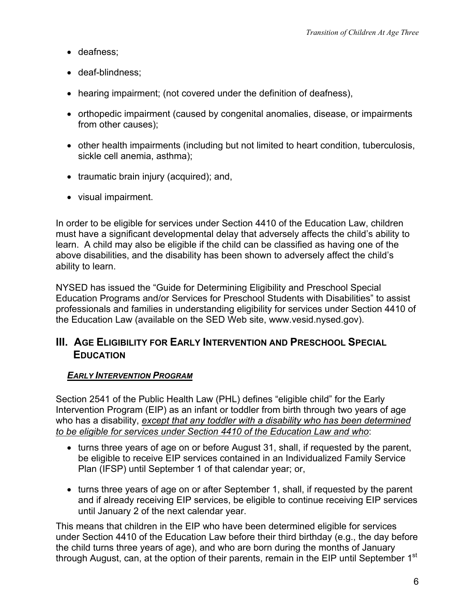- <span id="page-9-0"></span>• deafness;
- deaf-blindness;
- hearing impairment; (not covered under the definition of deafness),
- orthopedic impairment (caused by congenital anomalies, disease, or impairments from other causes);
- other health impairments (including but not limited to heart condition, tuberculosis, sickle cell anemia, asthma);
- traumatic brain injury (acquired); and,
- visual impairment.

In order to be eligible for services under Section 4410 of the Education Law, children must have a significant developmental delay that adversely affects the child's ability to learn. A child may also be eligible if the child can be classified as having one of the above disabilities, and the disability has been shown to adversely affect the child's ability to learn.

NYSED has issued the "Guide for Determining Eligibility and Preschool Special Education Programs and/or Services for Preschool Students with Disabilities" to assist professionals and families in understanding eligibility for services under Section 4410 of the Education Law (available on the SED Web site, www.vesid.nysed.gov).

# **III. AGE ELIGIBILITY FOR EARLY INTERVENTION AND PRESCHOOL SPECIAL EDUCATION**

### *EARLY INTERVENTION PROGRAM*

Section 2541 of the Public Health Law (PHL) defines "eligible child" for the Early Intervention Program (EIP) as an infant or toddler from birth through two years of age who has a disability, *except that any toddler with a disability who has been determined to be eligible for services under Section 4410 of the Education Law and who*:

- turns three years of age on or before August 31, shall, if requested by the parent, be eligible to receive EIP services contained in an Individualized Family Service Plan (IFSP) until September 1 of that calendar year; or,
- turns three years of age on or after September 1, shall, if requested by the parent and if already receiving EIP services, be eligible to continue receiving EIP services until January 2 of the next calendar year.

This means that children in the EIP who have been determined eligible for services under Section 4410 of the Education Law before their third birthday (e.g., the day before the child turns three years of age), and who are born during the months of January through August, can, at the option of their parents, remain in the EIP until September 1<sup>st</sup>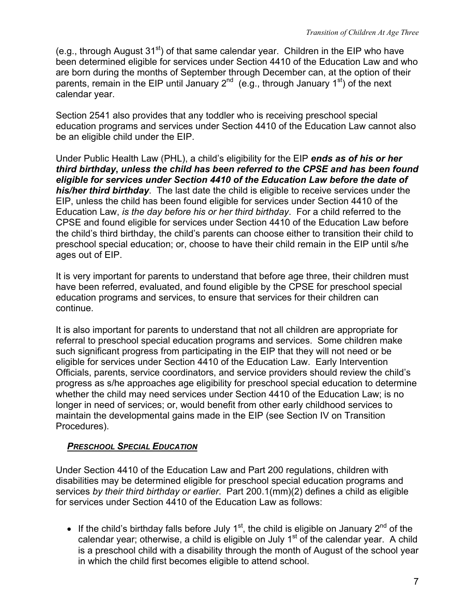<span id="page-10-0"></span>(e.g., through August  $31<sup>st</sup>$ ) of that same calendar year. Children in the EIP who have been determined eligible for services under Section 4410 of the Education Law and who are born during the months of September through December can, at the option of their parents, remain in the EIP until January  $2^{nd}$  (e.g., through January  $1^{st}$ ) of the next calendar year.

Section 2541 also provides that any toddler who is receiving preschool special education programs and services under Section 4410 of the Education Law cannot also be an eligible child under the EIP.

Under Public Health Law (PHL), a child's eligibility for the EIP *ends as of his or her third birthday***,** *unless the child has been referred to the CPSE and has been found eligible for services under Section 4410 of the Education Law before the date of his/her third birthday*. The last date the child is eligible to receive services under the EIP, unless the child has been found eligible for services under Section 4410 of the Education Law, *is the day before his or her third birthday*. For a child referred to the CPSE and found eligible for services under Section 4410 of the Education Law before the child's third birthday, the child's parents can choose either to transition their child to preschool special education; or, choose to have their child remain in the EIP until s/he ages out of EIP.

It is very important for parents to understand that before age three, their children must have been referred, evaluated, and found eligible by the CPSE for preschool special education programs and services, to ensure that services for their children can continue.

It is also important for parents to understand that not all children are appropriate for referral to preschool special education programs and services. Some children make such significant progress from participating in the EIP that they will not need or be eligible for services under Section 4410 of the Education Law. Early Intervention Officials, parents, service coordinators, and service providers should review the child's progress as s/he approaches age eligibility for preschool special education to determine whether the child may need services under Section 4410 of the Education Law; is no longer in need of services; or, would benefit from other early childhood services to maintain the developmental gains made in the EIP (see Section IV on Transition Procedures).

#### *PRESCHOOL SPECIAL EDUCATION*

Under Section 4410 of the Education Law and Part 200 regulations, children with disabilities may be determined eligible for preschool special education programs and services *by their third birthday or earlier*. Part 200.1(mm)(2) defines a child as eligible for services under Section 4410 of the Education Law as follows:

• If the child's birthday falls before July  $1<sup>st</sup>$ , the child is eligible on January  $2<sup>nd</sup>$  of the calendar year; otherwise, a child is eligible on July  $1<sup>st</sup>$  of the calendar year. A child is a preschool child with a disability through the month of August of the school year in which the child first becomes eligible to attend school.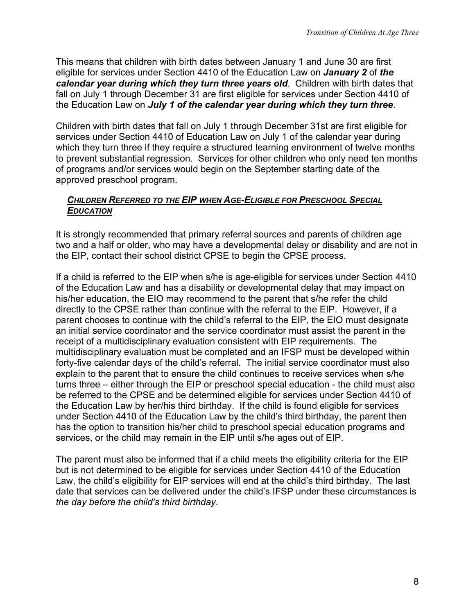<span id="page-11-0"></span>This means that children with birth dates between January 1 and June 30 are first eligible for services under Section 4410 of the Education Law on *January 2* of *the calendar year during which they turn three years old*. Children with birth dates that fall on July 1 through December 31 are first eligible for services under Section 4410 of the Education Law on *July 1 of the calendar year during which they turn three*.

Children with birth dates that fall on July 1 through December 31st are first eligible for services under Section 4410 of Education Law on July 1 of the calendar year during which they turn three if they require a structured learning environment of twelve months to prevent substantial regression. Services for other children who only need ten months of programs and/or services would begin on the September starting date of the approved preschool program.

#### *CHILDREN REFERRED TO THE EIP WHEN AGE-ELIGIBLE FOR PRESCHOOL SPECIAL EDUCATION*

It is strongly recommended that primary referral sources and parents of children age two and a half or older, who may have a developmental delay or disability and are not in the EIP, contact their school district CPSE to begin the CPSE process.

If a child is referred to the EIP when s/he is age-eligible for services under Section 4410 of the Education Law and has a disability or developmental delay that may impact on his/her education, the EIO may recommend to the parent that s/he refer the child directly to the CPSE rather than continue with the referral to the EIP. However, if a parent chooses to continue with the child's referral to the EIP, the EIO must designate an initial service coordinator and the service coordinator must assist the parent in the receipt of a multidisciplinary evaluation consistent with EIP requirements. The multidisciplinary evaluation must be completed and an IFSP must be developed within forty-five calendar days of the child's referral. The initial service coordinator must also explain to the parent that to ensure the child continues to receive services when s/he turns three – either through the EIP or preschool special education - the child must also be referred to the CPSE and be determined eligible for services under Section 4410 of the Education Law by her/his third birthday. If the child is found eligible for services under Section 4410 of the Education Law by the child's third birthday, the parent then has the option to transition his/her child to preschool special education programs and services, or the child may remain in the EIP until s/he ages out of EIP.

The parent must also be informed that if a child meets the eligibility criteria for the EIP but is not determined to be eligible for services under Section 4410 of the Education Law, the child's eligibility for EIP services will end at the child's third birthday. The last date that services can be delivered under the child's IFSP under these circumstances is *the day before the child's third birthday*.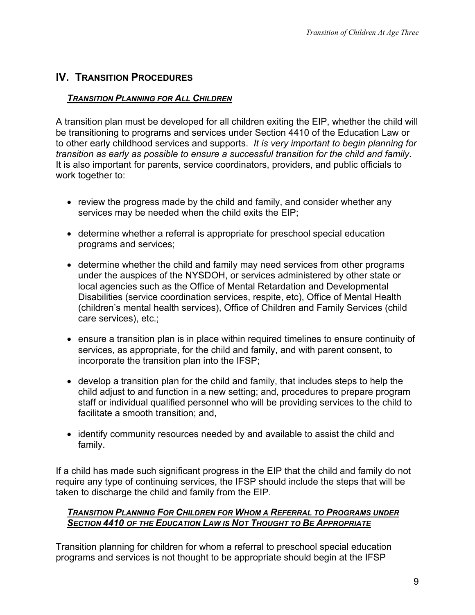# <span id="page-12-0"></span>**IV. TRANSITION PROCEDURES**

### *TRANSITION PLANNING FOR ALL CHILDREN*

A transition plan must be developed for all children exiting the EIP, whether the child will be transitioning to programs and services under Section 4410 of the Education Law or to other early childhood services and supports. *It is very important to begin planning for transition as early as possible to ensure a successful transition for the child and family*. It is also important for parents, service coordinators, providers, and public officials to work together to:

- review the progress made by the child and family, and consider whether any services may be needed when the child exits the EIP;
- determine whether a referral is appropriate for preschool special education programs and services;
- determine whether the child and family may need services from other programs under the auspices of the NYSDOH, or services administered by other state or local agencies such as the Office of Mental Retardation and Developmental Disabilities (service coordination services, respite, etc), Office of Mental Health (children's mental health services), Office of Children and Family Services (child care services), etc.;
- ensure a transition plan is in place within required timelines to ensure continuity of services, as appropriate, for the child and family, and with parent consent, to incorporate the transition plan into the IFSP;
- develop a transition plan for the child and family, that includes steps to help the child adjust to and function in a new setting; and, procedures to prepare program staff or individual qualified personnel who will be providing services to the child to facilitate a smooth transition; and,
- identify community resources needed by and available to assist the child and family.

If a child has made such significant progress in the EIP that the child and family do not require any type of continuing services, the IFSP should include the steps that will be taken to discharge the child and family from the EIP.

### *TRANSITION PLANNING FOR CHILDREN FOR WHOM A REFERRAL TO PROGRAMS UNDER SECTION 4410 OF THE EDUCATION LAW IS NOT THOUGHT TO BE APPROPRIATE*

Transition planning for children for whom a referral to preschool special education programs and services is not thought to be appropriate should begin at the IFSP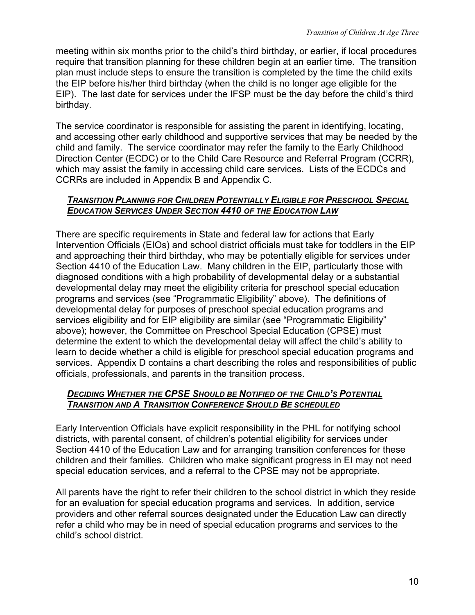<span id="page-13-0"></span>meeting within six months prior to the child's third birthday, or earlier, if local procedures require that transition planning for these children begin at an earlier time. The transition plan must include steps to ensure the transition is completed by the time the child exits the EIP before his/her third birthday (when the child is no longer age eligible for the EIP). The last date for services under the IFSP must be the day before the child's third birthday.

The service coordinator is responsible for assisting the parent in identifying, locating, and accessing other early childhood and supportive services that may be needed by the child and family. The service coordinator may refer the family to the Early Childhood Direction Center (ECDC) or to the Child Care Resource and Referral Program (CCRR), which may assist the family in accessing child care services. Lists of the ECDCs and CCRRs are included in Appendix B and Appendix C.

#### *TRANSITION PLANNING FOR CHILDREN POTENTIALLY ELIGIBLE FOR PRESCHOOL SPECIAL EDUCATION SERVICES UNDER SECTION 4410 OF THE EDUCATION LAW*

There are specific requirements in State and federal law for actions that Early Intervention Officials (EIOs) and school district officials must take for toddlers in the EIP and approaching their third birthday, who may be potentially eligible for services under Section 4410 of the Education Law. Many children in the EIP, particularly those with diagnosed conditions with a high probability of developmental delay or a substantial developmental delay may meet the eligibility criteria for preschool special education programs and services (see "Programmatic Eligibility" above). The definitions of developmental delay for purposes of preschool special education programs and services eligibility and for EIP eligibility are similar (see "Programmatic Eligibility" above); however, the Committee on Preschool Special Education (CPSE) must determine the extent to which the developmental delay will affect the child's ability to learn to decide whether a child is eligible for preschool special education programs and services. Appendix D contains a chart describing the roles and responsibilities of public officials, professionals, and parents in the transition process.

### *DECIDING WHETHER THE CPSE SHOULD BE NOTIFIED OF THE CHILD'S POTENTIAL TRANSITION AND A TRANSITION CONFERENCE SHOULD BE SCHEDULED*

Early Intervention Officials have explicit responsibility in the PHL for notifying school districts, with parental consent, of children's potential eligibility for services under Section 4410 of the Education Law and for arranging transition conferences for these children and their families. Children who make significant progress in EI may not need special education services, and a referral to the CPSE may not be appropriate.

All parents have the right to refer their children to the school district in which they reside for an evaluation for special education programs and services. In addition, service providers and other referral sources designated under the Education Law can directly refer a child who may be in need of special education programs and services to the child's school district.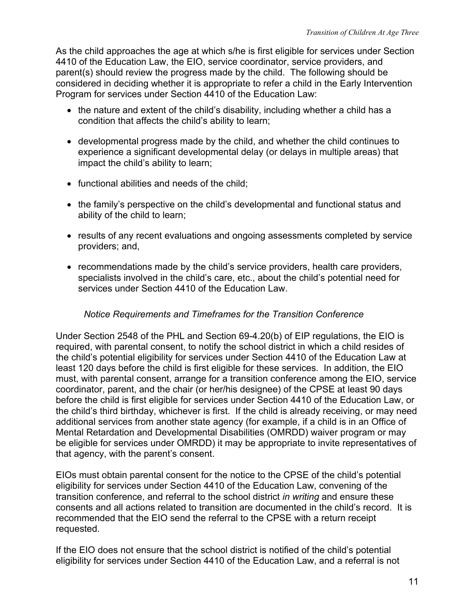<span id="page-14-0"></span>As the child approaches the age at which s/he is first eligible for services under Section 4410 of the Education Law, the EIO, service coordinator, service providers, and parent(s) should review the progress made by the child. The following should be considered in deciding whether it is appropriate to refer a child in the Early Intervention Program for services under Section 4410 of the Education Law:

- the nature and extent of the child's disability, including whether a child has a condition that affects the child's ability to learn;
- developmental progress made by the child, and whether the child continues to experience a significant developmental delay (or delays in multiple areas) that impact the child's ability to learn;
- functional abilities and needs of the child;
- the family's perspective on the child's developmental and functional status and ability of the child to learn;
- results of any recent evaluations and ongoing assessments completed by service providers; and,
- recommendations made by the child's service providers, health care providers, specialists involved in the child's care, etc., about the child's potential need for services under Section 4410 of the Education Law.

### *Notice Requirements and Timeframes for the Transition Conference*

Under Section 2548 of the PHL and Section 69-4.20(b) of EIP regulations, the EIO is required, with parental consent, to notify the school district in which a child resides of the child's potential eligibility for services under Section 4410 of the Education Law at least 120 days before the child is first eligible for these services. In addition, the EIO must, with parental consent, arrange for a transition conference among the EIO, service coordinator, parent, and the chair (or her/his designee) of the CPSE at least 90 days before the child is first eligible for services under Section 4410 of the Education Law, or the child's third birthday, whichever is first. If the child is already receiving, or may need additional services from another state agency (for example, if a child is in an Office of Mental Retardation and Developmental Disabilities (OMRDD) waiver program or may be eligible for services under OMRDD) it may be appropriate to invite representatives of that agency, with the parent's consent.

EIOs must obtain parental consent for the notice to the CPSE of the child's potential eligibility for services under Section 4410 of the Education Law, convening of the transition conference, and referral to the school district *in writing* and ensure these consents and all actions related to transition are documented in the child's record. It is recommended that the EIO send the referral to the CPSE with a return receipt requested.

If the EIO does not ensure that the school district is notified of the child's potential eligibility for services under Section 4410 of the Education Law, and a referral is not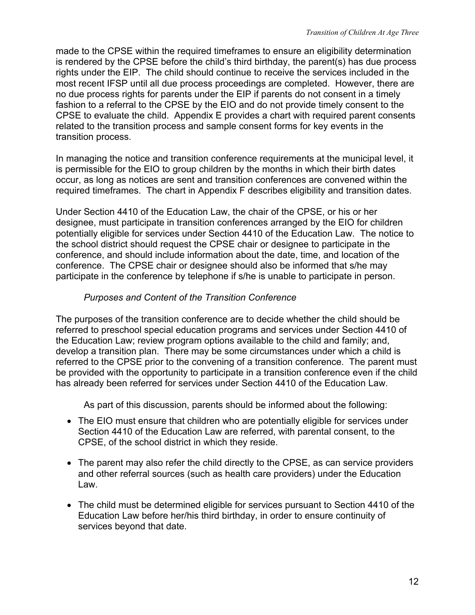<span id="page-15-0"></span>made to the CPSE within the required timeframes to ensure an eligibility determination is rendered by the CPSE before the child's third birthday, the parent(s) has due process rights under the EIP. The child should continue to receive the services included in the most recent IFSP until all due process proceedings are completed. However, there are no due process rights for parents under the EIP if parents do not consent in a timely fashion to a referral to the CPSE by the EIO and do not provide timely consent to the CPSE to evaluate the child. Appendix E provides a chart with required parent consents related to the transition process and sample consent forms for key events in the transition process.

In managing the notice and transition conference requirements at the municipal level, it is permissible for the EIO to group children by the months in which their birth dates occur, as long as notices are sent and transition conferences are convened within the required timeframes. The chart in Appendix F describes eligibility and transition dates.

Under Section 4410 of the Education Law, the chair of the CPSE, or his or her designee, must participate in transition conferences arranged by the EIO for children potentially eligible for services under Section 4410 of the Education Law. The notice to the school district should request the CPSE chair or designee to participate in the conference, and should include information about the date, time, and location of the conference. The CPSE chair or designee should also be informed that s/he may participate in the conference by telephone if s/he is unable to participate in person.

### *Purposes and Content of the Transition Conference*

The purposes of the transition conference are to decide whether the child should be referred to preschool special education programs and services under Section 4410 of the Education Law; review program options available to the child and family; and, develop a transition plan. There may be some circumstances under which a child is referred to the CPSE prior to the convening of a transition conference. The parent must be provided with the opportunity to participate in a transition conference even if the child has already been referred for services under Section 4410 of the Education Law.

As part of this discussion, parents should be informed about the following:

- The EIO must ensure that children who are potentially eligible for services under Section 4410 of the Education Law are referred, with parental consent, to the CPSE, of the school district in which they reside.
- The parent may also refer the child directly to the CPSE, as can service providers and other referral sources (such as health care providers) under the Education Law.
- The child must be determined eligible for services pursuant to Section 4410 of the Education Law before her/his third birthday, in order to ensure continuity of services beyond that date.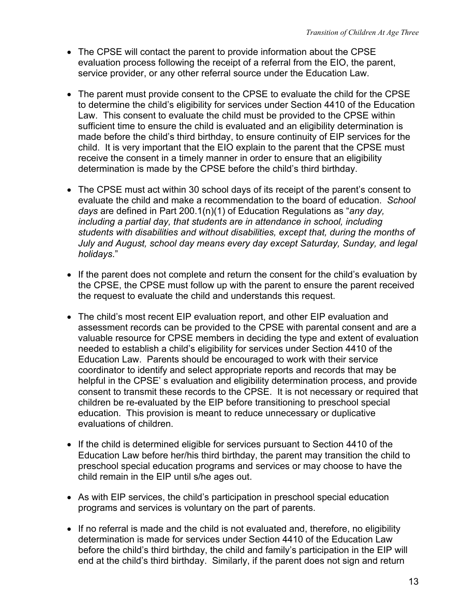- The CPSE will contact the parent to provide information about the CPSE evaluation process following the receipt of a referral from the EIO, the parent, service provider, or any other referral source under the Education Law.
- The parent must provide consent to the CPSE to evaluate the child for the CPSE to determine the child's eligibility for services under Section 4410 of the Education Law. This consent to evaluate the child must be provided to the CPSE within sufficient time to ensure the child is evaluated and an eligibility determination is made before the child's third birthday, to ensure continuity of EIP services for the child. It is very important that the EIO explain to the parent that the CPSE must receive the consent in a timely manner in order to ensure that an eligibility determination is made by the CPSE before the child's third birthday.
- The CPSE must act within 30 school days of its receipt of the parent's consent to evaluate the child and make a recommendation to the board of education. *School days* are defined in Part 200.1(n)(1) of Education Regulations as "*any day, including a partial day, that students are in attendance in school, including students with disabilities and without disabilities, except that, during the months of July and August, school day means every day except Saturday, Sunday, and legal holidays*."
- If the parent does not complete and return the consent for the child's evaluation by the CPSE, the CPSE must follow up with the parent to ensure the parent received the request to evaluate the child and understands this request.
- The child's most recent EIP evaluation report, and other EIP evaluation and assessment records can be provided to the CPSE with parental consent and are a valuable resource for CPSE members in deciding the type and extent of evaluation needed to establish a child's eligibility for services under Section 4410 of the Education Law. Parents should be encouraged to work with their service coordinator to identify and select appropriate reports and records that may be helpful in the CPSE' s evaluation and eligibility determination process, and provide consent to transmit these records to the CPSE. It is not necessary or required that children be re-evaluated by the EIP before transitioning to preschool special education. This provision is meant to reduce unnecessary or duplicative evaluations of children.
- If the child is determined eligible for services pursuant to Section 4410 of the Education Law before her/his third birthday, the parent may transition the child to preschool special education programs and services or may choose to have the child remain in the EIP until s/he ages out.
- As with EIP services, the child's participation in preschool special education programs and services is voluntary on the part of parents.
- If no referral is made and the child is not evaluated and, therefore, no eligibility determination is made for services under Section 4410 of the Education Law before the child's third birthday, the child and family's participation in the EIP will end at the child's third birthday. Similarly, if the parent does not sign and return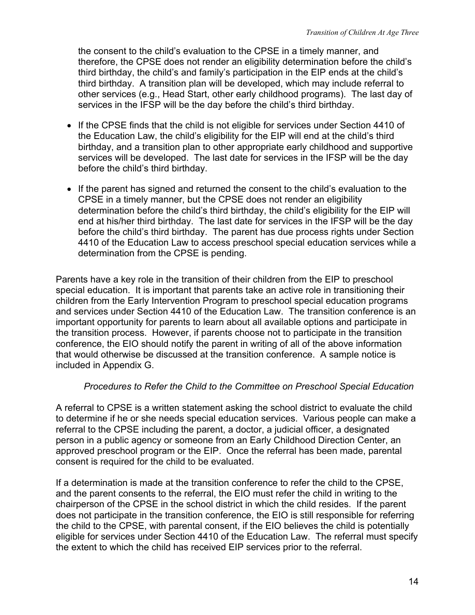<span id="page-17-0"></span>the consent to the child's evaluation to the CPSE in a timely manner, and therefore, the CPSE does not render an eligibility determination before the child's third birthday, the child's and family's participation in the EIP ends at the child's third birthday. A transition plan will be developed, which may include referral to other services (e.g., Head Start, other early childhood programs). The last day of services in the IFSP will be the day before the child's third birthday.

- If the CPSE finds that the child is not eligible for services under Section 4410 of the Education Law, the child's eligibility for the EIP will end at the child's third birthday, and a transition plan to other appropriate early childhood and supportive services will be developed. The last date for services in the IFSP will be the day before the child's third birthday.
- If the parent has signed and returned the consent to the child's evaluation to the CPSE in a timely manner, but the CPSE does not render an eligibility determination before the child's third birthday, the child's eligibility for the EIP will end at his/her third birthday. The last date for services in the IFSP will be the day before the child's third birthday. The parent has due process rights under Section 4410 of the Education Law to access preschool special education services while a determination from the CPSE is pending.

Parents have a key role in the transition of their children from the EIP to preschool special education. It is important that parents take an active role in transitioning their children from the Early Intervention Program to preschool special education programs and services under Section 4410 of the Education Law. The transition conference is an important opportunity for parents to learn about all available options and participate in the transition process. However, if parents choose not to participate in the transition conference, the EIO should notify the parent in writing of all of the above information that would otherwise be discussed at the transition conference. A sample notice is included in Appendix G.

### *Procedures to Refer the Child to the Committee on Preschool Special Education*

A referral to CPSE is a written statement asking the school district to evaluate the child to determine if he or she needs special education services. Various people can make a referral to the CPSE including the parent, a doctor, a judicial officer, a designated person in a public agency or someone from an Early Childhood Direction Center, an approved preschool program or the EIP. Once the referral has been made, parental consent is required for the child to be evaluated.

If a determination is made at the transition conference to refer the child to the CPSE, and the parent consents to the referral, the EIO must refer the child in writing to the chairperson of the CPSE in the school district in which the child resides. If the parent does not participate in the transition conference, the EIO is still responsible for referring the child to the CPSE, with parental consent, if the EIO believes the child is potentially eligible for services under Section 4410 of the Education Law. The referral must specify the extent to which the child has received EIP services prior to the referral.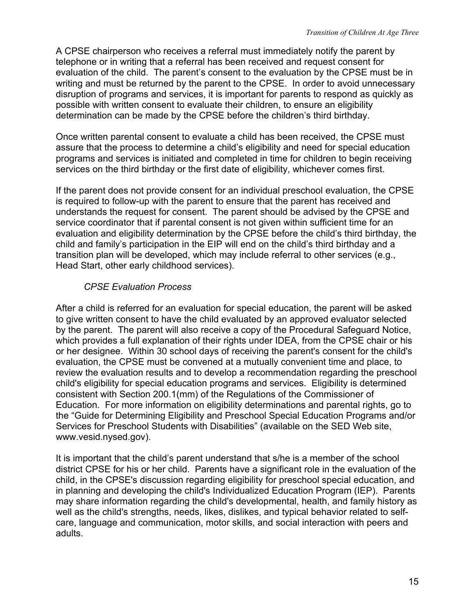<span id="page-18-0"></span>A CPSE chairperson who receives a referral must immediately notify the parent by telephone or in writing that a referral has been received and request consent for evaluation of the child. The parent's consent to the evaluation by the CPSE must be in writing and must be returned by the parent to the CPSE. In order to avoid unnecessary disruption of programs and services, it is important for parents to respond as quickly as possible with written consent to evaluate their children, to ensure an eligibility determination can be made by the CPSE before the children's third birthday.

Once written parental consent to evaluate a child has been received, the CPSE must assure that the process to determine a child's eligibility and need for special education programs and services is initiated and completed in time for children to begin receiving services on the third birthday or the first date of eligibility, whichever comes first.

If the parent does not provide consent for an individual preschool evaluation, the CPSE is required to follow-up with the parent to ensure that the parent has received and understands the request for consent. The parent should be advised by the CPSE and service coordinator that if parental consent is not given within sufficient time for an evaluation and eligibility determination by the CPSE before the child's third birthday, the child and family's participation in the EIP will end on the child's third birthday and a transition plan will be developed, which may include referral to other services (e.g., Head Start, other early childhood services).

# *CPSE Evaluation Process*

After a child is referred for an evaluation for special education, the parent will be asked to give written consent to have the child evaluated by an approved evaluator selected by the parent. The parent will also receive a copy of the Procedural Safeguard Notice, which provides a full explanation of their rights under IDEA, from the CPSE chair or his or her designee. Within 30 school days of receiving the parent's consent for the child's evaluation, the CPSE must be convened at a mutually convenient time and place, to review the evaluation results and to develop a recommendation regarding the preschool child's eligibility for special education programs and services. Eligibility is determined consistent with Section 200.1(mm) of the Regulations of the Commissioner of Education. For more information on eligibility determinations and parental rights, go to the "Guide for Determining Eligibility and Preschool Special Education Programs and/or Services for Preschool Students with Disabilities" (available on the SED Web site, www.vesid.nysed.gov).

It is important that the child's parent understand that s/he is a member of the school district CPSE for his or her child. Parents have a significant role in the evaluation of the child, in the CPSE's discussion regarding eligibility for preschool special education, and in planning and developing the child's Individualized Education Program (IEP). Parents may share information regarding the child's developmental, health, and family history as well as the child's strengths, needs, likes, dislikes, and typical behavior related to selfcare, language and communication, motor skills, and social interaction with peers and adults.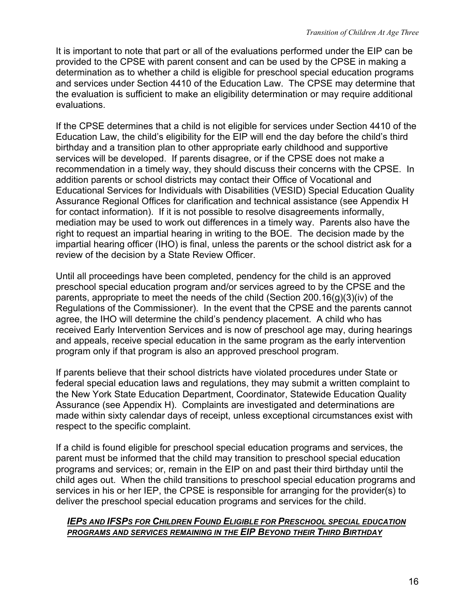<span id="page-19-0"></span>It is important to note that part or all of the evaluations performed under the EIP can be provided to the CPSE with parent consent and can be used by the CPSE in making a determination as to whether a child is eligible for preschool special education programs and services under Section 4410 of the Education Law. The CPSE may determine that the evaluation is sufficient to make an eligibility determination or may require additional evaluations.

If the CPSE determines that a child is not eligible for services under Section 4410 of the Education Law, the child's eligibility for the EIP will end the day before the child's third birthday and a transition plan to other appropriate early childhood and supportive services will be developed. If parents disagree, or if the CPSE does not make a recommendation in a timely way, they should discuss their concerns with the CPSE. In addition parents or school districts may contact their Office of Vocational and Educational Services for Individuals with Disabilities (VESID) Special Education Quality Assurance Regional Offices for clarification and technical assistance (see Appendix H for contact information). If it is not possible to resolve disagreements informally, mediation may be used to work out differences in a timely way. Parents also have the right to request an impartial hearing in writing to the BOE. The decision made by the impartial hearing officer (IHO) is final, unless the parents or the school district ask for a review of the decision by a State Review Officer.

Until all proceedings have been completed, pendency for the child is an approved preschool special education program and/or services agreed to by the CPSE and the parents, appropriate to meet the needs of the child (Section 200.16(g)(3)(iv) of the Regulations of the Commissioner). In the event that the CPSE and the parents cannot agree, the IHO will determine the child's pendency placement. A child who has received Early Intervention Services and is now of preschool age may, during hearings and appeals, receive special education in the same program as the early intervention program only if that program is also an approved preschool program.

If parents believe that their school districts have violated procedures under State or federal special education laws and regulations, they may submit a written complaint to the New York State Education Department, Coordinator, Statewide Education Quality Assurance (see Appendix H). Complaints are investigated and determinations are made within sixty calendar days of receipt, unless exceptional circumstances exist with respect to the specific complaint.

If a child is found eligible for preschool special education programs and services, the parent must be informed that the child may transition to preschool special education programs and services; or, remain in the EIP on and past their third birthday until the child ages out. When the child transitions to preschool special education programs and services in his or her IEP, the CPSE is responsible for arranging for the provider(s) to deliver the preschool special education programs and services for the child.

#### **IEPS AND IFSPS FOR CHILDREN FOUND ELIGIBLE FOR PRESCHOOL SPECIAL EDUCATION PROGRAMS AND SERVICES REMAINING IN THE EIP BEYOND THEIR THIRD BIRTHDAY**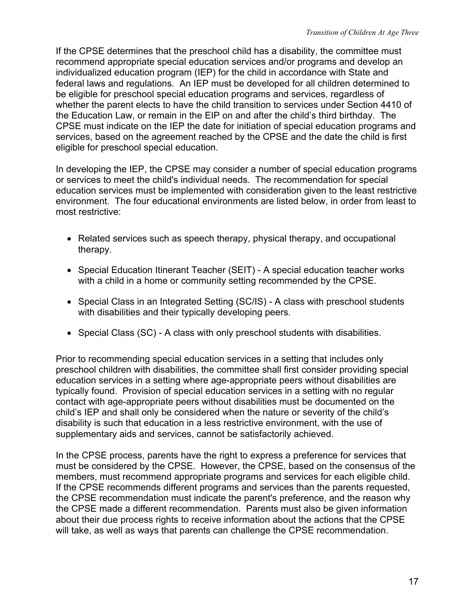If the CPSE determines that the preschool child has a disability, the committee must recommend appropriate special education services and/or programs and develop an individualized education program (IEP) for the child in accordance with State and federal laws and regulations. An IEP must be developed for all children determined to be eligible for preschool special education programs and services, regardless of whether the parent elects to have the child transition to services under Section 4410 of the Education Law, or remain in the EIP on and after the child's third birthday. The CPSE must indicate on the IEP the date for initiation of special education programs and services, based on the agreement reached by the CPSE and the date the child is first eligible for preschool special education.

In developing the IEP, the CPSE may consider a number of special education programs or services to meet the child's individual needs. The recommendation for special education services must be implemented with consideration given to the least restrictive environment. The four educational environments are listed below, in order from least to most restrictive:

- Related services such as speech therapy, physical therapy, and occupational therapy.
- Special Education Itinerant Teacher (SEIT) A special education teacher works with a child in a home or community setting recommended by the CPSE.
- Special Class in an Integrated Setting (SC/IS) A class with preschool students with disabilities and their typically developing peers.
- Special Class (SC) A class with only preschool students with disabilities.

Prior to recommending special education services in a setting that includes only preschool children with disabilities, the committee shall first consider providing special education services in a setting where age-appropriate peers without disabilities are typically found. Provision of special education services in a setting with no regular contact with age-appropriate peers without disabilities must be documented on the child's IEP and shall only be considered when the nature or severity of the child's disability is such that education in a less restrictive environment, with the use of supplementary aids and services, cannot be satisfactorily achieved.

In the CPSE process, parents have the right to express a preference for services that must be considered by the CPSE. However, the CPSE, based on the consensus of the members, must recommend appropriate programs and services for each eligible child. If the CPSE recommends different programs and services than the parents requested, the CPSE recommendation must indicate the parent's preference, and the reason why the CPSE made a different recommendation. Parents must also be given information about their due process rights to receive information about the actions that the CPSE will take, as well as ways that parents can challenge the CPSE recommendation.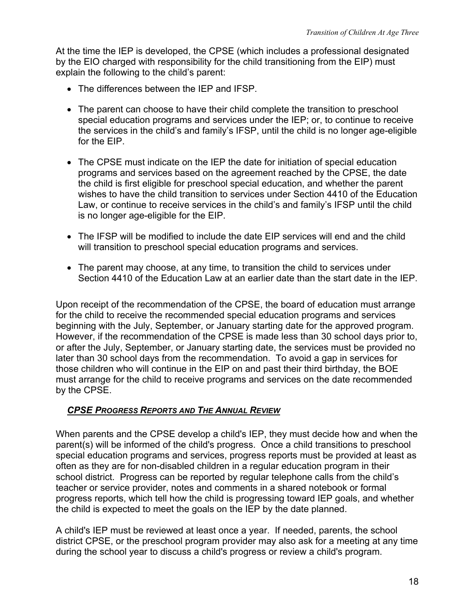<span id="page-21-0"></span>At the time the IEP is developed, the CPSE (which includes a professional designated by the EIO charged with responsibility for the child transitioning from the EIP) must explain the following to the child's parent:

- The differences between the IEP and IFSP.
- The parent can choose to have their child complete the transition to preschool special education programs and services under the IEP; or, to continue to receive the services in the child's and family's IFSP, until the child is no longer age-eligible for the EIP.
- The CPSE must indicate on the IEP the date for initiation of special education programs and services based on the agreement reached by the CPSE, the date the child is first eligible for preschool special education, and whether the parent wishes to have the child transition to services under Section 4410 of the Education Law, or continue to receive services in the child's and family's IFSP until the child is no longer age-eligible for the EIP.
- The IFSP will be modified to include the date EIP services will end and the child will transition to preschool special education programs and services.
- The parent may choose, at any time, to transition the child to services under Section 4410 of the Education Law at an earlier date than the start date in the IEP.

Upon receipt of the recommendation of the CPSE, the board of education must arrange for the child to receive the recommended special education programs and services beginning with the July, September, or January starting date for the approved program. However, if the recommendation of the CPSE is made less than 30 school days prior to, or after the July, September, or January starting date, the services must be provided no later than 30 school days from the recommendation. To avoid a gap in services for those children who will continue in the EIP on and past their third birthday, the BOE must arrange for the child to receive programs and services on the date recommended by the CPSE.

### *CPSE PROGRESS REPORTS AND THE ANNUAL REVIEW*

When parents and the CPSE develop a child's IEP, they must decide how and when the parent(s) will be informed of the child's progress. Once a child transitions to preschool special education programs and services, progress reports must be provided at least as often as they are for non-disabled children in a regular education program in their school district. Progress can be reported by regular telephone calls from the child's teacher or service provider, notes and comments in a shared notebook or formal progress reports, which tell how the child is progressing toward IEP goals, and whether the child is expected to meet the goals on the IEP by the date planned.

A child's IEP must be reviewed at least once a year. If needed, parents, the school district CPSE, or the preschool program provider may also ask for a meeting at any time during the school year to discuss a child's progress or review a child's program.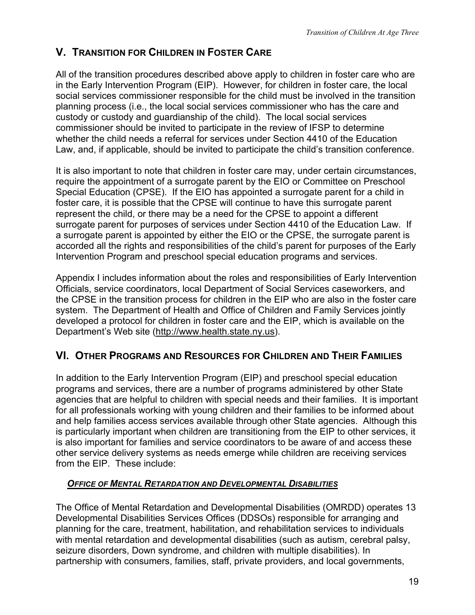# <span id="page-22-0"></span>**V. TRANSITION FOR CHILDREN IN FOSTER CARE**

All of the transition procedures described above apply to children in foster care who are in the Early Intervention Program (EIP). However, for children in foster care, the local social services commissioner responsible for the child must be involved in the transition planning process (i.e., the local social services commissioner who has the care and custody or custody and guardianship of the child). The local social services commissioner should be invited to participate in the review of IFSP to determine whether the child needs a referral for services under Section 4410 of the Education Law, and, if applicable, should be invited to participate the child's transition conference.

It is also important to note that children in foster care may, under certain circumstances, require the appointment of a surrogate parent by the EIO or Committee on Preschool Special Education (CPSE). If the EIO has appointed a surrogate parent for a child in foster care, it is possible that the CPSE will continue to have this surrogate parent represent the child, or there may be a need for the CPSE to appoint a different surrogate parent for purposes of services under Section 4410 of the Education Law. If a surrogate parent is appointed by either the EIO or the CPSE, the surrogate parent is accorded all the rights and responsibilities of the child's parent for purposes of the Early Intervention Program and preschool special education programs and services.

Appendix I includes information about the roles and responsibilities of Early Intervention Officials, service coordinators, local Department of Social Services caseworkers, and the CPSE in the transition process for children in the EIP who are also in the foster care system. The Department of Health and Office of Children and Family Services jointly developed a protocol for children in foster care and the EIP, which is available on the Department's Web site (http://www.health.state.ny.us).

# **VI. OTHER PROGRAMS AND RESOURCES FOR CHILDREN AND THEIR FAMILIES**

In addition to the Early Intervention Program (EIP) and preschool special education programs and services, there are a number of programs administered by other State agencies that are helpful to children with special needs and their families. It is important for all professionals working with young children and their families to be informed about and help families access services available through other State agencies. Although this is particularly important when children are transitioning from the EIP to other services, it is also important for families and service coordinators to be aware of and access these other service delivery systems as needs emerge while children are receiving services from the EIP. These include:

# *OFFICE OF MENTAL RETARDATION AND DEVELOPMENTAL DISABILITIES*

The Office of Mental Retardation and Developmental Disabilities (OMRDD) operates 13 Developmental Disabilities Services Offices (DDSOs) responsible for arranging and planning for the care, treatment, habilitation, and rehabilitation services to individuals with mental retardation and developmental disabilities (such as autism, cerebral palsy, seizure disorders, Down syndrome, and children with multiple disabilities). In partnership with consumers, families, staff, private providers, and local governments,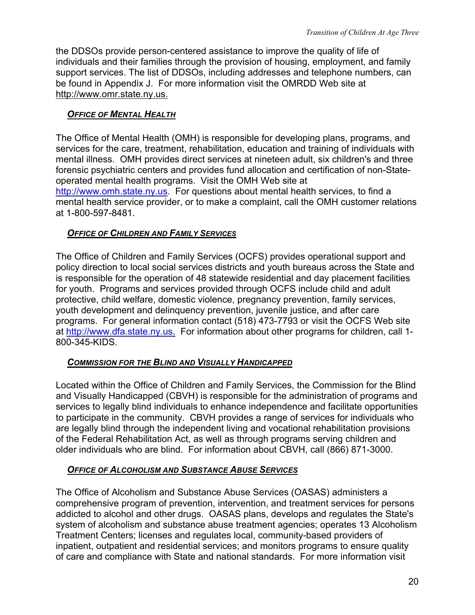<span id="page-23-0"></span>the DDSOs provide person-centered assistance to improve the quality of life of individuals and their families through the provision of housing, employment, and family support services. The list of DDSOs, including addresses and telephone numbers, can be found in Appendix J. For more information visit the OMRDD Web site at http://www.omr.state.ny.us.

## *OFFICE OF MENTAL HEALTH*

The Office of Mental Health (OMH) is responsible for developing plans, programs, and services for the care, treatment, rehabilitation, education and training of individuals with mental illness. OMH provides direct services at nineteen adult, six children's and three forensic psychiatric centers and provides fund allocation and certification of non-Stateoperated mental health programs. Visit the OMH Web site at [http://www.omh.state.ny.us](http://www.omh.state.ny.us/). For questions about mental health services, to find a mental health service provider, or to make a complaint, call the OMH customer relations at 1-800-597-8481.

## *OFFICE OF CHILDREN AND FAMILY SERVICES*

The Office of Children and Family Services (OCFS) provides operational support and policy direction to local social services districts and youth bureaus across the State and is responsible for the operation of 48 statewide residential and day placement facilities for youth. Programs and services provided through OCFS include child and adult protective, child welfare, domestic violence, pregnancy prevention, family services, youth development and delinquency prevention, juvenile justice, and after care programs. For general information contact (518) 473-7793 or visit the OCFS Web site at [http://www.dfa.state.ny.us.](http://www.dfa.state,ny.us/) For information about other programs for children, call 1-800-345-KIDS.

### *COMMISSION FOR THE BLIND AND VISUALLY HANDICAPPED*

Located within the Office of Children and Family Services, the Commission for the Blind and Visually Handicapped (CBVH) is responsible for the administration of programs and services to legally blind individuals to enhance independence and facilitate opportunities to participate in the community. CBVH provides a range of services for individuals who are legally blind through the independent living and vocational rehabilitation provisions of the Federal Rehabilitation Act, as well as through programs serving children and older individuals who are blind. For information about CBVH, call (866) 871-3000.

### *OFFICE OF ALCOHOLISM AND SUBSTANCE ABUSE SERVICES*

The Office of Alcoholism and Substance Abuse Services (OASAS) administers a comprehensive program of prevention, intervention, and treatment services for persons addicted to alcohol and other drugs. OASAS plans, develops and regulates the State's system of alcoholism and substance abuse treatment agencies; operates 13 Alcoholism Treatment Centers; licenses and regulates local, community-based providers of inpatient, outpatient and residential services; and monitors programs to ensure quality of care and compliance with State and national standards. For more information visit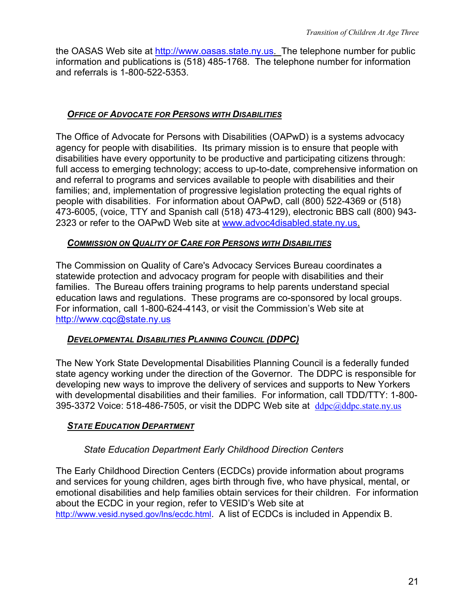<span id="page-24-0"></span>the OASAS Web site at [http://www.oasas.state.ny.us.](http://www.oasas.state,ny.us/) The telephone number for public information and publications is (518) 485-1768. The telephone number for information and referrals is 1-800-522-5353.

### *OFFICE OF ADVOCATE FOR PERSONS WITH DISABILITIES*

The Office of Advocate for Persons with Disabilities (OAPwD) is a systems advocacy agency for people with disabilities. Its primary mission is to ensure that people with disabilities have every opportunity to be productive and participating citizens through: full access to emerging technology; access to up-to-date, comprehensive information on and referral to programs and services available to people with disabilities and their families; and, implementation of progressive legislation protecting the equal rights of people with disabilities. For information about OAPwD, call (800) 522-4369 or (518) 473-6005, (voice, TTY and Spanish call (518) 473-4129), electronic BBS call (800) 943- 2323 or refer to the OAPwD Web site at [www.advoc4disabled.state.ny.us.](http://www.advoc4disabled.state.ny.us/)

### *COMMISSION ON QUALITY OF CARE FOR PERSONS WITH DISABILITIES*

The Commission on Quality of Care's Advocacy Services Bureau coordinates a statewide protection and advocacy program for people with disabilities and their families. The Bureau offers training programs to help parents understand special education laws and regulations. These programs are co-sponsored by local groups. For information, call 1-800-624-4143, or visit the Commission's Web site at [http://www.cqc@state.ny.us](http://www.cqc@state.ny.us/)

### *DEVELOPMENTAL DISABILITIES PLANNING COUNCIL (DDPC)*

The New York State Developmental Disabilities Planning Council is a federally funded state agency working under the direction of the Governor. The DDPC is responsible for developing new ways to improve the delivery of services and supports to New Yorkers with developmental disabilities and their families. For information, call TDD/TTY: 1-800- 395-3372 Voice: 518-486-7505, or visit the DDPC Web site at  $ddpc@ddpc.state.ny.us$ 

#### **STATE EDUCATION DEPARTMENT**

### *State Education Department Early Childhood Direction Centers*

The Early Childhood Direction Centers (ECDCs) provide information about programs and services for young children, ages birth through five, who have physical, mental, or emotional disabilities and help families obtain services for their children. For information about the ECDC in your region, refer to VESID's Web site at <http://www.vesid.nysed.gov/lns/ecdc.html>. A list of ECDCs is included in Appendix B.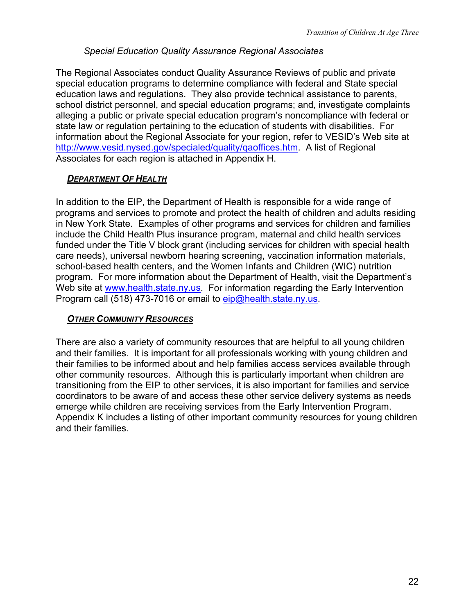## *Special Education Quality Assurance Regional Associates*

<span id="page-25-0"></span>The Regional Associates conduct Quality Assurance Reviews of public and private special education programs to determine compliance with federal and State special education laws and regulations. They also provide technical assistance to parents, school district personnel, and special education programs; and, investigate complaints alleging a public or private special education program's noncompliance with federal or state law or regulation pertaining to the education of students with disabilities. For information about the Regional Associate for your region, refer to VESID's Web site at <http://www.vesid.nysed.gov/specialed/quality/qaoffices.htm>. A list of Regional Associates for each region is attached in Appendix H.

## *DEPARTMENT OF HEALTH*

In addition to the EIP, the Department of Health is responsible for a wide range of programs and services to promote and protect the health of children and adults residing in New York State. Examples of other programs and services for children and families include the Child Health Plus insurance program, maternal and child health services funded under the Title V block grant (including services for children with special health care needs), universal newborn hearing screening, vaccination information materials, school-based health centers, and the Women Infants and Children (WIC) nutrition program. For more information about the Department of Health, visit the Department's Web site at [www.health.state.ny.us.](http://www.health.state.ny.us/) For information regarding the Early Intervention Program call (518) 473-7016 or email to [eip@health.state.ny.us.](mailto:eip@health.state.ny.us)

### *OTHER COMMUNITY RESOURCES*

There are also a variety of community resources that are helpful to all young children and their families. It is important for all professionals working with young children and their families to be informed about and help families access services available through other community resources. Although this is particularly important when children are transitioning from the EIP to other services, it is also important for families and service coordinators to be aware of and access these other service delivery systems as needs emerge while children are receiving services from the Early Intervention Program. Appendix K includes a listing of other important community resources for young children and their families.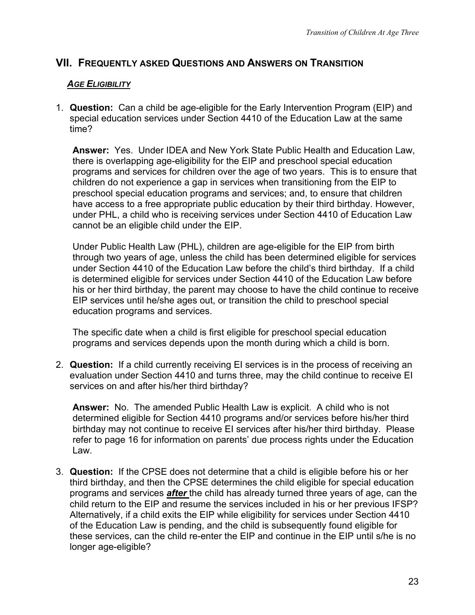# <span id="page-26-0"></span>**VII. FREQUENTLY ASKED QUESTIONS AND ANSWERS ON TRANSITION**

### *AGE ELIGIBILITY*

1. **Question:** Can a child be age-eligible for the Early Intervention Program (EIP) and special education services under Section 4410 of the Education Law at the same time?

**Answer:** Yes. Under IDEA and New York State Public Health and Education Law, there is overlapping age-eligibility for the EIP and preschool special education programs and services for children over the age of two years. This is to ensure that children do not experience a gap in services when transitioning from the EIP to preschool special education programs and services; and, to ensure that children have access to a free appropriate public education by their third birthday. However, under PHL, a child who is receiving services under Section 4410 of Education Law cannot be an eligible child under the EIP.

Under Public Health Law (PHL), children are age-eligible for the EIP from birth through two years of age, unless the child has been determined eligible for services under Section 4410 of the Education Law before the child's third birthday. If a child is determined eligible for services under Section 4410 of the Education Law before his or her third birthday, the parent may choose to have the child continue to receive EIP services until he/she ages out, or transition the child to preschool special education programs and services.

The specific date when a child is first eligible for preschool special education programs and services depends upon the month during which a child is born.

2. **Question:** If a child currently receiving EI services is in the process of receiving an evaluation under Section 4410 and turns three, may the child continue to receive EI services on and after his/her third birthday?

**Answer:** No. The amended Public Health Law is explicit. A child who is not determined eligible for Section 4410 programs and/or services before his/her third birthday may not continue to receive EI services after his/her third birthday. Please refer to page 16 for information on parents' due process rights under the Education Law.

3. **Question:** If the CPSE does not determine that a child is eligible before his or her third birthday, and then the CPSE determines the child eligible for special education programs and services *after* the child has already turned three years of age, can the child return to the EIP and resume the services included in his or her previous IFSP? Alternatively, if a child exits the EIP while eligibility for services under Section 4410 of the Education Law is pending, and the child is subsequently found eligible for these services, can the child re-enter the EIP and continue in the EIP until s/he is no longer age-eligible?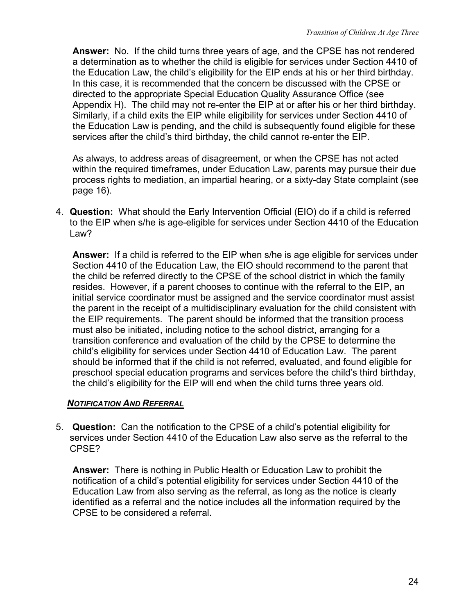<span id="page-27-0"></span>**Answer:** No. If the child turns three years of age, and the CPSE has not rendered a determination as to whether the child is eligible for services under Section 4410 of the Education Law, the child's eligibility for the EIP ends at his or her third birthday. In this case, it is recommended that the concern be discussed with the CPSE or directed to the appropriate Special Education Quality Assurance Office (see Appendix H). The child may not re-enter the EIP at or after his or her third birthday. Similarly, if a child exits the EIP while eligibility for services under Section 4410 of the Education Law is pending, and the child is subsequently found eligible for these services after the child's third birthday, the child cannot re-enter the EIP.

As always, to address areas of disagreement, or when the CPSE has not acted within the required timeframes, under Education Law, parents may pursue their due process rights to mediation, an impartial hearing, or a sixty-day State complaint (see page 16).

4. **Question:** What should the Early Intervention Official (EIO) do if a child is referred to the EIP when s/he is age-eligible for services under Section 4410 of the Education Law?

**Answer:** If a child is referred to the EIP when s/he is age eligible for services under Section 4410 of the Education Law, the EIO should recommend to the parent that the child be referred directly to the CPSE of the school district in which the family resides. However, if a parent chooses to continue with the referral to the EIP, an initial service coordinator must be assigned and the service coordinator must assist the parent in the receipt of a multidisciplinary evaluation for the child consistent with the EIP requirements. The parent should be informed that the transition process must also be initiated, including notice to the school district, arranging for a transition conference and evaluation of the child by the CPSE to determine the child's eligibility for services under Section 4410 of Education Law. The parent should be informed that if the child is not referred, evaluated, and found eligible for preschool special education programs and services before the child's third birthday, the child's eligibility for the EIP will end when the child turns three years old.

### *NOTIFICATION AND REFERRAL*

5. **Question:** Can the notification to the CPSE of a child's potential eligibility for services under Section 4410 of the Education Law also serve as the referral to the CPSE?

**Answer:** There is nothing in Public Health or Education Law to prohibit the notification of a child's potential eligibility for services under Section 4410 of the Education Law from also serving as the referral, as long as the notice is clearly identified as a referral and the notice includes all the information required by the CPSE to be considered a referral.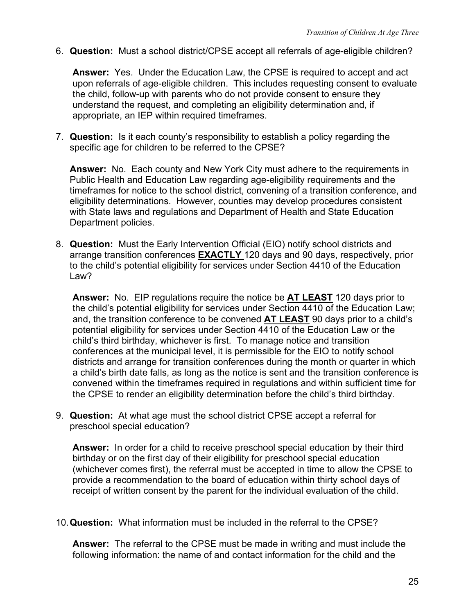6. **Question:** Must a school district/CPSE accept all referrals of age-eligible children?

**Answer:** Yes. Under the Education Law, the CPSE is required to accept and act upon referrals of age-eligible children. This includes requesting consent to evaluate the child, follow-up with parents who do not provide consent to ensure they understand the request, and completing an eligibility determination and, if appropriate, an IEP within required timeframes.

7. **Question:** Is it each county's responsibility to establish a policy regarding the specific age for children to be referred to the CPSE?

**Answer:** No. Each county and New York City must adhere to the requirements in Public Health and Education Law regarding age-eligibility requirements and the timeframes for notice to the school district, convening of a transition conference, and eligibility determinations. However, counties may develop procedures consistent with State laws and regulations and Department of Health and State Education Department policies.

8. **Question:** Must the Early Intervention Official (EIO) notify school districts and arrange transition conferences **EXACTLY** 120 days and 90 days, respectively, prior to the child's potential eligibility for services under Section 4410 of the Education Law?

**Answer:** No. EIP regulations require the notice be **AT LEAST** 120 days prior to the child's potential eligibility for services under Section 4410 of the Education Law; and, the transition conference to be convened **AT LEAST** 90 days prior to a child's potential eligibility for services under Section 4410 of the Education Law or the child's third birthday, whichever is first. To manage notice and transition conferences at the municipal level, it is permissible for the EIO to notify school districts and arrange for transition conferences during the month or quarter in which a child's birth date falls, as long as the notice is sent and the transition conference is convened within the timeframes required in regulations and within sufficient time for the CPSE to render an eligibility determination before the child's third birthday.

9. **Question:** At what age must the school district CPSE accept a referral for preschool special education?

**Answer:** In order for a child to receive preschool special education by their third birthday or on the first day of their eligibility for preschool special education (whichever comes first), the referral must be accepted in time to allow the CPSE to provide a recommendation to the board of education within thirty school days of receipt of written consent by the parent for the individual evaluation of the child.

10. **Question:** What information must be included in the referral to the CPSE?

**Answer:** The referral to the CPSE must be made in writing and must include the following information: the name of and contact information for the child and the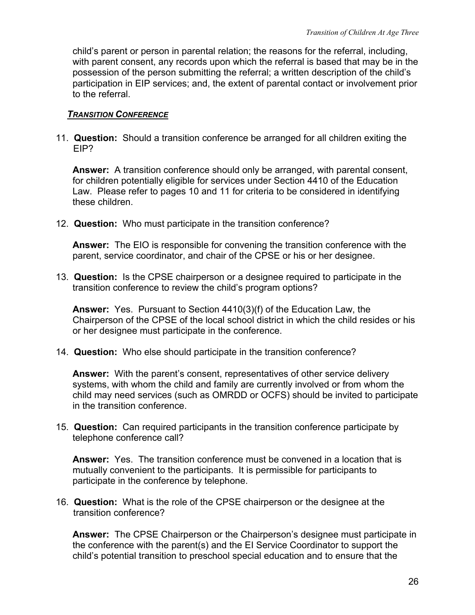<span id="page-29-0"></span>child's parent or person in parental relation; the reasons for the referral, including, with parent consent, any records upon which the referral is based that may be in the possession of the person submitting the referral; a written description of the child's participation in EIP services; and, the extent of parental contact or involvement prior to the referral.

#### *TRANSITION CONFERENCE*

11. **Question:** Should a transition conference be arranged for all children exiting the EIP?

**Answer:** A transition conference should only be arranged, with parental consent, for children potentially eligible for services under Section 4410 of the Education Law. Please refer to pages 10 and 11 for criteria to be considered in identifying these children.

12. **Question:** Who must participate in the transition conference?

**Answer:** The EIO is responsible for convening the transition conference with the parent, service coordinator, and chair of the CPSE or his or her designee.

13. **Question:** Is the CPSE chairperson or a designee required to participate in the transition conference to review the child's program options?

**Answer:** Yes. Pursuant to Section 4410(3)(f) of the Education Law, the Chairperson of the CPSE of the local school district in which the child resides or his or her designee must participate in the conference.

14. **Question:** Who else should participate in the transition conference?

**Answer:** With the parent's consent, representatives of other service delivery systems, with whom the child and family are currently involved or from whom the child may need services (such as OMRDD or OCFS) should be invited to participate in the transition conference.

15. **Question:** Can required participants in the transition conference participate by telephone conference call?

**Answer:** Yes. The transition conference must be convened in a location that is mutually convenient to the participants. It is permissible for participants to participate in the conference by telephone.

16. **Question:** What is the role of the CPSE chairperson or the designee at the transition conference?

**Answer:** The CPSE Chairperson or the Chairperson's designee must participate in the conference with the parent(s) and the EI Service Coordinator to support the child's potential transition to preschool special education and to ensure that the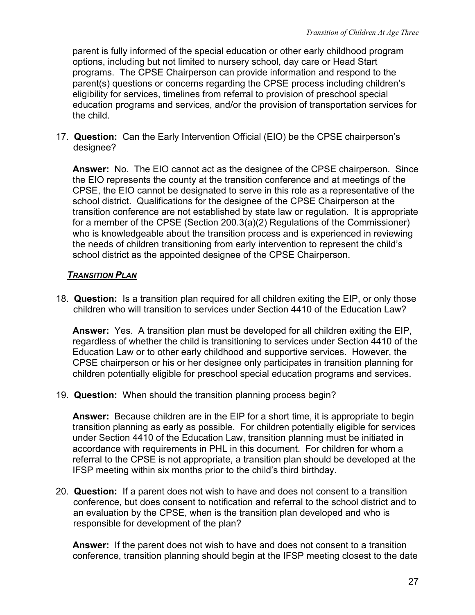<span id="page-30-0"></span>parent is fully informed of the special education or other early childhood program options, including but not limited to nursery school, day care or Head Start programs. The CPSE Chairperson can provide information and respond to the parent(s) questions or concerns regarding the CPSE process including children's eligibility for services, timelines from referral to provision of preschool special education programs and services, and/or the provision of transportation services for the child.

17. **Question:** Can the Early Intervention Official (EIO) be the CPSE chairperson's designee?

**Answer:** No. The EIO cannot act as the designee of the CPSE chairperson. Since the EIO represents the county at the transition conference and at meetings of the CPSE, the EIO cannot be designated to serve in this role as a representative of the school district. Qualifications for the designee of the CPSE Chairperson at the transition conference are not established by state law or regulation. It is appropriate for a member of the CPSE (Section 200.3(a)(2) Regulations of the Commissioner) who is knowledgeable about the transition process and is experienced in reviewing the needs of children transitioning from early intervention to represent the child's school district as the appointed designee of the CPSE Chairperson.

## *TRANSITION PLAN*

18. **Question:** Is a transition plan required for all children exiting the EIP, or only those children who will transition to services under Section 4410 of the Education Law?

**Answer:** Yes.A transition plan must be developed for all children exiting the EIP, regardless of whether the child is transitioning to services under Section 4410 of the Education Law or to other early childhood and supportive services. However, the CPSE chairperson or his or her designee only participates in transition planning for children potentially eligible for preschool special education programs and services.

19. **Question:** When should the transition planning process begin?

**Answer:** Because children are in the EIP for a short time, it is appropriate to begin transition planning as early as possible. For children potentially eligible for services under Section 4410 of the Education Law, transition planning must be initiated in accordance with requirements in PHL in this document. For children for whom a referral to the CPSE is not appropriate, a transition plan should be developed at the IFSP meeting within six months prior to the child's third birthday.

20. **Question:** If a parent does not wish to have and does not consent to a transition conference, but does consent to notification and referral to the school district and to an evaluation by the CPSE, when is the transition plan developed and who is responsible for development of the plan?

**Answer:** If the parent does not wish to have and does not consent to a transition conference, transition planning should begin at the IFSP meeting closest to the date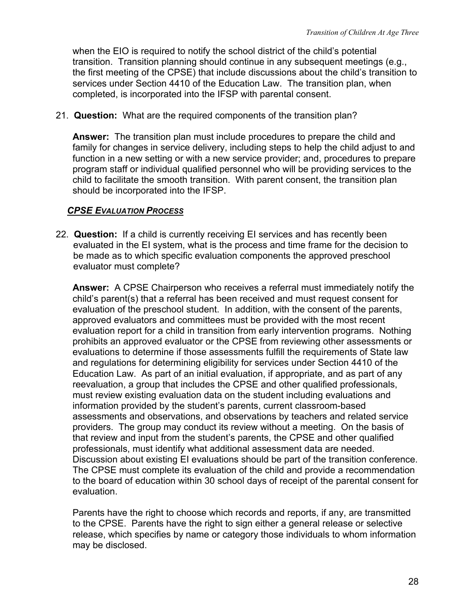<span id="page-31-0"></span>when the EIO is required to notify the school district of the child's potential transition. Transition planning should continue in any subsequent meetings (e.g., the first meeting of the CPSE) that include discussions about the child's transition to services under Section 4410 of the Education Law. The transition plan, when completed, is incorporated into the IFSP with parental consent.

21. **Question:** What are the required components of the transition plan?

**Answer:** The transition plan must include procedures to prepare the child and family for changes in service delivery, including steps to help the child adjust to and function in a new setting or with a new service provider; and, procedures to prepare program staff or individual qualified personnel who will be providing services to the child to facilitate the smooth transition. With parent consent, the transition plan should be incorporated into the IFSP.

## *CPSE EVALUATION PROCESS*

22. **Question:** If a child is currently receiving EI services and has recently been evaluated in the EI system, what is the process and time frame for the decision to be made as to which specific evaluation components the approved preschool evaluator must complete?

**Answer:** A CPSE Chairperson who receives a referral must immediately notify the child's parent(s) that a referral has been received and must request consent for evaluation of the preschool student. In addition, with the consent of the parents, approved evaluators and committees must be provided with the most recent evaluation report for a child in transition from early intervention programs. Nothing prohibits an approved evaluator or the CPSE from reviewing other assessments or evaluations to determine if those assessments fulfill the requirements of State law and regulations for determining eligibility for services under Section 4410 of the Education Law. As part of an initial evaluation, if appropriate, and as part of any reevaluation, a group that includes the CPSE and other qualified professionals, must review existing evaluation data on the student including evaluations and information provided by the student's parents, current classroom-based assessments and observations, and observations by teachers and related service providers. The group may conduct its review without a meeting. On the basis of that review and input from the student's parents, the CPSE and other qualified professionals, must identify what additional assessment data are needed. Discussion about existing EI evaluations should be part of the transition conference. The CPSE must complete its evaluation of the child and provide a recommendation to the board of education within 30 school days of receipt of the parental consent for evaluation.

Parents have the right to choose which records and reports, if any, are transmitted to the CPSE. Parents have the right to sign either a general release or selective release, which specifies by name or category those individuals to whom information may be disclosed.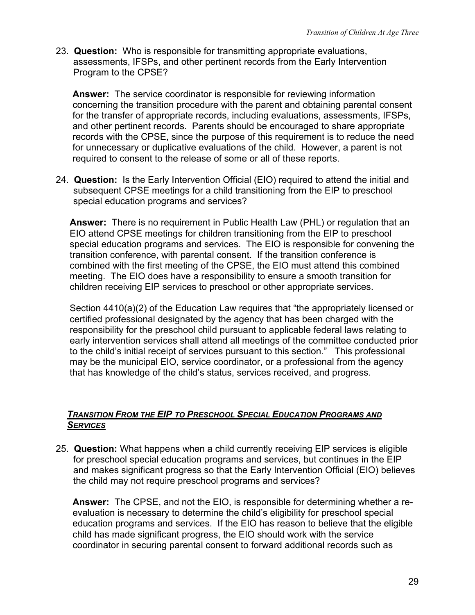<span id="page-32-0"></span>23. **Question:** Who is responsible for transmitting appropriate evaluations, assessments, IFSPs, and other pertinent records from the Early Intervention Program to the CPSE?

**Answer:** The service coordinator is responsible for reviewing information concerning the transition procedure with the parent and obtaining parental consent for the transfer of appropriate records, including evaluations, assessments, IFSPs, and other pertinent records. Parents should be encouraged to share appropriate records with the CPSE, since the purpose of this requirement is to reduce the need for unnecessary or duplicative evaluations of the child. However, a parent is not required to consent to the release of some or all of these reports.

24. **Question:** Is the Early Intervention Official (EIO) required to attend the initial and subsequent CPSE meetings for a child transitioning from the EIP to preschool special education programs and services?

**Answer:** There is no requirement in Public Health Law (PHL) or regulation that an EIO attend CPSE meetings for children transitioning from the EIP to preschool special education programs and services. The EIO is responsible for convening the transition conference, with parental consent. If the transition conference is combined with the first meeting of the CPSE, the EIO must attend this combined meeting. The EIO does have a responsibility to ensure a smooth transition for children receiving EIP services to preschool or other appropriate services.

Section 4410(a)(2) of the Education Law requires that "the appropriately licensed or certified professional designated by the agency that has been charged with the responsibility for the preschool child pursuant to applicable federal laws relating to early intervention services shall attend all meetings of the committee conducted prior to the child's initial receipt of services pursuant to this section." This professional may be the municipal EIO, service coordinator, or a professional from the agency that has knowledge of the child's status, services received, and progress.

#### *TRANSITION FROM THE EIP TO PRESCHOOL SPECIAL EDUCATION PROGRAMS AND SERVICES*

25. **Question:** What happens when a child currently receiving EIP services is eligible for preschool special education programs and services, but continues in the EIP and makes significant progress so that the Early Intervention Official (EIO) believes the child may not require preschool programs and services?

**Answer:** The CPSE, and not the EIO, is responsible for determining whether a reevaluation is necessary to determine the child's eligibility for preschool special education programs and services. If the EIO has reason to believe that the eligible child has made significant progress, the EIO should work with the service coordinator in securing parental consent to forward additional records such as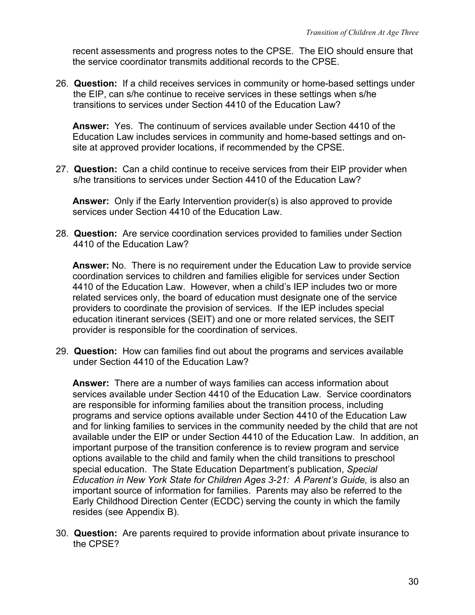recent assessments and progress notes to the CPSE. The EIO should ensure that the service coordinator transmits additional records to the CPSE.

26. **Question:** If a child receives services in community or home-based settings under the EIP, can s/he continue to receive services in these settings when s/he transitions to services under Section 4410 of the Education Law?

**Answer:** Yes. The continuum of services available under Section 4410 of the Education Law includes services in community and home-based settings and onsite at approved provider locations, if recommended by the CPSE.

27. **Question:** Can a child continue to receive services from their EIP provider when s/he transitions to services under Section 4410 of the Education Law?

**Answer:** Only if the Early Intervention provider(s) is also approved to provide services under Section 4410 of the Education Law

28. **Question:** Are service coordination services provided to families under Section 4410 of the Education Law?

**Answer:** No. There is no requirement under the Education Law to provide service coordination services to children and families eligible for services under Section 4410 of the Education Law. However, when a child's IEP includes two or more related services only, the board of education must designate one of the service providers to coordinate the provision of services. If the IEP includes special education itinerant services (SEIT) and one or more related services, the SEIT provider is responsible for the coordination of services.

29. **Question:** How can families find out about the programs and services available under Section 4410 of the Education Law?

**Answer:** There are a number of ways families can access information about services available under Section 4410 of the Education Law. Service coordinators are responsible for informing families about the transition process, including programs and service options available under Section 4410 of the Education Law and for linking families to services in the community needed by the child that are not available under the EIP or under Section 4410 of the Education Law. In addition, an important purpose of the transition conference is to review program and service options available to the child and family when the child transitions to preschool special education. The State Education Department's publication, *Special*  Education in New York State for Children Ages 3-21: A Parent's Guide, is also an important source of information for families. Parents may also be referred to the Early Childhood Direction Center (ECDC) serving the county in which the family resides (see Appendix B).

30. **Question:** Are parents required to provide information about private insurance to the CPSE?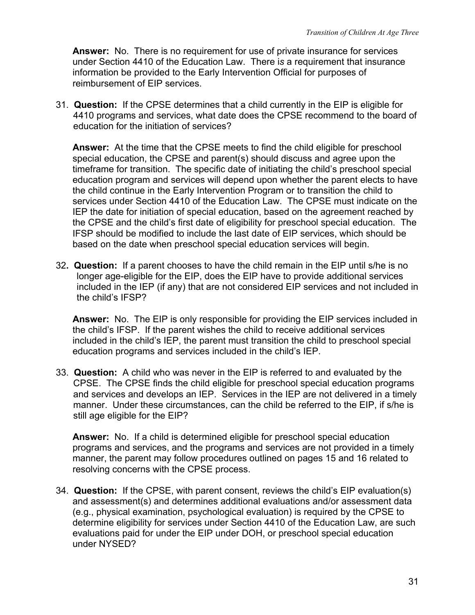**Answer:** No. There is no requirement for use of private insurance for services under Section 4410 of the Education Law. There i*s* a requirement that insurance information be provided to the Early Intervention Official for purposes of reimbursement of EIP services.

31. **Question:** If the CPSE determines that a child currently in the EIP is eligible for 4410 programs and services, what date does the CPSE recommend to the board of education for the initiation of services?

**Answer:** At the time that the CPSE meets to find the child eligible for preschool special education, the CPSE and parent(s) should discuss and agree upon the timeframe for transition. The specific date of initiating the child's preschool special education program and services will depend upon whether the parent elects to have the child continue in the Early Intervention Program or to transition the child to services under Section 4410 of the Education Law. The CPSE must indicate on the IEP the date for initiation of special education, based on the agreement reached by the CPSE and the child's first date of eligibility for preschool special education. The IFSP should be modified to include the last date of EIP services, which should be based on the date when preschool special education services will begin.

32**. Question:** If a parent chooses to have the child remain in the EIP until s/he is no longer age-eligible for the EIP, does the EIP have to provide additional services included in the IEP (if any) that are not considered EIP services and not included in the child's IFSP?

**Answer:** No. The EIP is only responsible for providing the EIP services included in the child's IFSP. If the parent wishes the child to receive additional services included in the child's IEP, the parent must transition the child to preschool special education programs and services included in the child's IEP.

33. **Question:** A child who was never in the EIP is referred to and evaluated by the CPSE. The CPSE finds the child eligible for preschool special education programs and services and develops an IEP. Services in the IEP are not delivered in a timely manner. Under these circumstances, can the child be referred to the EIP, if s/he is still age eligible for the EIP?

**Answer:** No. If a child is determined eligible for preschool special education programs and services, and the programs and services are not provided in a timely manner, the parent may follow procedures outlined on pages 15 and 16 related to resolving concerns with the CPSE process.

34. **Question:** If the CPSE, with parent consent, reviews the child's EIP evaluation(s) and assessment(s) and determines additional evaluations and/or assessment data (e.g., physical examination, psychological evaluation) is required by the CPSE to determine eligibility for services under Section 4410 of the Education Law, are such evaluations paid for under the EIP under DOH, or preschool special education under NYSED?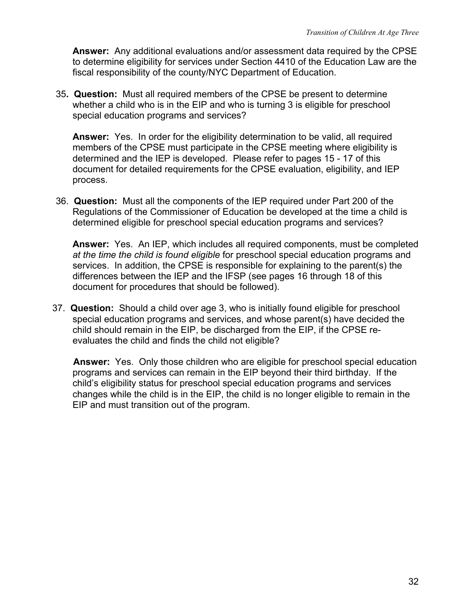**Answer:** Any additional evaluations and/or assessment data required by the CPSE to determine eligibility for services under Section 4410 of the Education Law are the fiscal responsibility of the county/NYC Department of Education.

35**. Question:** Must all required members of the CPSE be present to determine whether a child who is in the EIP and who is turning 3 is eligible for preschool special education programs and services?

**Answer:** Yes. In order for the eligibility determination to be valid, all required members of the CPSE must participate in the CPSE meeting where eligibility is determined and the IEP is developed. Please refer to pages 15 - 17 of this document for detailed requirements for the CPSE evaluation, eligibility, and IEP process.

36. **Question:** Must all the components of the IEP required under Part 200 of the Regulations of the Commissioner of Education be developed at the time a child is determined eligible for preschool special education programs and services?

**Answer:** Yes. An IEP, which includes all required components, must be completed *at the time the child is found eligible* for preschool special education programs and services. In addition, the CPSE is responsible for explaining to the parent(s) the differences between the IEP and the IFSP (see pages 16 through 18 of this document for procedures that should be followed).

37. **Question:** Should a child over age 3, who is initially found eligible for preschool special education programs and services, and whose parent(s) have decided the child should remain in the EIP, be discharged from the EIP, if the CPSE reevaluates the child and finds the child not eligible?

**Answer:** Yes. Only those children who are eligible for preschool special education programs and services can remain in the EIP beyond their third birthday. If the child's eligibility status for preschool special education programs and services changes while the child is in the EIP, the child is no longer eligible to remain in the EIP and must transition out of the program.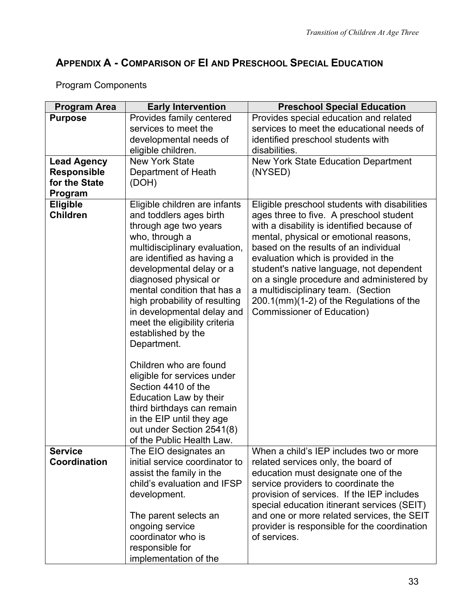# **APPENDIX A - COMPARISON OF EI AND PRESCHOOL SPECIAL EDUCATION**

| <b>Program Area</b>                | <b>Early Intervention</b>                                                                                                                                                                                                                                                                                                                                                                   | <b>Preschool Special Education</b>                                                                                                                                                                                                                                                                                                                                                                                                                                               |
|------------------------------------|---------------------------------------------------------------------------------------------------------------------------------------------------------------------------------------------------------------------------------------------------------------------------------------------------------------------------------------------------------------------------------------------|----------------------------------------------------------------------------------------------------------------------------------------------------------------------------------------------------------------------------------------------------------------------------------------------------------------------------------------------------------------------------------------------------------------------------------------------------------------------------------|
| <b>Purpose</b>                     | Provides family centered                                                                                                                                                                                                                                                                                                                                                                    | Provides special education and related                                                                                                                                                                                                                                                                                                                                                                                                                                           |
|                                    | services to meet the                                                                                                                                                                                                                                                                                                                                                                        | services to meet the educational needs of                                                                                                                                                                                                                                                                                                                                                                                                                                        |
|                                    | developmental needs of                                                                                                                                                                                                                                                                                                                                                                      | identified preschool students with                                                                                                                                                                                                                                                                                                                                                                                                                                               |
|                                    | eligible children.                                                                                                                                                                                                                                                                                                                                                                          | disabilities.                                                                                                                                                                                                                                                                                                                                                                                                                                                                    |
| <b>Lead Agency</b>                 | <b>New York State</b>                                                                                                                                                                                                                                                                                                                                                                       | <b>New York State Education Department</b>                                                                                                                                                                                                                                                                                                                                                                                                                                       |
| <b>Responsible</b>                 | Department of Heath                                                                                                                                                                                                                                                                                                                                                                         | (NYSED)                                                                                                                                                                                                                                                                                                                                                                                                                                                                          |
| for the State                      | (DOH)                                                                                                                                                                                                                                                                                                                                                                                       |                                                                                                                                                                                                                                                                                                                                                                                                                                                                                  |
| Program                            |                                                                                                                                                                                                                                                                                                                                                                                             |                                                                                                                                                                                                                                                                                                                                                                                                                                                                                  |
| <b>Eligible</b><br><b>Children</b> | Eligible children are infants<br>and toddlers ages birth<br>through age two years<br>who, through a<br>multidisciplinary evaluation,<br>are identified as having a<br>developmental delay or a<br>diagnosed physical or<br>mental condition that has a<br>high probability of resulting<br>in developmental delay and<br>meet the eligibility criteria<br>established by the<br>Department. | Eligible preschool students with disabilities<br>ages three to five. A preschool student<br>with a disability is identified because of<br>mental, physical or emotional reasons,<br>based on the results of an individual<br>evaluation which is provided in the<br>student's native language, not dependent<br>on a single procedure and administered by<br>a multidisciplinary team. (Section<br>200.1(mm)(1-2) of the Regulations of the<br><b>Commissioner of Education)</b> |
|                                    | Children who are found<br>eligible for services under<br>Section 4410 of the<br>Education Law by their<br>third birthdays can remain<br>in the EIP until they age<br>out under Section 2541(8)<br>of the Public Health Law.                                                                                                                                                                 |                                                                                                                                                                                                                                                                                                                                                                                                                                                                                  |
| <b>Service</b>                     | The EIO designates an                                                                                                                                                                                                                                                                                                                                                                       | When a child's IEP includes two or more                                                                                                                                                                                                                                                                                                                                                                                                                                          |
| Coordination                       | initial service coordinator to<br>assist the family in the<br>child's evaluation and IFSP<br>development.<br>The parent selects an<br>ongoing service<br>coordinator who is<br>responsible for<br>implementation of the                                                                                                                                                                     | related services only, the board of<br>education must designate one of the<br>service providers to coordinate the<br>provision of services. If the IEP includes<br>special education itinerant services (SEIT)<br>and one or more related services, the SEIT<br>provider is responsible for the coordination<br>of services.                                                                                                                                                     |

# Program Components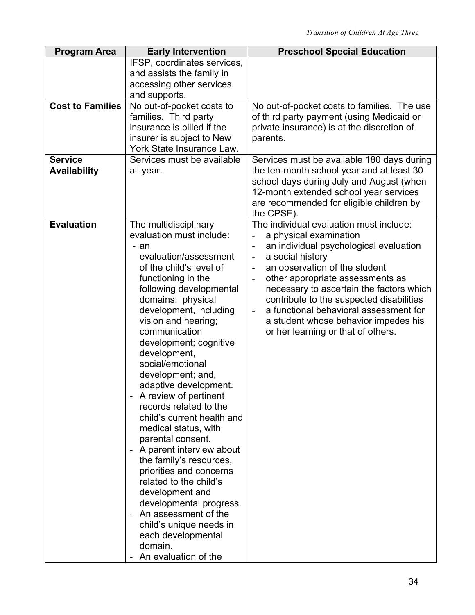| <b>Program Area</b>                   | <b>Early Intervention</b>                                                                                                                                                                                                                                                                                                                                                                                                                                                                                                                                                                                                                                                                                                                                             | <b>Preschool Special Education</b>                                                                                                                                                                                                                                                                                                                                                                                                                                                                               |
|---------------------------------------|-----------------------------------------------------------------------------------------------------------------------------------------------------------------------------------------------------------------------------------------------------------------------------------------------------------------------------------------------------------------------------------------------------------------------------------------------------------------------------------------------------------------------------------------------------------------------------------------------------------------------------------------------------------------------------------------------------------------------------------------------------------------------|------------------------------------------------------------------------------------------------------------------------------------------------------------------------------------------------------------------------------------------------------------------------------------------------------------------------------------------------------------------------------------------------------------------------------------------------------------------------------------------------------------------|
|                                       | IFSP, coordinates services,<br>and assists the family in                                                                                                                                                                                                                                                                                                                                                                                                                                                                                                                                                                                                                                                                                                              |                                                                                                                                                                                                                                                                                                                                                                                                                                                                                                                  |
|                                       | accessing other services<br>and supports.                                                                                                                                                                                                                                                                                                                                                                                                                                                                                                                                                                                                                                                                                                                             |                                                                                                                                                                                                                                                                                                                                                                                                                                                                                                                  |
| <b>Cost to Families</b>               | No out-of-pocket costs to<br>families. Third party<br>insurance is billed if the<br>insurer is subject to New<br>York State Insurance Law.                                                                                                                                                                                                                                                                                                                                                                                                                                                                                                                                                                                                                            | No out-of-pocket costs to families. The use<br>of third party payment (using Medicaid or<br>private insurance) is at the discretion of<br>parents.                                                                                                                                                                                                                                                                                                                                                               |
| <b>Service</b><br><b>Availability</b> | Services must be available<br>all year.                                                                                                                                                                                                                                                                                                                                                                                                                                                                                                                                                                                                                                                                                                                               | Services must be available 180 days during<br>the ten-month school year and at least 30<br>school days during July and August (when<br>12-month extended school year services<br>are recommended for eligible children by<br>the CPSE).                                                                                                                                                                                                                                                                          |
| <b>Evaluation</b>                     | The multidisciplinary<br>evaluation must include:<br>- an<br>evaluation/assessment<br>of the child's level of<br>functioning in the<br>following developmental<br>domains: physical<br>development, including<br>vision and hearing;<br>communication<br>development; cognitive<br>development,<br>social/emotional<br>development; and,<br>adaptive development.<br>A review of pertinent<br>records related to the<br>child's current health and<br>medical status, with<br>parental consent.<br>A parent interview about<br>the family's resources,<br>priorities and concerns<br>related to the child's<br>development and<br>developmental progress.<br>An assessment of the<br>child's unique needs in<br>each developmental<br>domain.<br>An evaluation of the | The individual evaluation must include:<br>a physical examination<br>$\overline{\phantom{a}}$<br>an individual psychological evaluation<br>a social history<br>$\blacksquare$<br>an observation of the student<br>$\overline{\phantom{a}}$<br>other appropriate assessments as<br>necessary to ascertain the factors which<br>contribute to the suspected disabilities<br>a functional behavioral assessment for<br>$\blacksquare$<br>a student whose behavior impedes his<br>or her learning or that of others. |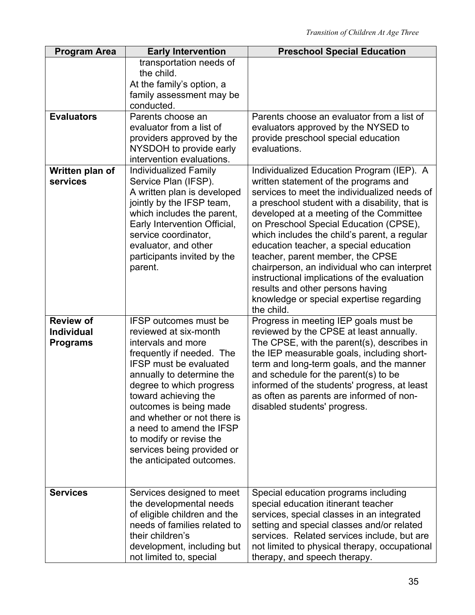| <b>Program Area</b>                                      | <b>Early Intervention</b>                                                                                                                                                                                                                                                                                                                                                                             | <b>Preschool Special Education</b>                                                                                                                                                                                                                                                                                                                                                                                                                                                                                                                                                                    |
|----------------------------------------------------------|-------------------------------------------------------------------------------------------------------------------------------------------------------------------------------------------------------------------------------------------------------------------------------------------------------------------------------------------------------------------------------------------------------|-------------------------------------------------------------------------------------------------------------------------------------------------------------------------------------------------------------------------------------------------------------------------------------------------------------------------------------------------------------------------------------------------------------------------------------------------------------------------------------------------------------------------------------------------------------------------------------------------------|
|                                                          | transportation needs of<br>the child.<br>At the family's option, a<br>family assessment may be<br>conducted.                                                                                                                                                                                                                                                                                          |                                                                                                                                                                                                                                                                                                                                                                                                                                                                                                                                                                                                       |
| <b>Evaluators</b>                                        | Parents choose an<br>evaluator from a list of<br>providers approved by the<br>NYSDOH to provide early<br>intervention evaluations.                                                                                                                                                                                                                                                                    | Parents choose an evaluator from a list of<br>evaluators approved by the NYSED to<br>provide preschool special education<br>evaluations.                                                                                                                                                                                                                                                                                                                                                                                                                                                              |
| Written plan of<br>services                              | <b>Individualized Family</b><br>Service Plan (IFSP).<br>A written plan is developed<br>jointly by the IFSP team,<br>which includes the parent,<br>Early Intervention Official,<br>service coordinator.<br>evaluator, and other<br>participants invited by the<br>parent.                                                                                                                              | Individualized Education Program (IEP). A<br>written statement of the programs and<br>services to meet the individualized needs of<br>a preschool student with a disability, that is<br>developed at a meeting of the Committee<br>on Preschool Special Education (CPSE),<br>which includes the child's parent, a regular<br>education teacher, a special education<br>teacher, parent member, the CPSE<br>chairperson, an individual who can interpret<br>instructional implications of the evaluation<br>results and other persons having<br>knowledge or special expertise regarding<br>the child. |
| <b>Review of</b><br><b>Individual</b><br><b>Programs</b> | <b>IFSP</b> outcomes must be<br>reviewed at six-month<br>intervals and more<br>frequently if needed. The<br><b>IFSP must be evaluated</b><br>annually to determine the<br>degree to which progress<br>toward achieving the<br>outcomes is being made<br>and whether or not there is<br>a need to amend the IFSP<br>to modify or revise the<br>services being provided or<br>the anticipated outcomes. | Progress in meeting IEP goals must be<br>reviewed by the CPSE at least annually.<br>The CPSE, with the parent(s), describes in<br>the IEP measurable goals, including short-<br>term and long-term goals, and the manner<br>and schedule for the parent(s) to be<br>informed of the students' progress, at least<br>as often as parents are informed of non-<br>disabled students' progress.                                                                                                                                                                                                          |
| <b>Services</b>                                          | Services designed to meet<br>the developmental needs<br>of eligible children and the<br>needs of families related to<br>their children's<br>development, including but<br>not limited to, special                                                                                                                                                                                                     | Special education programs including<br>special education itinerant teacher<br>services, special classes in an integrated<br>setting and special classes and/or related<br>services. Related services include, but are<br>not limited to physical therapy, occupational<br>therapy, and speech therapy.                                                                                                                                                                                                                                                                                               |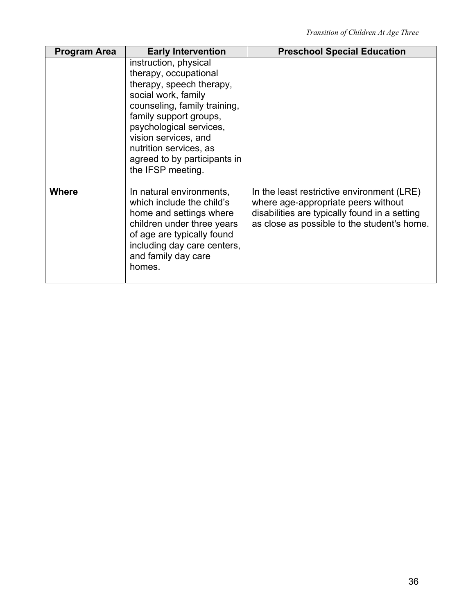| <b>Program Area</b> | <b>Early Intervention</b>                                                                                                                                                                                                                                                                     | <b>Preschool Special Education</b>                                                                                                                                                |
|---------------------|-----------------------------------------------------------------------------------------------------------------------------------------------------------------------------------------------------------------------------------------------------------------------------------------------|-----------------------------------------------------------------------------------------------------------------------------------------------------------------------------------|
|                     | instruction, physical<br>therapy, occupational<br>therapy, speech therapy,<br>social work, family<br>counseling, family training,<br>family support groups,<br>psychological services,<br>vision services, and<br>nutrition services, as<br>agreed to by participants in<br>the IFSP meeting. |                                                                                                                                                                                   |
| Where               | In natural environments,<br>which include the child's<br>home and settings where<br>children under three years<br>of age are typically found<br>including day care centers,<br>and family day care<br>homes.                                                                                  | In the least restrictive environment (LRE)<br>where age-appropriate peers without<br>disabilities are typically found in a setting<br>as close as possible to the student's home. |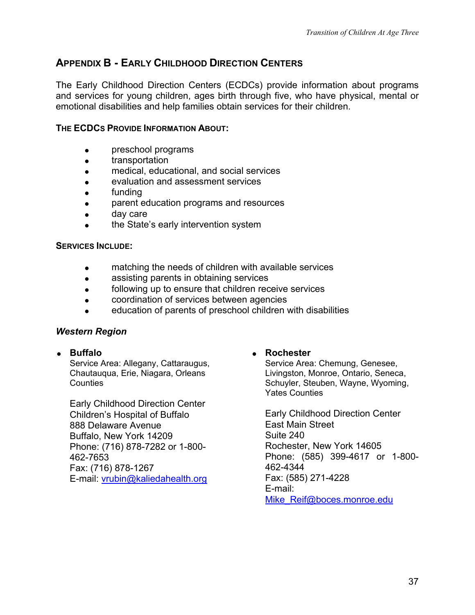# **APPENDIX B - EARLY CHILDHOOD DIRECTION CENTERS**

The Early Childhood Direction Centers (ECDCs) provide information about programs and services for young children, ages birth through five, who have physical, mental or emotional disabilities and help families obtain services for their children.

### **THE ECDCS PROVIDE INFORMATION ABOUT:**

- preschool programs
- **•** transportation
- medical, educational, and social services
- evaluation and assessment services
- funding
- parent education programs and resources
- day care
- the State's early intervention system

### **SERVICES INCLUDE:**

- **•** matching the needs of children with available services
- assisting parents in obtaining services
- **•** following up to ensure that children receive services
- coordination of services between agencies
- education of parents of preschool children with disabilities

### *Western Region*

Service Area: Allegany, Cattaraugus, Chautauqua, Erie, Niagara, Orleans **Counties** 

Early Childhood Direction Center Children's Hospital of Buffalo<br>
Ras Delaware Avenue<br>
Fast Main Street 888 Delaware Avenue Buffalo, New York 14209<br>
Phone: (716) 878-7282 or 1-800-<br>
Suite 240<br>
Rochester, New York 14605 Phone: (716) 878-7282 or 1-800-Fax: (716) 878-1267 E-mail: [vrubin@kaliedahealth.org](mailto:vrubin@kaliedahealth.org) Fax: (585) 271-4228

### **Buffalo Rochester**

Service Area: Chemung, Genesee, Livingston, Monroe, Ontario, Seneca, Schuyler, Steuben, Wayne, Wyoming, Yates Counties

462-7653 Phone: (585) 399-4617 or 1-800- E-mail: [Mike\\_Reif@boces.monroe.edu](mailto:Mike_Reif@boces.monroe.edu)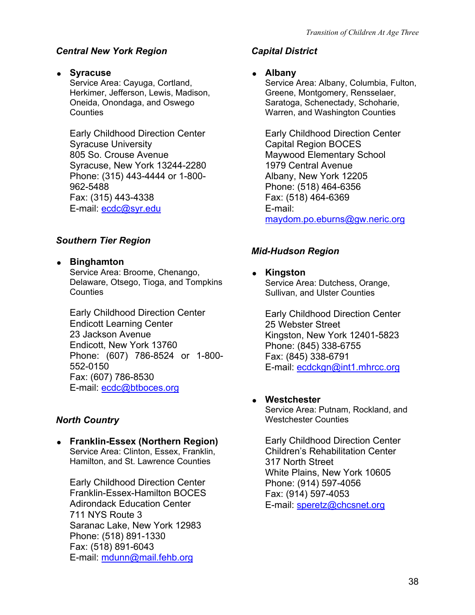# *Central New York Region Capital District*

**Syracuse Community Syracuse** Albany Service Area: Cayuga, Cortland,

Herkimer, Jefferson, Lewis, Madison, Oneida, Onondaga, and Oswego **Counties** 

Early Childhood Direction Center Early Childhood Direction Center Syracuse University **Capital Region BOCES** 805 So. Crouse Avenue Maywood Elementary School Syracuse, New York 13244-2280 1979 Central Avenue Phone: (315) 443-4444 or 1-800- 962-5488 Fax: (315) 443-4338 Fax: (518) 464-6369 E-mail: ecdc@syr.edu E-mail:

# *Southern Tier Region*

**Binghamton** 

Service Area: Broome, Chenango, **and all and Service Area: Broome, Chenango, and all and Kingston** Delaware, Otsego, Tioga, and Tompkins **Counties** 

Early Childhood Direction Center **Early Childhood Direction Center** Endicott Learning Center **25 Webster Street**<br>
23 Jackson Avenue **23 Vermet Contains Container Contains Contains Contains Contains Contains Contains Contain** Endicott, New York 13760 Phone: (845) 338-6755 Phone: (607) 786-8524 or 1-800- 552-0150 Fax: (607) 786-8530 E-mail: ecdc@btboces.org

**Franklin-Essex (Northern Region)** Early Childhood Direction Center<br>Service Area: Clinton, Essex, Franklin. **Children's Rehabilitation Center** Service Area: Clinton, Essex, Franklin, Hamilton, and St. Lawrence Counties 317 North Street

Early Childhood Direction Center Phone: (914) 597-4056 Franklin-Essex-Hamilton BOCES Fax: (914) 597-4053 Adirondack Education Center E-mail: speretz@chcsnet.org 711 NYS Route 3 Saranac Lake, New York 12983 Phone: (518) 891-1330 Fax: (518) 891-6043 E-mail: [mdunn@mail.fehb.org](mailto:mdunn@mail.fehb.org)

Service Area: Albany, Columbia, Fulton, Greene, Montgomery, Rensselaer, Saratoga, Schenectady, Schoharie, Warren, and Washington Counties

Albany, New York 12205 Phone: (518) 464-6356 [maydom.po.eburns@gw.neric.org](mailto:maydom.po.eburns@gw.neric.org)

# *Mid-Hudson Region*

Service Area: Dutchess, Orange, Sullivan, and Ulster Counties

Kingston, New York 12401-5823 Fax: (845) 338-6791 E-mail: ecdckgn@int1.mhrcc.org

# **Westchester**

Service Area: Putnam, Rockland, and **North Country Westchester Counties** 

White Plains, New York 10605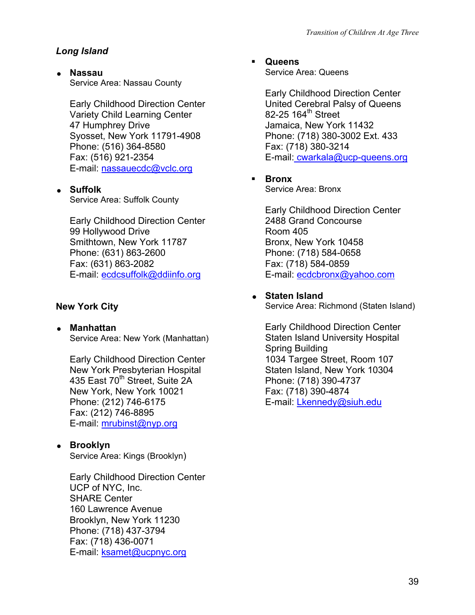# *Long Island*

 **Nassau**  Service Area: Nassau County

Early Childhood Direction Center Variety Child Learning Center 47 Humphrey Drive Syosset, New York 11791-4908 Phone: (516) 364-8580 Fax: (516) 921-2354 E-mail: nassauecdc@vclc.org

# **Suffolk**

Service Area: Suffolk County

Early Childhood Direction Center 99 Hollywood Drive Smithtown, New York 11787 Phone: (631) 863-2600 Fax: (631) 863-2082 E-mail: [ecdcsuffolk@ddiinfo.org](mailto:ecdcsuffolk@ddiinfo.org)

# **New York City**

 **Manhattan**  Service Area: New York (Manhattan)

Early Childhood Direction Center New York Presbyterian Hospital 435 East 70<sup>th</sup> Street, Suite 2A New York, New York 10021 Phone: (212) 746-6175 Fax: (212) 746-8895 E-mail: [mrubinst@nyp.org](mailto:mrubinst@nyp.org)

**Brooklyn** 

Service Area: Kings (Brooklyn)

Early Childhood Direction Center UCP of NYC, Inc. SHARE Center 160 Lawrence Avenue Brooklyn, New York 11230 Phone: (718) 437-3794 Fax: (718) 436-0071 E-mail: [ksamet@ucpnyc.org](mailto:ksamet@ucpnyc.org)

**Queens** 

Service Area: Queens

Early Childhood Direction Center United Cerebral Palsy of Queens 82-25 164 $th$  Street Jamaica, New York 11432 Phone: (718) 380-3002 Ext. 433 Fax: (718) 380-3214 E-mail: cwarkala@ucp-queens.org

**Bronx** 

Service Area: Bronx

Early Childhood Direction Center 2488 Grand Concourse Room 405 Bronx, New York 10458 Phone: (718) 584-0658 Fax: (718) 584-0859 E-mail: [ecdcbronx@yahoo.com](mailto:ecdcbronx@yahoo.com)

# **Staten Island**

Service Area: Richmond (Staten Island)

Early Childhood Direction Center Staten Island University Hospital Spring Building 1034 Targee Street, Room 107 Staten Island, New York 10304 Phone: (718) 390-4737 Fax: (718) 390-4874 E-mail: [Lkennedy@siuh.edu](mailto:Lkennedy@siuh.edu)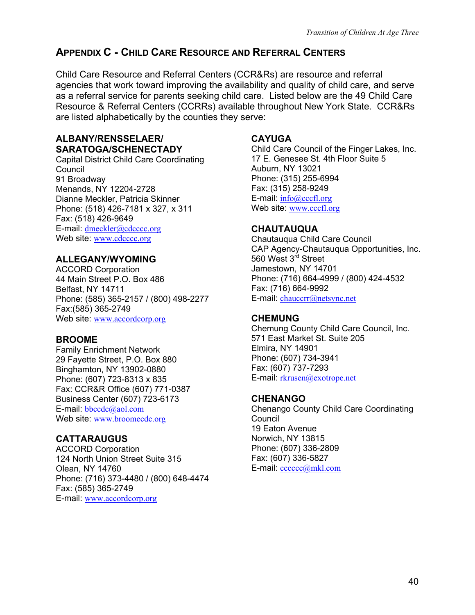# **APPENDIX C - CHILD CARE RESOURCE AND REFERRAL CENTERS**

Child Care Resource and Referral Centers (CCR&Rs) are resource and referral agencies that work toward improving the availability and quality of child care, and serve as a referral service for parents seeking child care. Listed below are the 49 Child Care Resource & Referral Centers (CCRRs) available throughout New York State. CCR&Rs are listed alphabetically by the counties they serve:

# **ALBANY/RENSSELAER/ CAYUGA**

Capital District Child Care Coordinating Council 91 Broadway Menands, NY 12204-2728 Dianne Meckler, Patricia Skinner Phone: (518) 426-7181 x 327, x 311 Fax: (518) 426-9649 E-mail: [dmeckler@cdcccc.org](mailto:dmeckler@cdcccc.org) Web site: [www.cdcccc.org](http://www.cdcccc.org/)

# **ALLEGANY/WYOMING**

ACCORD Corporation 44 Main Street P.O. Box 486 Belfast, NY 14711 Phone: (585) 365-2157 / (800) 498-2277 Fax:(585) 365-2749 Web site: [www.accordcorp.org](http://www.accordcorp.org/) **CHEMUNG** 

# **BROOME**

Family Enrichment Network 29 Fayette Street, P.O. Box 880 Binghamton, NY 13902-0880 Phone: (607) 723-8313 x 835 Fax: CCR&R Office (607) 771-0387 Business Center (607) 723-6173 E-mail: [bbccdc@aol.com](mailto:bbccdc@aol.com) Web site: www.broomecdc.org

# **CATTARAUGUS**

ACCORD Corporation 124 North Union Street Suite 315 Olean, NY 14760 Phone: (716) 373-4480 / (800) 648-4474 Fax: (585) 365-2749 E-mail: [www.accordcorp.org](http://www.accordcorp.org/)

**SARATOGA/SCHENECTADY** Child Care Council of the Finger Lakes, Inc. 17 E. Genesee St. 4th Floor Suite 5 Auburn, NY 13021 Phone: (315) 255-6994 Fax: (315) 258-9249 E-mail: [info@cccfl.org](mailto:info@cccfl.org) Web site: [www.cccfl.org](http://www.cccfl.org/)

# **CHAUTAUQUA**

Chautauqua Child Care Council CAP Agency-Chautauqua Opportunities, Inc. 560 West 3<sup>rd</sup> Street Jamestown, NY 14701 Phone: (716) 664-4999 / (800) 424-4532 Fax: (716) 664-9992 E-mail: [chauccrr@netsync.net](mailto:chauccrr@netsync.net)

Chemung County Child Care Council, Inc. 571 East Market St. Suite 205 Elmira, NY 14901 Phone: (607) 734-3941 Fax: (607) 737-7293 E-mail: [rkrusen@exotrope.net](mailto:rkrusen@exotrope.net)

# **CHENANGO**

Chenango County Child Care Coordinating Council 19 Eaton Avenue Norwich, NY 13815 Phone: (607) 336-2809 Fax: (607) 336-5827 E-mail: [cccccc@mkl.com](mailto:cccccc@mkl.com)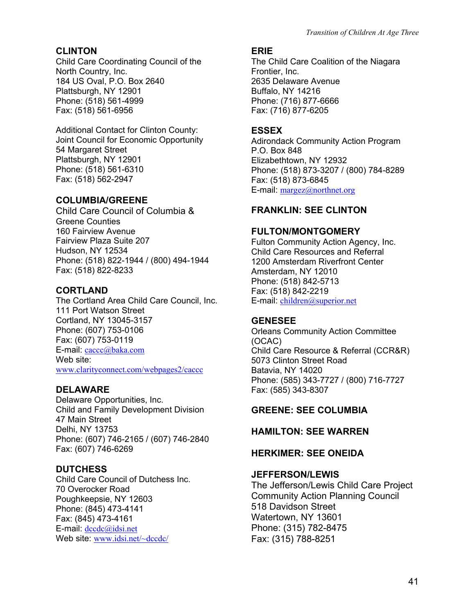# **CLINTON ERIE**

Child Care Coordinating Council of the North Country, Inc. 184 US Oval, P.O. Box 2640 Plattsburgh, NY 12901 Phone: (518) 561-4999 Fax: (518) 561-6956

Additional Contact for Clinton County: **ESSEX**  Joint Council for Economic Opportunity 54 Margaret Street Plattsburgh, NY 12901 Phone: (518) 561-6310 Fax: (518) 562-2947

# **COLUMBIA/GREENE**

Child Care Council of Columbia & **FRANKLIN: SEE CLINTON**  Greene Counties 160 Fairview Avenue Fairview Plaza Suite 207 Hudson, NY 12534 Phone: (518) 822-1944 / (800) 494-1944 Fax: (518) 822-8233

# **CORTLAND**

The Cortland Area Child Care Council, Inc. 111 Port Watson Street Cortland, NY 13045-3157 Phone: (607) 753-0106 Fax: (607) 753-0119 E-mail: [caccc@baka.com](mailto:caccc@baka.com) Web site: [www.clarityconnect.com/webpages2/caccc](http://www.clarityconnect.com/webpages2/caccc)

Delaware Opportunities, Inc. Child and Family Development Division 47 Main Street Delhi, NY 13753 Phone: (607) 746-2165 / (607) 746-2840 Fax: (607) 746-6269

**DUTCHESS**<br>Child Care Council of Dutchess Inc. **JEFFERSON/LEWIS** 70 Overocker Road Poughkeepsie, NY 12603 Phone: (845) 473-4141 Fax: (845) 473-4161 E-mail: [dccdc@idsi.net](mailto:dccdc@idsi.net) Web site: [www.idsi.net/~dccdc/](http://www.idsi.net/%7Edccdc)

The Child Care Coalition of the Niagara Frontier, Inc. 2635 Delaware Avenue Buffalo, NY 14216 Phone: (716) 877-6666 Fax: (716) 877-6205

Adirondack Community Action Program P.O. Box 848 Elizabethtown, NY 12932 Phone: (518) 873-3207 / (800) 784-8289 Fax: (518) 873-6845 E-mail: [margez@northnet.org](mailto:margez@northnet.org)

# **FULTON/MONTGOMERY**

Fulton Community Action Agency, Inc. Child Care Resources and Referral 1200 Amsterdam Riverfront Center Amsterdam, NY 12010 Phone: (518) 842-5713 Fax: (518) 842-2219 E-mail: [children@superior.net](mailto:children@superior.net)

# **GENESEE**

Orleans Community Action Committee (OCAC) Child Care Resource & Referral (CCR&R) 5073 Clinton Street Road Batavia, NY 14020 Phone: (585) 343-7727 / (800) 716-7727 **DELAWARE** Fax: (585) 343-8307

# **GREENE: SEE COLUMBIA**

# **HAMILTON: SEE WARREN**

# **HERKIMER: SEE ONEIDA**

The Jefferson/Lewis Child Care Project Community Action Planning Council 518 Davidson Street Watertown, NY 13601 Phone: (315) 782-8475 Fax: (315) 788-8251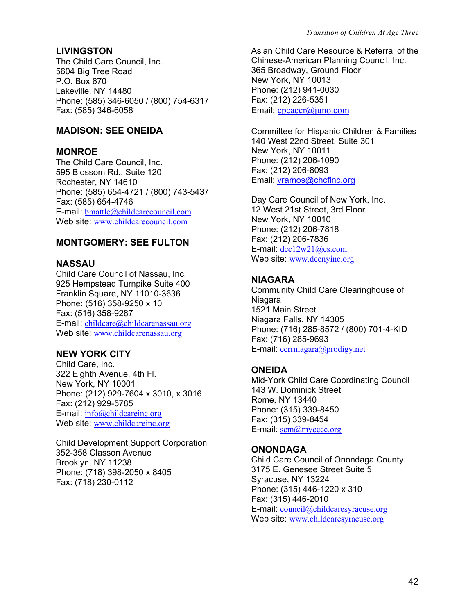The Child Care Council, Inc. 5604 Big Tree Road P.O. Box 670 Lakeville, NY 14480 Phone: (585) 346-6050 / (800) 754-6317 Fax: (585) 346-6058

#### **MONROE**

The Child Care Council, Inc. 595 Blossom Rd., Suite 120 Rochester, NY 14610 Phone: (585) 654-4721 / (800) 743-5437 Fax: (585) 654-4746 E-mail: [bmattle@childcarecouncil.com](mailto:bmattle@childcarecouncil.com) Web site: [www.childcarecouncil.com](http://www.childcarecouncil.com/)

### **MONTGOMERY: SEE FULTON**

#### **NASSAU**

Child Care Council of Nassau, Inc. 925 Hempstead Turnpike Suite 400 Franklin Square, NY 11010-3636 Phone: (516) 358-9250 x 10 Fax: (516) 358-9287 E-mail: [childcare@childcarenassau.org](mailto:childcare@childcarenassau.org) Web site: [www.childcarenassau.org](http://www.childcarenassau.org/)

Child Care, Inc. 322 Eighth Avenue, 4th Fl. New York, NY 10001 Phone: (212) 929-7604 x 3010, x 3016 Fax: (212) 929-5785 E-mail: [info@childcareinc.org](mailto:info@childcareinc.org) Web site: [www.childcareinc.org](http://www.childcareinc.org/)

Child Development Support Corporation 352-358 Classon Avenue Brooklyn, NY 11238 Phone: (718) 398-2050 x 8405 Fax: (718) 230-0112

**LIVINGSTON** Asian Child Care Resource & Referral of the Chinese-American Planning Council, Inc. 365 Broadway, Ground Floor New York, NY 10013 Phone: (212) 941-0030 Fax: (212) 226-5351 Email: [cpcaccr@juno.com](mailto:cpcaccr@juno.com)

**MADISON: SEE ONEIDA** Committee for Hispanic Children & Families 140 West 22nd Street, Suite 301 New York, NY 10011 Phone: (212) 206-1090 Fax: (212) 206-8093 Email: vramos@chcfinc.org

> Day Care Council of New York, Inc. 12 West 21st Street, 3rd Floor New York, NY 10010 Phone: (212) 206-7818 Fax: (212) 206-7836 E-mail: [dcc12w21@cs.com](mailto:dcc12w21@cs.com) Web site: [www.dccnyinc.org](http://www.dccnyinc.org/)

#### **NIAGARA**

Community Child Care Clearinghouse of **Niagara** 1521 Main Street Niagara Falls, NY 14305 Phone: (716) 285-8572 / (800) 701-4-KID Fax: (716) 285-9693 E-mail: [ccrrniagara@prodigy.net](mailto:ccrrniagara@prodigy.net) **NEW YORK CITY** 

#### **ONEIDA**

Mid-York Child Care Coordinating Council 143 W. Dominick Street Rome, NY 13440 Phone: (315) 339-8450 Fax: (315) 339-8454 E-mail: [scm@mycccc.org](mailto:scm@mycccc.org)

#### **ONONDAGA**

Child Care Council of Onondaga County 3175 E. Genesee Street Suite 5 Syracuse, NY 13224 Phone: (315) 446-1220 x 310 Fax: (315) 446-2010 E-mail: [council@childcaresyracuse.org](mailto:www.wdsny.org/oneida/mycc.htm) Web site: [www.childcaresyracuse.org](http://www.childcaresyracuse.org/)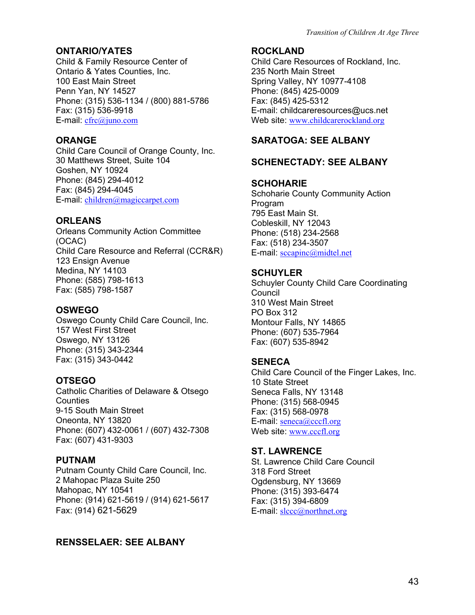# **ONTARIO/YATES ROCKLAND**

Child & Family Resource Center of Ontario & Yates Counties, Inc. 100 East Main Street Penn Yan, NY 14527 Phone: (315) 536-1134 / (800) 881-5786 Fax: (315) 536-9918 E-mail: [cfrc@juno.com](mailto:cfrc@juno.com)

Child Care Council of Orange County, Inc. 30 Matthews Street, Suite 104 Goshen, NY 10924 Phone: (845) 294-4012 Fax: (845) 294-4045 E-mail: [children@magiccarpet.com](mailto:children@magiccarpet.com)

# **ORLEANS**

Orleans Community Action Committee (OCAC) Child Care Resource and Referral (CCR&R) 123 Ensign Avenue Medina, NY 14103 Phone: (585) 798-1613 Fax: (585) 798-1587

Oswego County Child Care Council, Inc. 157 West First Street Oswego, NY 13126 Phone: (315) 343-2344 Fax: (315) 343-0442 **SENECA** 

# **OTSEGO**

Catholic Charities of Delaware & Otsego **Counties** 9-15 South Main Street Oneonta, NY 13820 Phone: (607) 432-0061 / (607) 432-7308 Fax: (607) 431-9303

Putnam County Child Care Council, Inc. 2 Mahopac Plaza Suite 250 Mahopac, NY 10541 Phone: (914) 621-5619 / (914) 621-5617 Fax: (914) 621-5629

# **RENSSELAER: SEE ALBANY**

Child Care Resources of Rockland, Inc. 235 North Main Street Spring Valley, NY 10977-4108 Phone: (845) 425-0009 Fax: (845) 425-5312 E-mail: childcareresources@ucs.net Web site: [www.childcarerockland.org](http://www.childcarerockland.org/)

# **ORANGE** SARATOGA: SEE ALBANY

# **SCHENECTADY: SEE ALBANY**

### **SCHOHARIE**

Schoharie County Community Action Program 795 East Main St. Cobleskill, NY 12043 Phone: (518) 234-2568 Fax: (518) 234-3507 E-mail: [sccapinc@midtel.net](mailto:sccapinc@midtel.net)

### **SCHUYLER**

Schuyler County Child Care Coordinating Council 310 West Main Street **OSWEGO** PO Box 312 Montour Falls, NY 14865 Phone: (607) 535-7964 Fax: (607) 535-8942

Child Care Council of the Finger Lakes, Inc. 10 State Street Seneca Falls, NY 13148 Phone: (315) 568-0945 Fax: (315) 568-0978 E-mail: [seneca@cccfl.org](mailto:seneca@cccfl.org) Web site: [www.cccfl.org](http://www.cccfl.org/)

# **ST. LAWRENCE**

**PUTNAM** St. Lawrence Child Care Council 318 Ford Street Ogdensburg, NY 13669 Phone: (315) 393-6474 Fax: (315) 394-6809 E-mail: [slccc@northnet.org](mailto:slccc@northnet.org)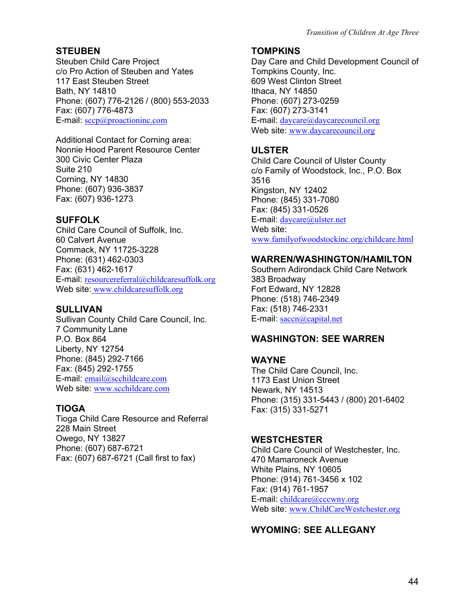# **STEUBEN**

Steuben Child Care Project c/o Pro Action of Steuben and Yates 117 East Steuben Street Bath, NY 14810 Phone: (607) 776-2126 / (800) 553-2033 Fax: (607) 776-4873 E-mail: [sccp@proactioninc.com](mailto:sccp@proactioninc.com)

Additional Contact for Corning area: Nonnie Hood Parent Resource Center 300 Civic Center Plaza Suite 210 Corning, NY 14830 Phone: (607) 936-3837 Fax: (607) 936-1273

### **SUFFOLK**

Child Care Council of Suffolk, Inc. 60 Calvert Avenue Commack, NY 11725-3228 Phone: (631) 462-0303 Fax: (631) 462-1617 E-mail: [resourcereferral@childcaresuffolk.org](mailto:resourcereferral@childcaresuffolk.org) Web site: [www.childcaresuffolk.org](http://www.childcaresuffolk.org/)

### **SULLIVAN**

Sullivan County Child Care Council, Inc. 7 Community Lane P.O. Box 864 Liberty, NY 12754 Phone: (845) 292-7166 Fax: (845) 292-1755 E-mail: [email@scchildcare.com](mailto:email@scchildcare.com) Web site: [www.scchildcare.com](http://www.scchildcare.com/)

# **TIOGA**

Tioga Child Care Resource and Referral 228 Main Street Owego, NY 13827 Phone: (607) 687-6721 Fax: (607) 687-6721 (Call first to fax)

### **TOMPKINS**

Day Care and Child Development Council of Tompkins County, Inc. 609 West Clinton Street Ithaca, NY 14850 Phone: (607) 273-0259 Fax: (607) 273-3141 E-mail: [daycare@daycarecouncil.org](mailto:daycare@daycarecouncil.org) Web site: [www.daycarecouncil.org](http://www.daycarecouncil.org/)

# **ULSTER**

Child Care Council of Ulster County c/o Family of Woodstock, Inc., P.O. Box 3516 Kingston, NY 12402 Phone: (845) 331-7080 Fax: (845) 331-0526 E-mail: [daycare@ulster.net](mailto:daycare@ulster.net) Web site: [www.familyofwoodstockinc.org/childcare.html](http://www.familyofwoodstockinc.org/childcare.html)

# **WARREN/WASHINGTON/HAMILTON**

Southern Adirondack Child Care Network 383 Broadway Fort Edward, NY 12828 Phone: (518) 746-2349 Fax: (518) 746-2331 E-mail: [saccn@capital.net](mailto:saccn@capital.net)

# **WASHINGTON: SEE WARREN**

# **WAYNE**

The Child Care Council, Inc. 1173 East Union Street Newark, NY 14513 Phone: (315) 331-5443 / (800) 201-6402 Fax: (315) 331-5271

# **WESTCHESTER**

Child Care Council of Westchester, Inc. 470 Mamaroneck Avenue White Plains, NY 10605 Phone: (914) 761-3456 x 102 Fax: (914) 761-1957 E-mail: [childcare@cccwny.org](mailto:childcare@cccwny.org) Web site: [www.ChildCareWestchester.org](http://www.childcarewestchester.org/)

# **WYOMING: SEE ALLEGANY**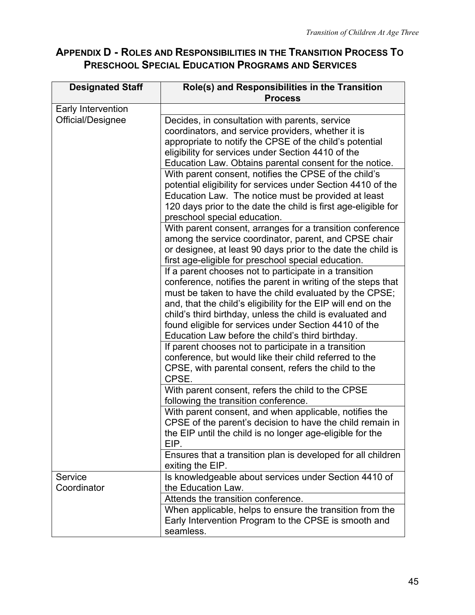# **APPENDIX D - ROLES AND RESPONSIBILITIES IN THE TRANSITION PROCESS TO PRESCHOOL SPECIAL EDUCATION PROGRAMS AND SERVICES**

| <b>Designated Staff</b> | Role(s) and Responsibilities in the Transition<br><b>Process</b>                                                                                                                                                                                                                                                                                                                                                            |
|-------------------------|-----------------------------------------------------------------------------------------------------------------------------------------------------------------------------------------------------------------------------------------------------------------------------------------------------------------------------------------------------------------------------------------------------------------------------|
| Early Intervention      |                                                                                                                                                                                                                                                                                                                                                                                                                             |
| Official/Designee       | Decides, in consultation with parents, service<br>coordinators, and service providers, whether it is<br>appropriate to notify the CPSE of the child's potential<br>eligibility for services under Section 4410 of the<br>Education Law. Obtains parental consent for the notice.                                                                                                                                            |
|                         | With parent consent, notifies the CPSE of the child's<br>potential eligibility for services under Section 4410 of the<br>Education Law. The notice must be provided at least<br>120 days prior to the date the child is first age-eligible for<br>preschool special education.                                                                                                                                              |
|                         | With parent consent, arranges for a transition conference<br>among the service coordinator, parent, and CPSE chair<br>or designee, at least 90 days prior to the date the child is<br>first age-eligible for preschool special education.                                                                                                                                                                                   |
|                         | If a parent chooses not to participate in a transition<br>conference, notifies the parent in writing of the steps that<br>must be taken to have the child evaluated by the CPSE;<br>and, that the child's eligibility for the EIP will end on the<br>child's third birthday, unless the child is evaluated and<br>found eligible for services under Section 4410 of the<br>Education Law before the child's third birthday. |
|                         | If parent chooses not to participate in a transition<br>conference, but would like their child referred to the<br>CPSE, with parental consent, refers the child to the<br>CPSE.                                                                                                                                                                                                                                             |
|                         | With parent consent, refers the child to the CPSE<br>following the transition conference.                                                                                                                                                                                                                                                                                                                                   |
|                         | With parent consent, and when applicable, notifies the<br>CPSE of the parent's decision to have the child remain in<br>the EIP until the child is no longer age-eligible for the<br>EIP.                                                                                                                                                                                                                                    |
|                         | Ensures that a transition plan is developed for all children<br>exiting the EIP.                                                                                                                                                                                                                                                                                                                                            |
| Service<br>Coordinator  | Is knowledgeable about services under Section 4410 of<br>the Education Law.                                                                                                                                                                                                                                                                                                                                                 |
|                         | Attends the transition conference.                                                                                                                                                                                                                                                                                                                                                                                          |
|                         | When applicable, helps to ensure the transition from the<br>Early Intervention Program to the CPSE is smooth and<br>seamless.                                                                                                                                                                                                                                                                                               |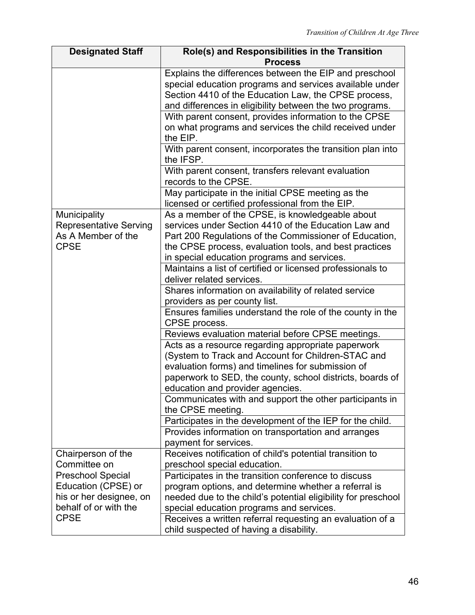| <b>Designated Staff</b>       | Role(s) and Responsibilities in the Transition                                                         |
|-------------------------------|--------------------------------------------------------------------------------------------------------|
|                               | <b>Process</b>                                                                                         |
|                               | Explains the differences between the EIP and preschool                                                 |
|                               | special education programs and services available under                                                |
|                               | Section 4410 of the Education Law, the CPSE process,                                                   |
|                               | and differences in eligibility between the two programs.                                               |
|                               | With parent consent, provides information to the CPSE                                                  |
|                               | on what programs and services the child received under                                                 |
|                               | the EIP.                                                                                               |
|                               | With parent consent, incorporates the transition plan into<br>the IFSP.                                |
|                               | With parent consent, transfers relevant evaluation<br>records to the CPSE.                             |
|                               | May participate in the initial CPSE meeting as the<br>licensed or certified professional from the EIP. |
| Municipality                  | As a member of the CPSE, is knowledgeable about                                                        |
| <b>Representative Serving</b> | services under Section 4410 of the Education Law and                                                   |
| As A Member of the            | Part 200 Regulations of the Commissioner of Education,                                                 |
| <b>CPSE</b>                   | the CPSE process, evaluation tools, and best practices                                                 |
|                               | in special education programs and services.                                                            |
|                               | Maintains a list of certified or licensed professionals to                                             |
|                               | deliver related services.                                                                              |
|                               | Shares information on availability of related service                                                  |
|                               | providers as per county list.                                                                          |
|                               | Ensures families understand the role of the county in the                                              |
|                               | CPSE process.                                                                                          |
|                               | Reviews evaluation material before CPSE meetings.                                                      |
|                               | Acts as a resource regarding appropriate paperwork                                                     |
|                               | (System to Track and Account for Children-STAC and                                                     |
|                               | evaluation forms) and timelines for submission of                                                      |
|                               | paperwork to SED, the county, school districts, boards of                                              |
|                               | education and provider agencies.                                                                       |
|                               | Communicates with and support the other participants in                                                |
|                               | the CPSE meeting.                                                                                      |
|                               | Participates in the development of the IEP for the child.                                              |
|                               | Provides information on transportation and arranges                                                    |
|                               | payment for services.                                                                                  |
| Chairperson of the            | Receives notification of child's potential transition to                                               |
| Committee on                  | preschool special education.                                                                           |
| <b>Preschool Special</b>      | Participates in the transition conference to discuss                                                   |
| Education (CPSE) or           | program options, and determine whether a referral is                                                   |
| his or her designee, on       | needed due to the child's potential eligibility for preschool                                          |
| behalf of or with the         | special education programs and services.                                                               |
| <b>CPSE</b>                   | Receives a written referral requesting an evaluation of a                                              |
|                               | child suspected of having a disability.                                                                |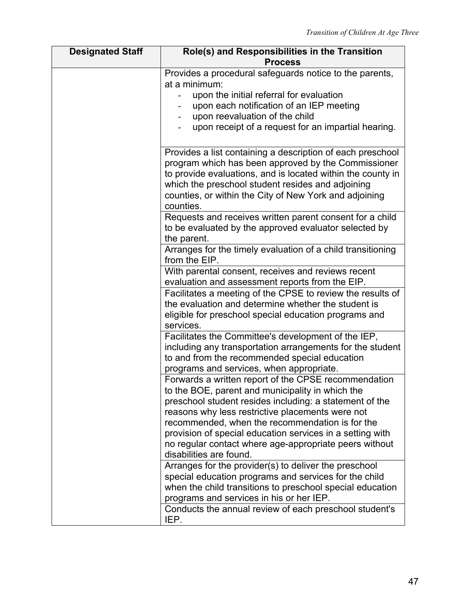| <b>Designated Staff</b> | Role(s) and Responsibilities in the Transition                                                                                                                          |
|-------------------------|-------------------------------------------------------------------------------------------------------------------------------------------------------------------------|
|                         | <b>Process</b>                                                                                                                                                          |
|                         | Provides a procedural safeguards notice to the parents,                                                                                                                 |
|                         | at a minimum:                                                                                                                                                           |
|                         | upon the initial referral for evaluation                                                                                                                                |
|                         | upon each notification of an IEP meeting                                                                                                                                |
|                         | upon reevaluation of the child                                                                                                                                          |
|                         | upon receipt of a request for an impartial hearing.                                                                                                                     |
|                         |                                                                                                                                                                         |
|                         | Provides a list containing a description of each preschool                                                                                                              |
|                         | program which has been approved by the Commissioner                                                                                                                     |
|                         | to provide evaluations, and is located within the county in                                                                                                             |
|                         | which the preschool student resides and adjoining                                                                                                                       |
|                         | counties, or within the City of New York and adjoining                                                                                                                  |
|                         | counties.                                                                                                                                                               |
|                         | Requests and receives written parent consent for a child                                                                                                                |
|                         | to be evaluated by the approved evaluator selected by                                                                                                                   |
|                         | the parent.                                                                                                                                                             |
|                         | Arranges for the timely evaluation of a child transitioning                                                                                                             |
|                         | from the EIP.                                                                                                                                                           |
|                         | With parental consent, receives and reviews recent                                                                                                                      |
|                         | evaluation and assessment reports from the EIP.                                                                                                                         |
|                         | Facilitates a meeting of the CPSE to review the results of                                                                                                              |
|                         | the evaluation and determine whether the student is                                                                                                                     |
|                         | eligible for preschool special education programs and                                                                                                                   |
|                         | services.                                                                                                                                                               |
|                         | Facilitates the Committee's development of the IEP,                                                                                                                     |
|                         | including any transportation arrangements for the student                                                                                                               |
|                         | to and from the recommended special education                                                                                                                           |
|                         | programs and services, when appropriate.                                                                                                                                |
|                         | Forwards a written report of the CPSE recommendation                                                                                                                    |
|                         | to the BOE, parent and municipality in which the                                                                                                                        |
|                         | preschool student resides including: a statement of the                                                                                                                 |
|                         | reasons why less restrictive placements were not                                                                                                                        |
|                         | recommended, when the recommendation is for the                                                                                                                         |
|                         | provision of special education services in a setting with                                                                                                               |
|                         | no regular contact where age-appropriate peers without<br>disabilities are found.                                                                                       |
|                         | Arranges for the provider(s) to deliver the preschool                                                                                                                   |
|                         | special education programs and services for the child                                                                                                                   |
|                         |                                                                                                                                                                         |
|                         |                                                                                                                                                                         |
|                         |                                                                                                                                                                         |
|                         |                                                                                                                                                                         |
|                         | when the child transitions to preschool special education<br>programs and services in his or her IEP.<br>Conducts the annual review of each preschool student's<br>IEP. |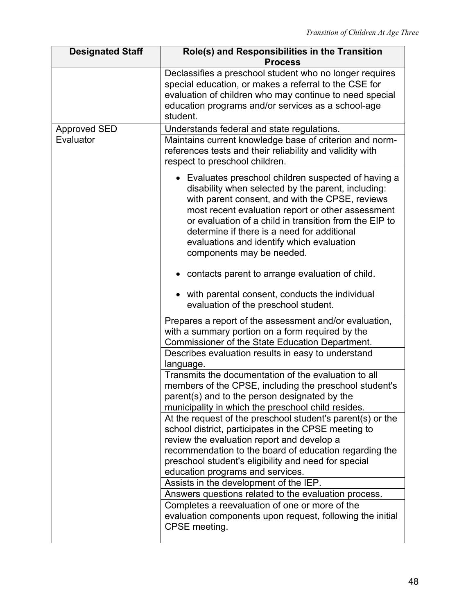| <b>Designated Staff</b> | Role(s) and Responsibilities in the Transition                                                                                                                                                                                                                                                                                                                                                        |
|-------------------------|-------------------------------------------------------------------------------------------------------------------------------------------------------------------------------------------------------------------------------------------------------------------------------------------------------------------------------------------------------------------------------------------------------|
|                         | <b>Process</b>                                                                                                                                                                                                                                                                                                                                                                                        |
|                         | Declassifies a preschool student who no longer requires<br>special education, or makes a referral to the CSE for<br>evaluation of children who may continue to need special<br>education programs and/or services as a school-age<br>student.                                                                                                                                                         |
| Approved SED            | Understands federal and state regulations.                                                                                                                                                                                                                                                                                                                                                            |
| Evaluator               | Maintains current knowledge base of criterion and norm-<br>references tests and their reliability and validity with<br>respect to preschool children.                                                                                                                                                                                                                                                 |
|                         | • Evaluates preschool children suspected of having a<br>disability when selected by the parent, including:<br>with parent consent, and with the CPSE, reviews<br>most recent evaluation report or other assessment<br>or evaluation of a child in transition from the EIP to<br>determine if there is a need for additional<br>evaluations and identify which evaluation<br>components may be needed. |
|                         | contacts parent to arrange evaluation of child.                                                                                                                                                                                                                                                                                                                                                       |
|                         | with parental consent, conducts the individual<br>evaluation of the preschool student.                                                                                                                                                                                                                                                                                                                |
|                         | Prepares a report of the assessment and/or evaluation,<br>with a summary portion on a form required by the<br>Commissioner of the State Education Department.                                                                                                                                                                                                                                         |
|                         | Describes evaluation results in easy to understand<br>language.                                                                                                                                                                                                                                                                                                                                       |
|                         | Transmits the documentation of the evaluation to all<br>members of the CPSE, including the preschool student's<br>parent(s) and to the person designated by the<br>municipality in which the preschool child resides.                                                                                                                                                                                 |
|                         | At the request of the preschool student's parent(s) or the<br>school district, participates in the CPSE meeting to<br>review the evaluation report and develop a<br>recommendation to the board of education regarding the<br>preschool student's eligibility and need for special                                                                                                                    |
|                         | education programs and services.                                                                                                                                                                                                                                                                                                                                                                      |
|                         | Assists in the development of the IEP.                                                                                                                                                                                                                                                                                                                                                                |
|                         | Answers questions related to the evaluation process.                                                                                                                                                                                                                                                                                                                                                  |
|                         | Completes a reevaluation of one or more of the<br>evaluation components upon request, following the initial<br>CPSE meeting.                                                                                                                                                                                                                                                                          |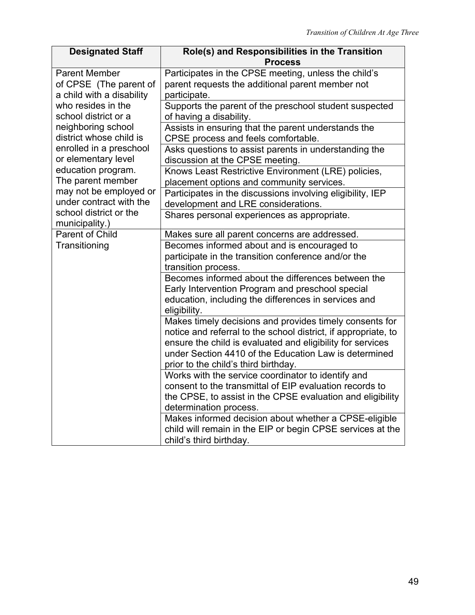| <b>Designated Staff</b>                                                     | Role(s) and Responsibilities in the Transition<br><b>Process</b>                                                                                                                                                                                                                         |
|-----------------------------------------------------------------------------|------------------------------------------------------------------------------------------------------------------------------------------------------------------------------------------------------------------------------------------------------------------------------------------|
| <b>Parent Member</b><br>of CPSE (The parent of<br>a child with a disability | Participates in the CPSE meeting, unless the child's<br>parent requests the additional parent member not<br>participate.                                                                                                                                                                 |
| who resides in the<br>school district or a                                  | Supports the parent of the preschool student suspected<br>of having a disability.                                                                                                                                                                                                        |
| neighboring school<br>district whose child is                               | Assists in ensuring that the parent understands the<br>CPSE process and feels comfortable.                                                                                                                                                                                               |
| enrolled in a preschool<br>or elementary level                              | Asks questions to assist parents in understanding the<br>discussion at the CPSE meeting.                                                                                                                                                                                                 |
| education program.<br>The parent member                                     | Knows Least Restrictive Environment (LRE) policies,<br>placement options and community services.                                                                                                                                                                                         |
| may not be employed or<br>under contract with the                           | Participates in the discussions involving eligibility, IEP<br>development and LRE considerations.                                                                                                                                                                                        |
| school district or the<br>municipality.)                                    | Shares personal experiences as appropriate.                                                                                                                                                                                                                                              |
| Parent of Child                                                             | Makes sure all parent concerns are addressed.                                                                                                                                                                                                                                            |
| Transitioning                                                               | Becomes informed about and is encouraged to<br>participate in the transition conference and/or the<br>transition process.                                                                                                                                                                |
|                                                                             | Becomes informed about the differences between the<br>Early Intervention Program and preschool special<br>education, including the differences in services and<br>eligibility.                                                                                                           |
|                                                                             | Makes timely decisions and provides timely consents for<br>notice and referral to the school district, if appropriate, to<br>ensure the child is evaluated and eligibility for services<br>under Section 4410 of the Education Law is determined<br>prior to the child's third birthday. |
|                                                                             | Works with the service coordinator to identify and<br>consent to the transmittal of EIP evaluation records to<br>the CPSE, to assist in the CPSE evaluation and eligibility<br>determination process.                                                                                    |
|                                                                             | Makes informed decision about whether a CPSE-eligible<br>child will remain in the EIP or begin CPSE services at the<br>child's third birthday.                                                                                                                                           |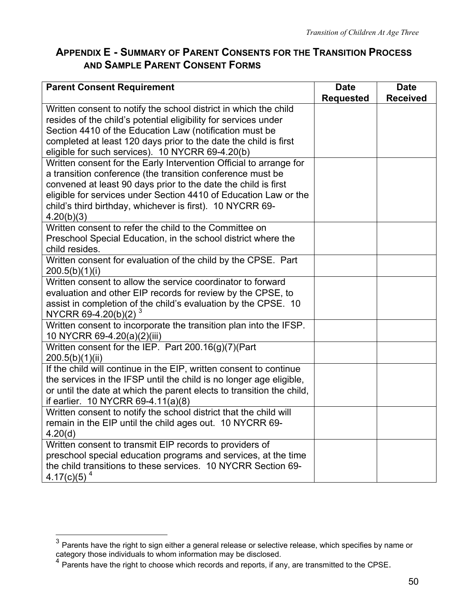# **APPENDIX E - SUMMARY OF PARENT CONSENTS FOR THE TRANSITION PROCESS AND SAMPLE PARENT CONSENT FORMS**

| <b>Parent Consent Requirement</b>                                                                       | <b>Date</b>      | <b>Date</b>     |
|---------------------------------------------------------------------------------------------------------|------------------|-----------------|
|                                                                                                         | <b>Requested</b> | <b>Received</b> |
| Written consent to notify the school district in which the child                                        |                  |                 |
| resides of the child's potential eligibility for services under                                         |                  |                 |
| Section 4410 of the Education Law (notification must be                                                 |                  |                 |
| completed at least 120 days prior to the date the child is first                                        |                  |                 |
| eligible for such services). 10 NYCRR 69-4.20(b)                                                        |                  |                 |
| Written consent for the Early Intervention Official to arrange for                                      |                  |                 |
| a transition conference (the transition conference must be                                              |                  |                 |
| convened at least 90 days prior to the date the child is first                                          |                  |                 |
| eligible for services under Section 4410 of Education Law or the                                        |                  |                 |
| child's third birthday, whichever is first). 10 NYCRR 69-                                               |                  |                 |
| 4.20(b)(3)                                                                                              |                  |                 |
| Written consent to refer the child to the Committee on                                                  |                  |                 |
| Preschool Special Education, in the school district where the                                           |                  |                 |
| child resides.                                                                                          |                  |                 |
| Written consent for evaluation of the child by the CPSE. Part                                           |                  |                 |
| 200.5(b)(1)(i)                                                                                          |                  |                 |
| Written consent to allow the service coordinator to forward                                             |                  |                 |
| evaluation and other EIP records for review by the CPSE, to                                             |                  |                 |
| assist in completion of the child's evaluation by the CPSE. 10                                          |                  |                 |
| NYCRR 69-4.20(b)(2) $3$                                                                                 |                  |                 |
| Written consent to incorporate the transition plan into the IFSP.                                       |                  |                 |
| 10 NYCRR 69-4.20(a)(2)(iii)                                                                             |                  |                 |
| Written consent for the IEP. Part 200.16(g)(7)(Part                                                     |                  |                 |
| 200.5(b)(1)(ii)                                                                                         |                  |                 |
| If the child will continue in the EIP, written consent to continue                                      |                  |                 |
| the services in the IFSP until the child is no longer age eligible,                                     |                  |                 |
| or until the date at which the parent elects to transition the child,                                   |                  |                 |
| if earlier. 10 NYCRR 69-4.11(a)(8)<br>Written consent to notify the school district that the child will |                  |                 |
| remain in the EIP until the child ages out. 10 NYCRR 69-                                                |                  |                 |
| 4.20(d)                                                                                                 |                  |                 |
| Written consent to transmit EIP records to providers of                                                 |                  |                 |
| preschool special education programs and services, at the time                                          |                  |                 |
| the child transitions to these services. 10 NYCRR Section 69-                                           |                  |                 |
| 4.17(c)(5) <sup>4</sup>                                                                                 |                  |                 |

 $\overline{a}$ 

<span id="page-53-0"></span> $^3$  Parents have the right to sign either a general release or selective release, which specifies by name or category those individuals to whom information may be disclosed.

<span id="page-53-1"></span> $4$  Parents have the right to choose which records and reports, if any, are transmitted to the CPSE.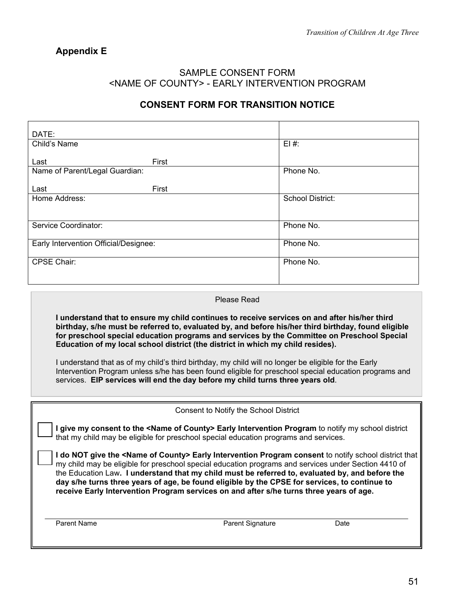# **Appendix E**

#### SAMPLE CONSENT FORM <NAME OF COUNTY> - EARLY INTERVENTION PROGRAM

### **CONSENT FORM FOR TRANSITION NOTICE**

| DATE:                                 |       |                         |
|---------------------------------------|-------|-------------------------|
| Child's Name                          |       | $EI#$ :                 |
|                                       |       |                         |
| Last                                  | First |                         |
| Name of Parent/Legal Guardian:        |       | Phone No.               |
|                                       |       |                         |
| Last                                  | First |                         |
| Home Address:                         |       | <b>School District:</b> |
|                                       |       |                         |
|                                       |       |                         |
| Service Coordinator:                  |       | Phone No.               |
|                                       |       |                         |
| Early Intervention Official/Designee: |       | Phone No.               |
|                                       |       |                         |
| CPSE Chair:                           |       | Phone No.               |
|                                       |       |                         |
|                                       |       |                         |

#### Please Read

**I understand that to ensure my child continues to receive services on and after his/her third birthday, s/he must be referred to, evaluated by, and before his/her third birthday, found eligible for preschool special education programs and services by the Committee on Preschool Special Education of my local school district (the district in which my child resides).**

I understand that as of my child's third birthday, my child will no longer be eligible for the Early Intervention Program unless s/he has been found eligible for preschool special education programs and services. **EIP services will end the day before my child turns three years old**.

| Consent to Notify the School District |
|---------------------------------------|
|---------------------------------------|

**I give my consent to the <Name of County> Early Intervention Program** to notify my school district that my child may be eligible for preschool special education programs and services.

**I do NOT give the <Name of County> Early Intervention Program consent** to notify school district that my child may be eligible for preschool special education programs and services under Section 4410 of the Education Law**. I understand that my child must be referred to, evaluated by, and before the day s/he turns three years of age, be found eligible by the CPSE for services, to continue to receive Early Intervention Program services on and after s/he turns three years of age.** 

Parent Name **Parent Signature** Date **Parent Signature** Date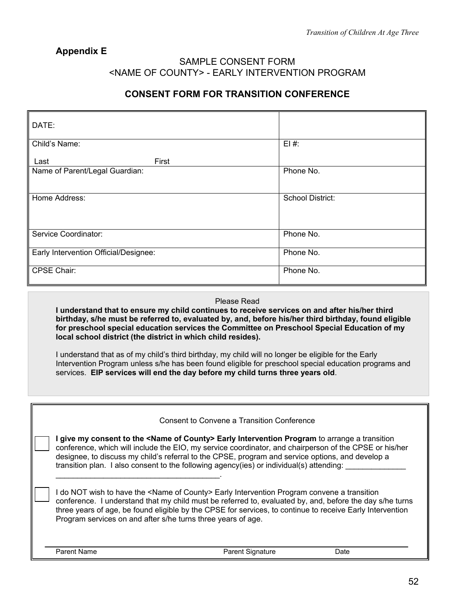### **Appendix E**

#### SAMPLE CONSENT FORM <NAME OF COUNTY> - EARLY INTERVENTION PROGRAM

### **CONSENT FORM FOR TRANSITION CONFERENCE**

| DATE:                                 |                         |
|---------------------------------------|-------------------------|
| Child's Name:                         | $EI#$ :                 |
| First<br>Last                         |                         |
| Name of Parent/Legal Guardian:        | Phone No.               |
|                                       |                         |
| Home Address:                         | <b>School District:</b> |
|                                       |                         |
|                                       |                         |
| Service Coordinator:                  | Phone No.               |
| Early Intervention Official/Designee: | Phone No.               |
| <b>CPSE Chair:</b>                    | Phone No.               |

#### Please Read

**I understand that to ensure my child continues to receive services on and after his/her third birthday, s/he must be referred to, evaluated by, and, before his/her third birthday, found eligible for preschool special education services the Committee on Preschool Special Education of my local school district (the district in which child resides).**

I understand that as of my child's third birthday, my child will no longer be eligible for the Early Intervention Program unless s/he has been found eligible for preschool special education programs and services. **EIP services will end the day before my child turns three years old**.

|                                                              | Consent to Convene a Transition Conference                                                                                                                                                                                                                                                                                                                                                                           |      |
|--------------------------------------------------------------|----------------------------------------------------------------------------------------------------------------------------------------------------------------------------------------------------------------------------------------------------------------------------------------------------------------------------------------------------------------------------------------------------------------------|------|
|                                                              | give my consent to the <name county="" of=""> Early Intervention Program to arrange a transition<br/>conference, which will include the EIO, my service coordinator, and chairperson of the CPSE or his/her<br/>designee, to discuss my child's referral to the CPSE, program and service options, and develop a<br/>transition plan. I also consent to the following agency(ies) or individual(s) attending:</name> |      |
| Program services on and after s/he turns three years of age. | I do NOT wish to have the <name county="" of=""> Early Intervention Program convene a transition<br/>conference. I understand that my child must be referred to, evaluated by, and, before the day s/he turns<br/>three years of age, be found eligible by the CPSE for services, to continue to receive Early Intervention</name>                                                                                   |      |
| Parent Name                                                  | <b>Parent Signature</b>                                                                                                                                                                                                                                                                                                                                                                                              | Date |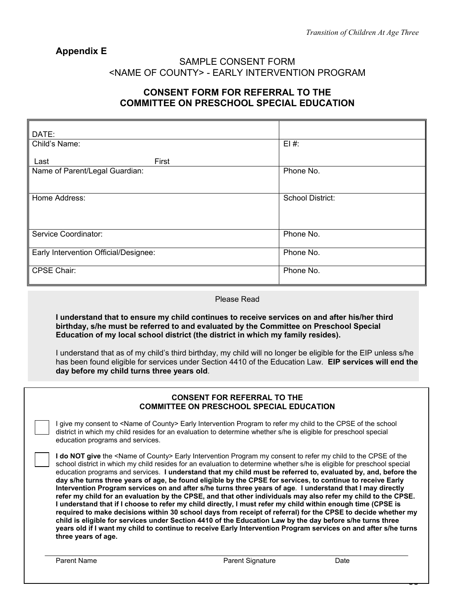50

### **Appendix E**

#### SAMPLE CONSENT FORM <NAME OF COUNTY> - EARLY INTERVENTION PROGRAM

### **CONSENT FORM FOR REFERRAL TO THE COMMITTEE ON PRESCHOOL SPECIAL EDUCATION**

| DATE:                                 |                         |
|---------------------------------------|-------------------------|
| Child's Name:                         | $EI#$ :                 |
| First<br>Last                         |                         |
| Name of Parent/Legal Guardian:        | Phone No.               |
| Home Address:                         | <b>School District:</b> |
| Service Coordinator:                  | Phone No.               |
| Early Intervention Official/Designee: | Phone No.               |
| <b>CPSE Chair:</b>                    | Phone No.               |

#### Please Read

**I understand that to ensure my child continues to receive services on and after his/her third birthday, s/he must be referred to and evaluated by the Committee on Preschool Special Education of my local school district (the district in which my family resides).**

I understand that as of my child's third birthday, my child will no longer be eligible for the EIP unless s/he has been found eligible for services under Section 4410 of the Education Law. **EIP services will end the day before my child turns three years old**.

|                                  | <b>CONSENT FOR REFERRAL TO THE</b><br><b>COMMITTEE ON PRESCHOOL SPECIAL EDUCATION</b>                                                                                                                                                                                                                                                                                                                                                                                                                                                                                                                                                                                                                                                                                                                                                                                                                                                                                                                                                                                                                                                                                                                |      |
|----------------------------------|------------------------------------------------------------------------------------------------------------------------------------------------------------------------------------------------------------------------------------------------------------------------------------------------------------------------------------------------------------------------------------------------------------------------------------------------------------------------------------------------------------------------------------------------------------------------------------------------------------------------------------------------------------------------------------------------------------------------------------------------------------------------------------------------------------------------------------------------------------------------------------------------------------------------------------------------------------------------------------------------------------------------------------------------------------------------------------------------------------------------------------------------------------------------------------------------------|------|
| education programs and services. | I give my consent to <name county="" of=""> Early Intervention Program to refer my child to the CPSE of the school<br/>district in which my child resides for an evaluation to determine whether s/he is eligible for preschool special</name>                                                                                                                                                                                                                                                                                                                                                                                                                                                                                                                                                                                                                                                                                                                                                                                                                                                                                                                                                       |      |
| three years of age.              | <b>I do NOT give</b> the <name county="" of=""> Early Intervention Program my consent to refer my child to the CPSE of the<br/>school district in which my child resides for an evaluation to determine whether s/he is eligible for preschool special<br/>education programs and services. I understand that my child must be referred to, evaluated by, and, before the<br/>day s/he turns three years of age, be found eligible by the CPSE for services, to continue to receive Early<br/>Intervention Program services on and after s/he turns three years of age. I understand that I may directly<br/>refer my child for an evaluation by the CPSE, and that other individuals may also refer my child to the CPSE.<br/>I understand that if I choose to refer my child directly, I must refer my child within enough time (CPSE is<br/>required to make decisions within 30 school days from receipt of referral) for the CPSE to decide whether my<br/>child is eligible for services under Section 4410 of the Education Law by the day before s/he turns three<br/>years old if I want my child to continue to receive Early Intervention Program services on and after s/he turns</name> |      |
| Parent Name                      | <b>Parent Signature</b>                                                                                                                                                                                                                                                                                                                                                                                                                                                                                                                                                                                                                                                                                                                                                                                                                                                                                                                                                                                                                                                                                                                                                                              | Date |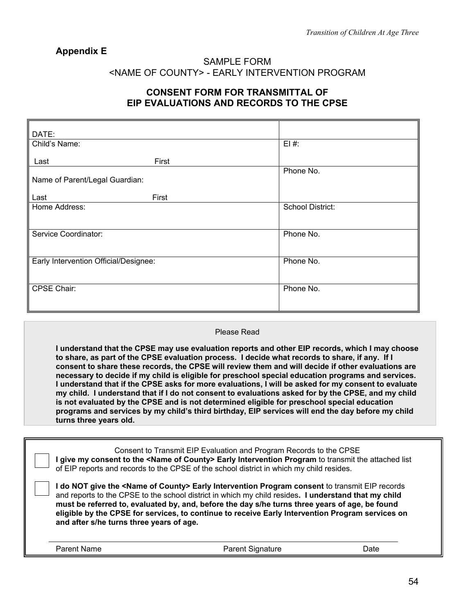### **Appendix E**

#### SAMPLE FORM <NAME OF COUNTY> - EARLY INTERVENTION PROGRAM

### **CONSENT FORM FOR TRANSMITTAL OF EIP EVALUATIONS AND RECORDS TO THE CPSE**

| DATE:                                 |       |                  |
|---------------------------------------|-------|------------------|
| Child's Name:                         |       | $E1#$ :          |
|                                       |       |                  |
| Last                                  | First |                  |
|                                       |       | Phone No.        |
|                                       |       |                  |
| Name of Parent/Legal Guardian:        |       |                  |
|                                       |       |                  |
| Last                                  | First |                  |
| Home Address:                         |       | School District: |
|                                       |       |                  |
|                                       |       |                  |
|                                       |       |                  |
| Service Coordinator:                  |       | Phone No.        |
|                                       |       |                  |
|                                       |       |                  |
| Early Intervention Official/Designee: |       | Phone No.        |
|                                       |       |                  |
|                                       |       |                  |
|                                       |       |                  |
| CPSE Chair:                           |       | Phone No.        |
|                                       |       |                  |
|                                       |       |                  |
|                                       |       |                  |

#### Please Read

**I understand that the CPSE may use evaluation reports and other EIP records, which I may choose to share, as part of the CPSE evaluation process. I decide what records to share, if any. If I consent to share these records, the CPSE will review them and will decide if other evaluations are necessary to decide if my child is eligible for preschool special education programs and services. I understand that if the CPSE asks for more evaluations, I will be asked for my consent to evaluate my child. I understand that if I do not consent to evaluations asked for by the CPSE, and my child is not evaluated by the CPSE and is not determined eligible for preschool special education programs and services by my child's third birthday, EIP services will end the day before my child turns three years old.**

|                                          | Consent to Transmit EIP Evaluation and Program Records to the CPSE<br>give my consent to the <name county="" of=""> Early Intervention Program to transmit the attached list<br/>of EIP reports and records to the CPSE of the school district in which my child resides.</name>                                                                                                                                            |      |
|------------------------------------------|-----------------------------------------------------------------------------------------------------------------------------------------------------------------------------------------------------------------------------------------------------------------------------------------------------------------------------------------------------------------------------------------------------------------------------|------|
| and after s/he turns three years of age. | I do NOT give the <name county="" of=""> Early Intervention Program consent to transmit EIP records<br/>and reports to the CPSE to the school district in which my child resides. I understand that my child<br/>must be referred to, evaluated by, and, before the day s/he turns three years of age, be found<br/>eligible by the CPSE for services, to continue to receive Early Intervention Program services on</name> |      |
| Parent Name                              | <b>Parent Signature</b>                                                                                                                                                                                                                                                                                                                                                                                                     | Date |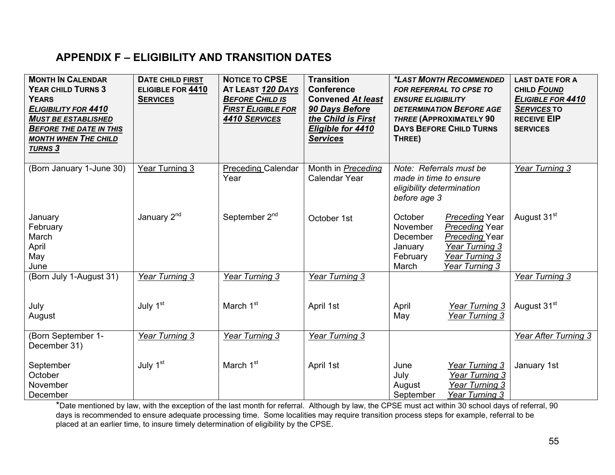# **APPENDIX F – ELIGIBILITY AND TRANSITION DATES**

| <b>MONTH IN CALENDAR</b><br><b>YEAR CHILD TURNS 3</b><br><b>YEARS</b><br><b>ELIGIBILITY FOR 4410</b><br><b>MUST BE ESTABLISHED</b><br><b>BEFORE THE DATE IN THIS</b><br><b>MONTH WHEN THE CHILD</b><br><b>TURNS 3</b> | <b>DATE CHILD FIRST</b><br>ELIGIBLE FOR 4410<br><b>SERVICES</b> | <b>NOTICE TO CPSE</b><br>AT LEAST 120 DAYS<br><b>BEFORE CHILD IS</b><br><b>FIRST ELIGIBLE FOR</b><br>4410 SERVICES | <b>Transition</b><br><b>Conference</b><br><b>Convened At least</b><br>90 Days Before<br>the Child is First<br>Eligible for 4410<br><b>Services</b> | <b>ENSURE ELIGIBILITY</b><br>THREE)                                                            | *LAST MONTH RECOMMENDED<br>FOR REFERRAL TO CPSE TO<br><b>DETERMINATION BEFORE AGE</b><br>THREE (APPROXIMATELY 90<br><b>DAYS BEFORE CHILD TURNS</b> | <b>LAST DATE FOR A</b><br>CHILD FOUND<br>ELIGIBLE FOR 4410<br><b>SERVICES TO</b><br><b>RECEIVE EIP</b><br><b>SERVICES</b> |
|-----------------------------------------------------------------------------------------------------------------------------------------------------------------------------------------------------------------------|-----------------------------------------------------------------|--------------------------------------------------------------------------------------------------------------------|----------------------------------------------------------------------------------------------------------------------------------------------------|------------------------------------------------------------------------------------------------|----------------------------------------------------------------------------------------------------------------------------------------------------|---------------------------------------------------------------------------------------------------------------------------|
| (Born January 1-June 30)                                                                                                                                                                                              | Year Turning 3                                                  | <b>Preceding Calendar</b><br>Year                                                                                  | Month in <b>Preceding</b><br>Calendar Year                                                                                                         | Note: Referrals must be<br>made in time to ensure<br>eligibility determination<br>before age 3 |                                                                                                                                                    | Year Turning 3                                                                                                            |
| January<br>February<br>March<br>April<br>May<br>June                                                                                                                                                                  | January 2 <sup>nd</sup>                                         | September 2 <sup>nd</sup>                                                                                          | October 1st                                                                                                                                        | October<br>November<br>December<br>January<br>February<br>March                                | <b>Preceding Year</b><br><b>Preceding Year</b><br><b>Preceding Year</b><br><b>Year Turning 3</b><br>Year Turning 3<br>Year Turning 3               | August 31 <sup>st</sup>                                                                                                   |
| (Born July 1-August 31)                                                                                                                                                                                               | Year Turning 3                                                  | Year Turning 3                                                                                                     | Year Turning 3                                                                                                                                     |                                                                                                |                                                                                                                                                    | Year Turning 3                                                                                                            |
| July<br>August                                                                                                                                                                                                        | July 1 <sup>st</sup>                                            | March 1 <sup>st</sup>                                                                                              | April 1st                                                                                                                                          | April<br>May                                                                                   | Year Turning 3<br>Year Turning 3                                                                                                                   | August 31 <sup>st</sup>                                                                                                   |
| (Born September 1-<br>December 31)                                                                                                                                                                                    | Year Turning 3                                                  | Year Turning 3                                                                                                     | <b>Year Turning 3</b>                                                                                                                              |                                                                                                |                                                                                                                                                    | Year After Turning 3                                                                                                      |
| September<br>October<br>November<br>December                                                                                                                                                                          | July 1 <sup>st</sup>                                            | March 1 <sup>st</sup>                                                                                              | April 1st                                                                                                                                          | June<br>July<br>August<br>September                                                            | <b>Year Turning 3</b><br><b>Year Turning 3</b><br><b>Year Turning 3</b><br>Year Turning 3                                                          | January 1st                                                                                                               |

\*Date mentioned by law, with the exception of the last month for referral. Although by law, the CPSE must act within 30 school days of referral, 90 days is recommended to ensure adequate processing time. Some localities may require transition process steps for example, referral to be placed at an earlier time, to insure timely determination of eligibility by the CPSE.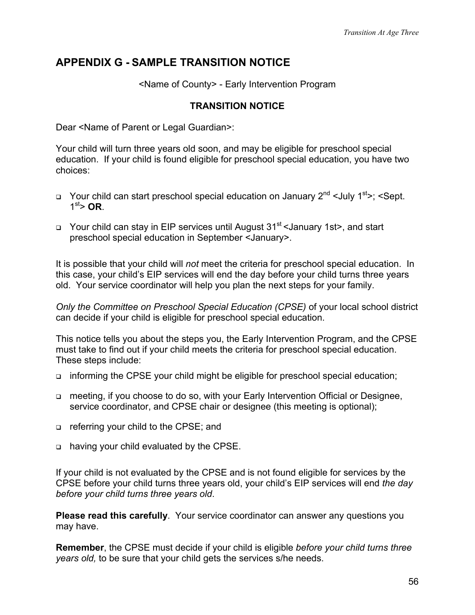# **APPENDIX G - SAMPLE TRANSITION NOTICE**

<Name of County> - Early Intervention Program

### **TRANSITION NOTICE**

Dear <Name of Parent or Legal Guardian>:

Your child will turn three years old soon, and may be eligible for preschool special education. If your child is found eligible for preschool special education, you have two choices:

- $\Box$  Your child can start preschool special education on January 2<sup>nd</sup> <July 1<sup>st</sup>>; <Sept.  $1<sup>st</sup>$  OR
- $\Box$  Your child can stay in EIP services until August 31<sup>st</sup> < January 1st>, and start preschool special education in September <January>.

It is possible that your child will *not* meet the criteria for preschool special education. In this case, your child's EIP services will end the day before your child turns three years old. Your service coordinator will help you plan the next steps for your family.

*Only the Committee on Preschool Special Education (CPSE)* of your local school district can decide if your child is eligible for preschool special education.

This notice tells you about the steps you, the Early Intervention Program, and the CPSE must take to find out if your child meets the criteria for preschool special education. These steps include:

- □ informing the CPSE your child might be eligible for preschool special education;
- □ meeting, if you choose to do so, with your Early Intervention Official or Designee, service coordinator, and CPSE chair or designee (this meeting is optional);
- □ referring your child to the CPSE; and
- having your child evaluated by the CPSE.

If your child is not evaluated by the CPSE and is not found eligible for services by the CPSE before your child turns three years old, your child's EIP services will end *the day before your child turns three years old*.

**Please read this carefully**. Your service coordinator can answer any questions you may have.

**Remember**, the CPSE must decide if your child is eligible *before your child turns three years old,* to be sure that your child gets the services s/he needs.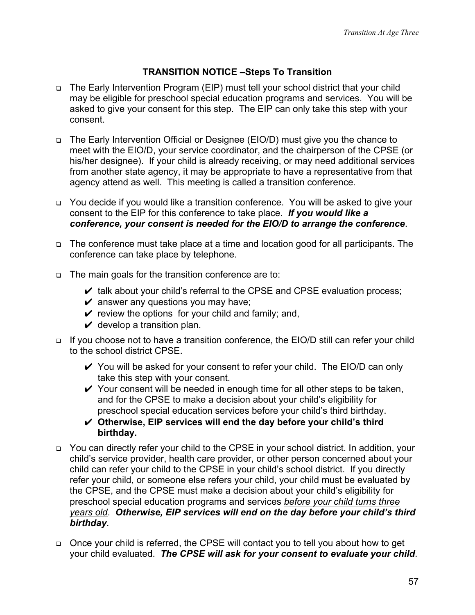# **TRANSITION NOTICE –Steps To Transition**

- □ The Early Intervention Program (EIP) must tell your school district that your child may be eligible for preschool special education programs and services. You will be asked to give your consent for this step. The EIP can only take this step with your consent.
- □ The Early Intervention Official or Designee (EIO/D) must give you the chance to meet with the EIO/D, your service coordinator, and the chairperson of the CPSE (or his/her designee). If your child is already receiving, or may need additional services from another state agency, it may be appropriate to have a representative from that agency attend as well. This meeting is called a transition conference.
- □ You decide if you would like a transition conference. You will be asked to give your consent to the EIP for this conference to take place. *If you would like a conference, your consent is needed for the EIO/D to arrange the conference*.
- The conference must take place at a time and location good for all participants. The conference can take place by telephone.
- The main goals for the transition conference are to:
	- $\vee$  talk about your child's referral to the CPSE and CPSE evaluation process;
	- $\vee$  answer any questions you may have;
	- $\checkmark$  review the options for your child and family; and,
	- $\vee$  develop a transition plan.
- □ If you choose not to have a transition conference, the EIO/D still can refer your child to the school district CPSE.
	- $\checkmark$  You will be asked for your consent to refer your child. The EIO/D can only take this step with your consent.
	- $\checkmark$  Your consent will be needed in enough time for all other steps to be taken, and for the CPSE to make a decision about your child's eligibility for preschool special education services before your child's third birthday.
	- ✔ **Otherwise, EIP services will end the day before your child's third birthday.**
- □ You can directly refer your child to the CPSE in your school district. In addition, your child's service provider, health care provider, or other person concerned about your child can refer your child to the CPSE in your child's school district. If you directly refer your child, or someone else refers your child, your child must be evaluated by the CPSE, and the CPSE must make a decision about your child's eligibility for preschool special education programs and services *before your child turns three years old*. *Otherwise, EIP services will end on the day before your child's third birthday*.
- Once your child is referred, the CPSE will contact you to tell you about how to get your child evaluated. *The CPSE will ask for your consent to evaluate your child*.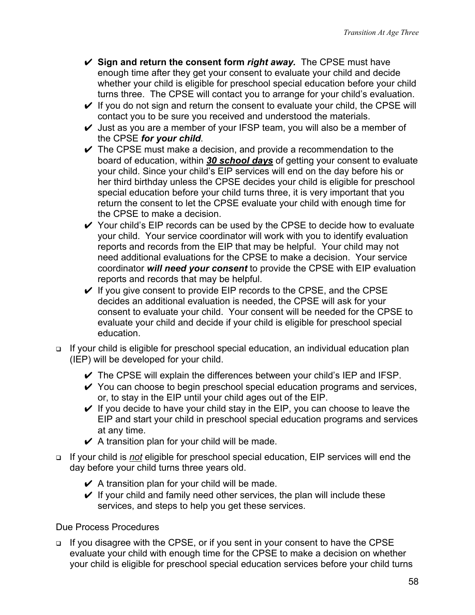- ✔ **Sign and return the consent form** *right away.* The CPSE must have enough time after they get your consent to evaluate your child and decide whether your child is eligible for preschool special education before your child turns three. The CPSE will contact you to arrange for your child's evaluation.
- $\checkmark$  If you do not sign and return the consent to evaluate your child, the CPSE will contact you to be sure you received and understood the materials.
- $\vee$  Just as you are a member of your IFSP team, you will also be a member of the CPSE *for your child*.
- $\checkmark$  The CPSE must make a decision, and provide a recommendation to the board of education, within *30 school days* of getting your consent to evaluate your child. Since your child's EIP services will end on the day before his or her third birthday unless the CPSE decides your child is eligible for preschool special education before your child turns three, it is very important that you return the consent to let the CPSE evaluate your child with enough time for the CPSE to make a decision.
- $\checkmark$  Your child's EIP records can be used by the CPSE to decide how to evaluate your child. Your service coordinator will work with you to identify evaluation reports and records from the EIP that may be helpful. Your child may not need additional evaluations for the CPSE to make a decision. Your service coordinator *will need your consent* to provide the CPSE with EIP evaluation reports and records that may be helpful.
- $\checkmark$  If you give consent to provide EIP records to the CPSE, and the CPSE decides an additional evaluation is needed, the CPSE will ask for your consent to evaluate your child. Your consent will be needed for the CPSE to evaluate your child and decide if your child is eligible for preschool special education.
- If your child is eligible for preschool special education, an individual education plan (IEP) will be developed for your child.
	- $\checkmark$  The CPSE will explain the differences between your child's IEP and IFSP.
	- $\checkmark$  You can choose to begin preschool special education programs and services, or, to stay in the EIP until your child ages out of the EIP.
	- $\vee$  If you decide to have your child stay in the EIP, you can choose to leave the EIP and start your child in preschool special education programs and services at any time.
	- $\vee$  A transition plan for your child will be made.
- If your child is *not* eligible for preschool special education, EIP services will end the day before your child turns three years old.
	- $\angle$  A transition plan for your child will be made.
	- $\vee$  If your child and family need other services, the plan will include these services, and steps to help you get these services.

Due Process Procedures

□ If you disagree with the CPSE, or if you sent in your consent to have the CPSE evaluate your child with enough time for the CPSE to make a decision on whether your child is eligible for preschool special education services before your child turns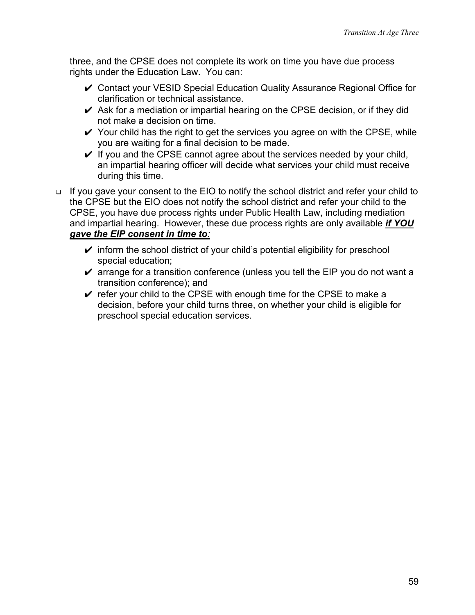three, and the CPSE does not complete its work on time you have due process rights under the Education Law. You can:

- ✔ Contact your VESID Special Education Quality Assurance Regional Office for clarification or technical assistance.
- $\vee$  Ask for a mediation or impartial hearing on the CPSE decision, or if they did not make a decision on time.
- $\checkmark$  Your child has the right to get the services you agree on with the CPSE, while you are waiting for a final decision to be made.
- $\checkmark$  If you and the CPSE cannot agree about the services needed by your child, an impartial hearing officer will decide what services your child must receive during this time.
- If you gave your consent to the EIO to notify the school district and refer your child to the CPSE but the EIO does not notify the school district and refer your child to the CPSE, you have due process rights under Public Health Law, including mediation and impartial hearing. However, these due process rights are only available *if YOU gave the EIP consent in time to:*
	- $\checkmark$  inform the school district of your child's potential eligibility for preschool special education;
	- $\checkmark$  arrange for a transition conference (unless you tell the EIP you do not want a transition conference); and
	- $\vee$  refer your child to the CPSE with enough time for the CPSE to make a decision, before your child turns three, on whether your child is eligible for preschool special education services.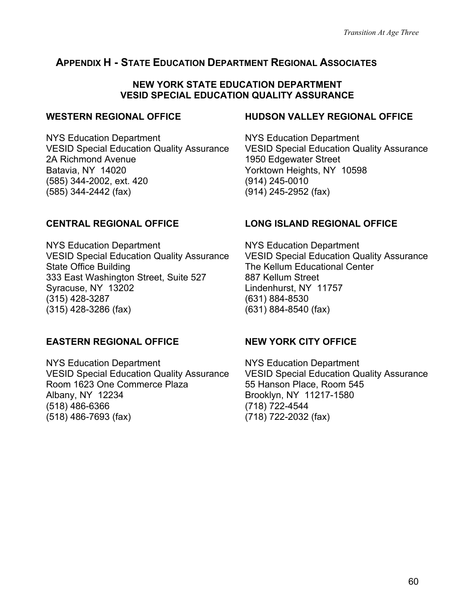# **APPENDIX H - STATE EDUCATION DEPARTMENT REGIONAL ASSOCIATES**

#### **NEW YORK STATE EDUCATION DEPARTMENT VESID SPECIAL EDUCATION QUALITY ASSURANCE**

#### **WESTERN REGIONAL OFFICE**

NYS Education Department VESID Special Education Quality Assurance 2A Richmond Avenue Batavia, NY 14020 (585) 344-2002, ext. 420 (585) 344-2442 (fax)

#### **HUDSON VALLEY REGIONAL OFFICE**

NYS Education Department VESID Special Education Quality Assurance 1950 Edgewater Street Yorktown Heights, NY 10598 (914) 245-0010 (914) 245-2952 (fax)

#### **CENTRAL REGIONAL OFFICE**

NYS Education Department VESID Special Education Quality Assurance State Office Building 333 East Washington Street, Suite 527 Syracuse, NY 13202 (315) 428-3287 (315) 428-3286 (fax)

### **EASTERN REGIONAL OFFICE**

NYS Education Department VESID Special Education Quality Assurance Room 1623 One Commerce Plaza Albany, NY 12234 (518) 486-6366 (518) 486-7693 (fax)

# **LONG ISLAND REGIONAL OFFICE**

NYS Education Department VESID Special Education Quality Assurance The Kellum Educational Center 887 Kellum Street Lindenhurst, NY 11757 (631) 884-8530 (631) 884-8540 (fax)

### **NEW YORK CITY OFFICE**

NYS Education Department VESID Special Education Quality Assurance 55 Hanson Place, Room 545 Brooklyn, NY 11217-1580 (718) 722-4544 (718) 722-2032 (fax)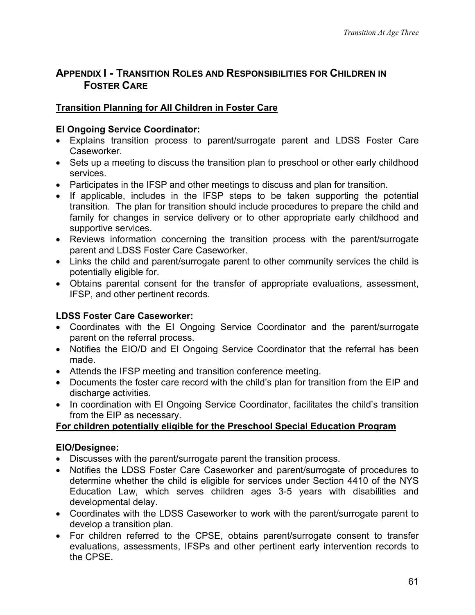# **APPENDIX I - TRANSITION ROLES AND RESPONSIBILITIES FOR CHILDREN IN FOSTER CARE**

# **Transition Planning for All Children in Foster Care**

# **EI Ongoing Service Coordinator:**

- Explains transition process to parent/surrogate parent and LDSS Foster Care Caseworker.
- Sets up a meeting to discuss the transition plan to preschool or other early childhood services.
- Participates in the IFSP and other meetings to discuss and plan for transition.
- If applicable, includes in the IFSP steps to be taken supporting the potential transition. The plan for transition should include procedures to prepare the child and family for changes in service delivery or to other appropriate early childhood and supportive services.
- Reviews information concerning the transition process with the parent/surrogate parent and LDSS Foster Care Caseworker.
- Links the child and parent/surrogate parent to other community services the child is potentially eligible for.
- Obtains parental consent for the transfer of appropriate evaluations, assessment, IFSP, and other pertinent records.

# **LDSS Foster Care Caseworker:**

- Coordinates with the EI Ongoing Service Coordinator and the parent/surrogate parent on the referral process.
- Notifies the EIO/D and EI Ongoing Service Coordinator that the referral has been made.
- Attends the IFSP meeting and transition conference meeting.
- Documents the foster care record with the child's plan for transition from the EIP and discharge activities.
- In coordination with EI Ongoing Service Coordinator, facilitates the child's transition from the EIP as necessary.

# **For children potentially eligible for the Preschool Special Education Program**

# **EIO/Designee:**

- Discusses with the parent/surrogate parent the transition process.
- Notifies the LDSS Foster Care Caseworker and parent/surrogate of procedures to determine whether the child is eligible for services under Section 4410 of the NYS Education Law, which serves children ages 3-5 years with disabilities and developmental delay.
- Coordinates with the LDSS Caseworker to work with the parent/surrogate parent to develop a transition plan.
- For children referred to the CPSE, obtains parent/surrogate consent to transfer evaluations, assessments, IFSPs and other pertinent early intervention records to the CPSE.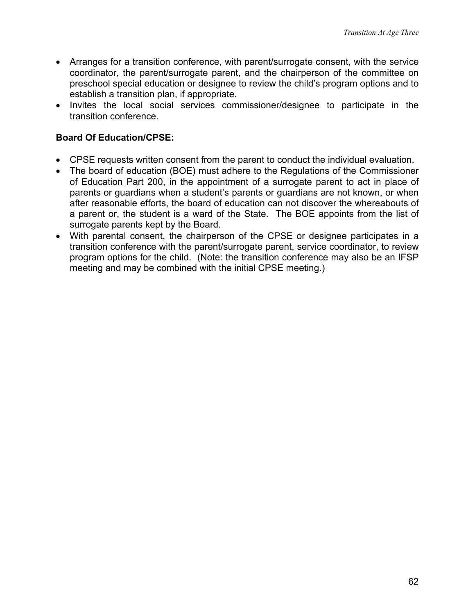- Arranges for a transition conference, with parent/surrogate consent, with the service coordinator, the parent/surrogate parent, and the chairperson of the committee on preschool special education or designee to review the child's program options and to establish a transition plan, if appropriate.
- Invites the local social services commissioner/designee to participate in the transition conference.

# **Board Of Education/CPSE:**

- CPSE requests written consent from the parent to conduct the individual evaluation.
- The board of education (BOE) must adhere to the Regulations of the Commissioner of Education Part 200, in the appointment of a surrogate parent to act in place of parents or guardians when a student's parents or guardians are not known, or when after reasonable efforts, the board of education can not discover the whereabouts of a parent or, the student is a ward of the State. The BOE appoints from the list of surrogate parents kept by the Board.
- With parental consent, the chairperson of the CPSE or designee participates in a transition conference with the parent/surrogate parent, service coordinator, to review program options for the child. (Note: the transition conference may also be an IFSP meeting and may be combined with the initial CPSE meeting.)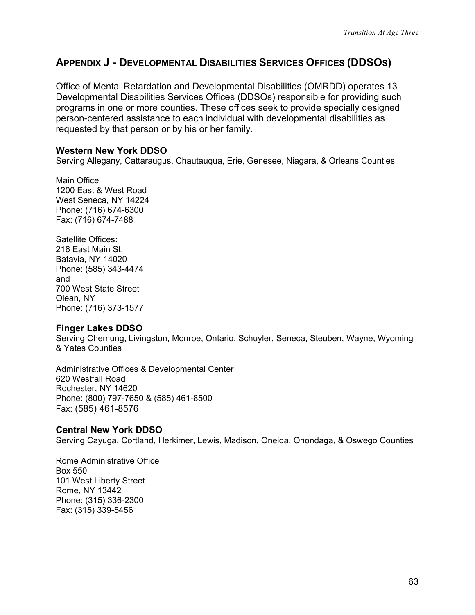# **APPENDIX J - DEVELOPMENTAL DISABILITIES SERVICES OFFICES (DDSOS)**

Office of Mental Retardation and Developmental Disabilities (OMRDD) operates 13 Developmental Disabilities Services Offices (DDSOs) responsible for providing such programs in one or more counties. These offices seek to provide specially designed person-centered assistance to each individual with developmental disabilities as requested by that person or by his or her family.

### **Western New York DDSO**

Serving Allegany, Cattaraugus, Chautauqua, Erie, Genesee, Niagara, & Orleans Counties

Main Office 1200 East & West Road West Seneca, NY 14224 Phone: (716) 674-6300 Fax: (716) 674-7488

Satellite Offices: 216 East Main St. Batavia, NY 14020 Phone: (585) 343-4474 and 700 West State Street Olean, NY Phone: (716) 373-1577

#### **Finger Lakes DDSO**

Serving Chemung, Livingston, Monroe, Ontario, Schuyler, Seneca, Steuben, Wayne, Wyoming & Yates Counties

Administrative Offices & Developmental Center 620 Westfall Road Rochester, NY 14620 Phone: (800) 797-7650 & (585) 461-8500 Fax: (585) 461-8576

#### **Central New York DDSO**

Serving Cayuga, Cortland, Herkimer, Lewis, Madison, Oneida, Onondaga, & Oswego Counties

Rome Administrative Office Box 550 101 West Liberty Street Rome, NY 13442 Phone: (315) 336-2300 Fax: (315) 339-5456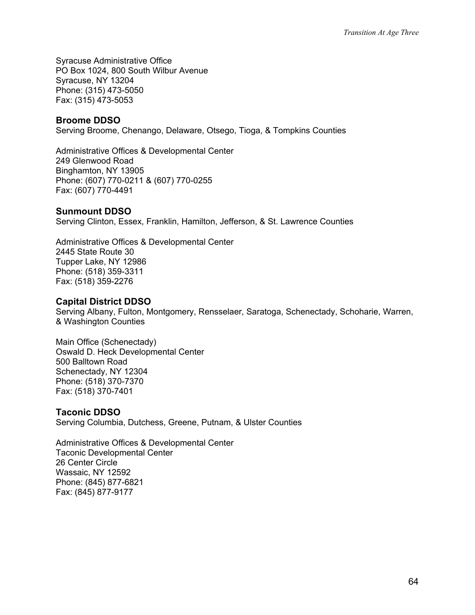Syracuse Administrative Office PO Box 1024, 800 South Wilbur Avenue Syracuse, NY 13204 Phone: (315) 473-5050 Fax: (315) 473-5053

#### **Broome DDSO**

Serving Broome, Chenango, Delaware, Otsego, Tioga, & Tompkins Counties

Administrative Offices & Developmental Center 249 Glenwood Road Binghamton, NY 13905 Phone: (607) 770-0211 & (607) 770-0255 Fax: (607) 770-4491

#### **Sunmount DDSO**

Serving Clinton, Essex, Franklin, Hamilton, Jefferson, & St. Lawrence Counties

Administrative Offices & Developmental Center 2445 State Route 30 Tupper Lake, NY 12986 Phone: (518) 359-3311 Fax: (518) 359-2276

#### **Capital District DDSO**

Serving Albany, Fulton, Montgomery, Rensselaer, Saratoga, Schenectady, Schoharie, Warren, & Washington Counties

Main Office (Schenectady) Oswald D. Heck Developmental Center 500 Balltown Road Schenectady, NY 12304 Phone: (518) 370-7370 Fax: (518) 370-7401

#### **Taconic DDSO**

Serving Columbia, Dutchess, Greene, Putnam, & Ulster Counties

Administrative Offices & Developmental Center Taconic Developmental Center 26 Center Circle Wassaic, NY 12592 Phone: (845) 877-6821 Fax: (845) 877-9177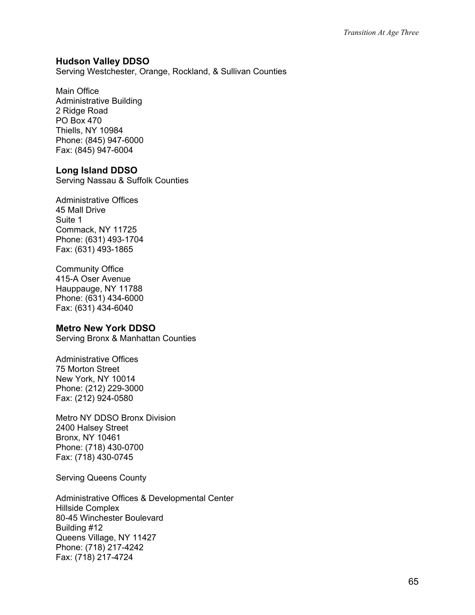#### **Hudson Valley DDSO**

Serving Westchester, Orange, Rockland, & Sullivan Counties

#### Main Office

Administrative Building 2 Ridge Road PO Box 470 Thiells, NY 10984 Phone: (845) 947-6000 Fax: (845) 947-6004

#### **Long Island DDSO**

Serving Nassau & Suffolk Counties

Administrative Offices 45 Mall Drive Suite 1 Commack, NY 11725 Phone: (631) 493-1704 Fax: (631) 493-1865

Community Office 415-A Oser Avenue Hauppauge, NY 11788 Phone: (631) 434-6000 Fax: (631) 434-6040

#### **Metro New York DDSO**

Serving Bronx & Manhattan Counties

Administrative Offices 75 Morton Street New York, NY 10014 Phone: (212) 229-3000 Fax: (212) 924-0580

Metro NY DDSO Bronx Division 2400 Halsey Street Bronx, NY 10461 Phone: (718) 430-0700 Fax: (718) 430-0745

Serving Queens County

Administrative Offices & Developmental Center Hillside Complex 80-45 Winchester Boulevard Building #12 Queens Village, NY 11427 Phone: (718) 217-4242 Fax: (718) 217-4724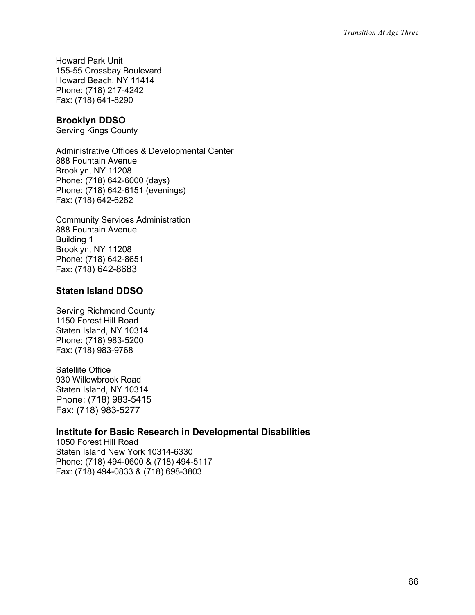Howard Park Unit 155-55 Crossbay Boulevard Howard Beach, NY 11414 Phone: (718) 217-4242 Fax: (718) 641-8290

#### **Brooklyn DDSO**

Serving Kings County

Administrative Offices & Developmental Center 888 Fountain Avenue Brooklyn, NY 11208 Phone: (718) 642-6000 (days) Phone: (718) 642-6151 (evenings) Fax: (718) 642-6282

Community Services Administration 888 Fountain Avenue Building 1 Brooklyn, NY 11208 Phone: (718) 642-8651 Fax: (718) 642-8683

### **Staten Island DDSO**

Serving Richmond County 1150 Forest Hill Road Staten Island, NY 10314 Phone: (718) 983-5200 Fax: (718) 983-9768

Satellite Office 930 Willowbrook Road Staten Island, NY 10314 Phone: (718) 983-5415 Fax: (718) 983-5277

### **Institute for Basic Research in Developmental Disabilities**

1050 Forest Hill Road Staten Island New York 10314-6330 Phone: (718) 494-0600 & (718) 494-5117 Fax: (718) 494-0833 & (718) 698-3803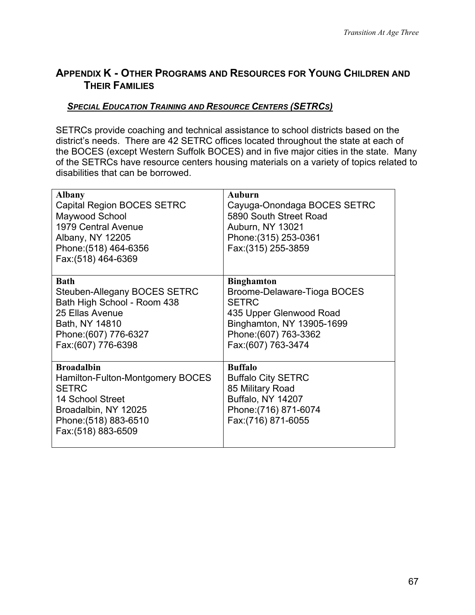# **APPENDIX K - OTHER PROGRAMS AND RESOURCES FOR YOUNG CHILDREN AND THEIR FAMILIES**

### *SPECIAL EDUCATION TRAINING AND RESOURCE CENTERS (SETRCS)*

SETRCs provide coaching and technical assistance to school districts based on the district's needs. There are 42 SETRC offices located throughout the state at each of the BOCES (except Western Suffolk BOCES) and in five major cities in the state. Many of the SETRCs have resource centers housing materials on a variety of topics related to disabilities that can be borrowed.

| <b>Albany</b><br><b>Capital Region BOCES SETRC</b><br>Maywood School<br>1979 Central Avenue<br>Albany, NY 12205<br>Phone: (518) 464-6356<br>Fax: (518) 464-6369   | <b>Auburn</b><br>Cayuga-Onondaga BOCES SETRC<br>5890 South Street Road<br>Auburn, NY 13021<br>Phone: (315) 253-0361<br>Fax: (315) 255-3859                               |
|-------------------------------------------------------------------------------------------------------------------------------------------------------------------|--------------------------------------------------------------------------------------------------------------------------------------------------------------------------|
| <b>Bath</b><br>Steuben-Allegany BOCES SETRC<br>Bath High School - Room 438<br>25 Ellas Avenue<br>Bath, NY 14810<br>Phone: (607) 776-6327<br>Fax: (607) 776-6398   | <b>Binghamton</b><br>Broome-Delaware-Tioga BOCES<br><b>SETRC</b><br>435 Upper Glenwood Road<br>Binghamton, NY 13905-1699<br>Phone: (607) 763-3362<br>Fax: (607) 763-3474 |
| <b>Broadalbin</b><br>Hamilton-Fulton-Montgomery BOCES<br><b>SETRC</b><br>14 School Street<br>Broadalbin, NY 12025<br>Phone: (518) 883-6510<br>Fax: (518) 883-6509 | <b>Buffalo</b><br><b>Buffalo City SETRC</b><br>85 Military Road<br><b>Buffalo, NY 14207</b><br>Phone: (716) 871-6074<br>Fax: (716) 871-6055                              |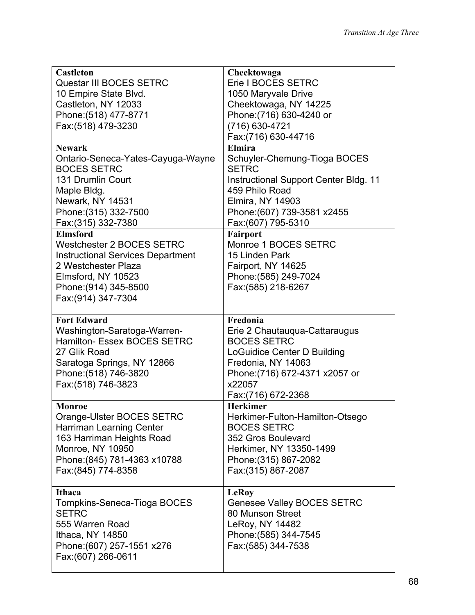| <b>Castleton</b><br>Questar III BOCES SETRC             | Cheektowaga<br>Erie I BOCES SETRC                       |
|---------------------------------------------------------|---------------------------------------------------------|
| 10 Empire State Blvd.                                   | 1050 Maryvale Drive                                     |
| Castleton, NY 12033<br>Phone: (518) 477-8771            | Cheektowaga, NY 14225<br>Phone: (716) 630-4240 or       |
| Fax: (518) 479-3230                                     | (716) 630-4721                                          |
|                                                         | Fax: (716) 630-44716                                    |
| <b>Newark</b>                                           | <b>Elmira</b>                                           |
| Ontario-Seneca-Yates-Cayuga-Wayne<br><b>BOCES SETRC</b> | Schuyler-Chemung-Tioga BOCES<br><b>SETRC</b>            |
| 131 Drumlin Court<br>Maple Bldg.                        | Instructional Support Center Bldg. 11<br>459 Philo Road |
| Newark, NY 14531                                        | <b>Elmira, NY 14903</b>                                 |
| Phone: (315) 332-7500                                   | Phone: (607) 739-3581 x2455                             |
| Fax: (315) 332-7380<br><b>Elmsford</b>                  | Fax: (607) 795-5310<br><b>Fairport</b>                  |
| <b>Westchester 2 BOCES SETRC</b>                        | Monroe 1 BOCES SETRC                                    |
| <b>Instructional Services Department</b>                | 15 Linden Park                                          |
| 2 Westchester Plaza                                     | Fairport, NY 14625                                      |
| Elmsford, NY 10523                                      | Phone: (585) 249-7024                                   |
| Phone: (914) 345-8500                                   | Fax: (585) 218-6267                                     |
| Fax: (914) 347-7304                                     |                                                         |
| <b>Fort Edward</b>                                      | Fredonia                                                |
| Washington-Saratoga-Warren-                             | Erie 2 Chautauqua-Cattaraugus                           |
| Hamilton- Essex BOCES SETRC                             | <b>BOCES SETRC</b>                                      |
| 27 Glik Road                                            | <b>LoGuidice Center D Building</b>                      |
| Saratoga Springs, NY 12866<br>Phone: (518) 746-3820     | Fredonia, NY 14063<br>Phone: (716) 672-4371 x2057 or    |
| Fax: (518) 746-3823                                     | x22057                                                  |
|                                                         | Fax: (716) 672-2368                                     |
| <b>Monroe</b>                                           | <b>Herkimer</b>                                         |
| Orange-Ulster BOCES SETRC                               | Herkimer-Fulton-Hamilton-Otsego                         |
| Harriman Learning Center                                | <b>BOCES SETRC</b><br>352 Gros Boulevard                |
| 163 Harriman Heights Road<br><b>Monroe, NY 10950</b>    | Herkimer, NY 13350-1499                                 |
| Phone: (845) 781-4363 x10788                            | Phone: (315) 867-2082                                   |
| Fax: (845) 774-8358                                     | Fax: (315) 867-2087                                     |
|                                                         |                                                         |
| <b>Ithaca</b>                                           | <b>LeRoy</b>                                            |
| Tompkins-Seneca-Tioga BOCES<br><b>SETRC</b>             | Genesee Valley BOCES SETRC<br>80 Munson Street          |
| 555 Warren Road                                         | LeRoy, NY 14482                                         |
| Ithaca, NY 14850                                        | Phone: (585) 344-7545                                   |
| Phone: (607) 257-1551 x276                              | Fax: (585) 344-7538                                     |
| Fax: (607) 266-0611                                     |                                                         |
|                                                         |                                                         |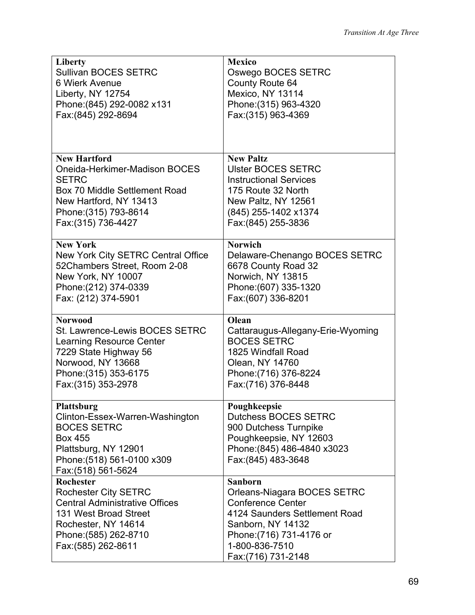| Liberty                                                 | <b>Mexico</b>                               |
|---------------------------------------------------------|---------------------------------------------|
| <b>Sullivan BOCES SETRC</b>                             | Oswego BOCES SETRC                          |
| 6 Wierk Avenue                                          | <b>County Route 64</b>                      |
| Liberty, NY 12754                                       | Mexico, NY 13114                            |
| Phone: (845) 292-0082 x131                              | Phone: (315) 963-4320                       |
| Fax: (845) 292-8694                                     | Fax: (315) 963-4369                         |
|                                                         |                                             |
|                                                         |                                             |
| <b>New Hartford</b>                                     | <b>New Paltz</b>                            |
| Oneida-Herkimer-Madison BOCES                           | <b>Ulster BOCES SETRC</b>                   |
| <b>SETRC</b>                                            | <b>Instructional Services</b>               |
| Box 70 Middle Settlement Road<br>New Hartford, NY 13413 | 175 Route 32 North                          |
| Phone: (315) 793-8614                                   | New Paltz, NY 12561<br>(845) 255-1402 x1374 |
| Fax: (315) 736-4427                                     | Fax: (845) 255-3836                         |
|                                                         |                                             |
| <b>New York</b>                                         | <b>Norwich</b>                              |
| New York City SETRC Central Office                      | Delaware-Chenango BOCES SETRC               |
| 52Chambers Street, Room 2-08                            | 6678 County Road 32                         |
| New York, NY 10007                                      | Norwich, NY 13815                           |
| Phone: (212) 374-0339                                   | Phone: (607) 335-1320                       |
| Fax: (212) 374-5901                                     | Fax: (607) 336-8201                         |
| <b>Norwood</b>                                          |                                             |
|                                                         | Olean                                       |
| St. Lawrence-Lewis BOCES SETRC                          | Cattaraugus-Allegany-Erie-Wyoming           |
| <b>Learning Resource Center</b>                         | <b>BOCES SETRC</b>                          |
| 7229 State Highway 56                                   | 1825 Windfall Road                          |
| Norwood, NY 13668                                       | Olean, NY 14760                             |
| Phone: (315) 353-6175                                   | Phone: (716) 376-8224                       |
| Fax: (315) 353-2978                                     | Fax: (716) 376-8448                         |
| Plattsburg                                              | Poughkeepsie                                |
| Clinton-Essex-Warren-Washington                         | <b>Dutchess BOCES SETRC</b>                 |
| <b>BOCES SETRC</b>                                      | 900 Dutchess Turnpike                       |
| <b>Box 455</b>                                          | Poughkeepsie, NY 12603                      |
| Plattsburg, NY 12901                                    | Phone: (845) 486-4840 x3023                 |
| Phone: (518) 561-0100 x309                              | Fax: (845) 483-3648                         |
| Fax: (518) 561-5624<br><b>Rochester</b>                 | Sanborn                                     |
| <b>Rochester City SETRC</b>                             | Orleans-Niagara BOCES SETRC                 |
| <b>Central Administrative Offices</b>                   | <b>Conference Center</b>                    |
| 131 West Broad Street                                   | 4124 Saunders Settlement Road               |
| Rochester, NY 14614                                     | Sanborn, NY 14132                           |
| Phone: (585) 262-8710                                   | Phone: (716) 731-4176 or                    |
| Fax: (585) 262-8611                                     | 1-800-836-7510<br>Fax: (716) 731-2148       |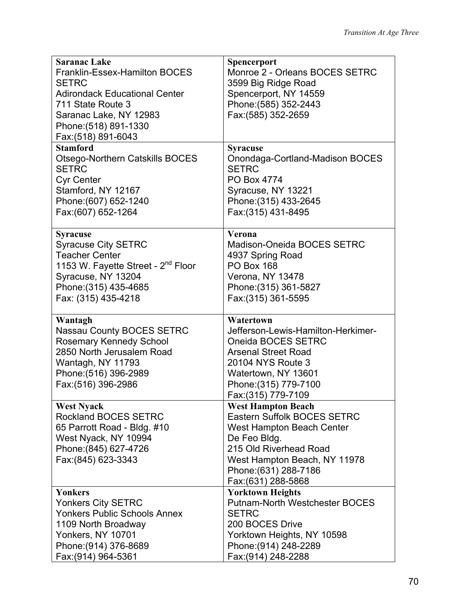| <b>Saranac Lake</b>                                  | Spencerport                                              |
|------------------------------------------------------|----------------------------------------------------------|
| Franklin-Essex-Hamilton BOCES                        | Monroe 2 - Orleans BOCES SETRC                           |
| <b>SETRC</b>                                         | 3599 Big Ridge Road                                      |
| <b>Adirondack Educational Center</b>                 | Spencerport, NY 14559                                    |
| 711 State Route 3                                    | Phone: (585) 352-2443                                    |
| Saranac Lake, NY 12983                               | Fax: (585) 352-2659                                      |
| Phone: (518) 891-1330                                |                                                          |
| Fax: (518) 891-6043                                  |                                                          |
| <b>Stamford</b>                                      | <b>Syracuse</b>                                          |
| <b>Otsego-Northern Catskills BOCES</b>               | Onondaga-Cortland-Madison BOCES                          |
| <b>SETRC</b>                                         | <b>SETRC</b>                                             |
| <b>Cyr Center</b>                                    | PO Box 4774                                              |
| Stamford, NY 12167                                   | Syracuse, NY 13221                                       |
| Phone: (607) 652-1240                                | Phone: (315) 433-2645                                    |
| Fax: (607) 652-1264                                  | Fax: (315) 431-8495                                      |
|                                                      |                                                          |
| <b>Syracuse</b>                                      | Verona                                                   |
| <b>Syracuse City SETRC</b>                           | Madison-Oneida BOCES SETRC                               |
| <b>Teacher Center</b>                                | 4937 Spring Road                                         |
| 1153 W. Fayette Street - 2 <sup>nd</sup> Floor       | <b>PO Box 168</b>                                        |
| Syracuse, NY 13204                                   | Verona, NY 13478                                         |
| Phone: (315) 435-4685                                | Phone: (315) 361-5827                                    |
| Fax: (315) 435-4218                                  | Fax: (315) 361-5595                                      |
|                                                      |                                                          |
|                                                      |                                                          |
| Wantagh                                              | Watertown                                                |
| Nassau County BOCES SETRC                            | Jefferson-Lewis-Hamilton-Herkimer-                       |
|                                                      | Oneida BOCES SETRC                                       |
| Rosemary Kennedy School<br>2850 North Jerusalem Road | <b>Arsenal Street Road</b>                               |
|                                                      | 20104 NYS Route 3                                        |
| Wantagh, NY 11793<br>Phone: (516) 396-2989           | Watertown, NY 13601                                      |
| Fax: (516) 396-2986                                  | Phone: (315) 779-7100                                    |
|                                                      |                                                          |
|                                                      | Fax: (315) 779-7109                                      |
| <b>West Nyack</b><br><b>Rockland BOCES SETRC</b>     | <b>West Hampton Beach</b><br>Eastern Suffolk BOCES SETRC |
| 65 Parrott Road - Bldg. #10                          | West Hampton Beach Center                                |
| West Nyack, NY 10994                                 | De Feo Bldg.                                             |
| Phone: (845) 627-4726                                | 215 Old Riverhead Road                                   |
| Fax: (845) 623-3343                                  | West Hampton Beach, NY 11978                             |
|                                                      | Phone: (631) 288-7186                                    |
|                                                      | Fax: (631) 288-5868                                      |
| <b>Yonkers</b>                                       | <b>Yorktown Heights</b>                                  |
| <b>Yonkers City SETRC</b>                            | <b>Putnam-North Westchester BOCES</b>                    |
| <b>Yonkers Public Schools Annex</b>                  | <b>SETRC</b>                                             |
| 1109 North Broadway                                  | 200 BOCES Drive                                          |
| Yonkers, NY 10701                                    | Yorktown Heights, NY 10598                               |
| Phone: (914) 376-8689                                | Phone: (914) 248-2289                                    |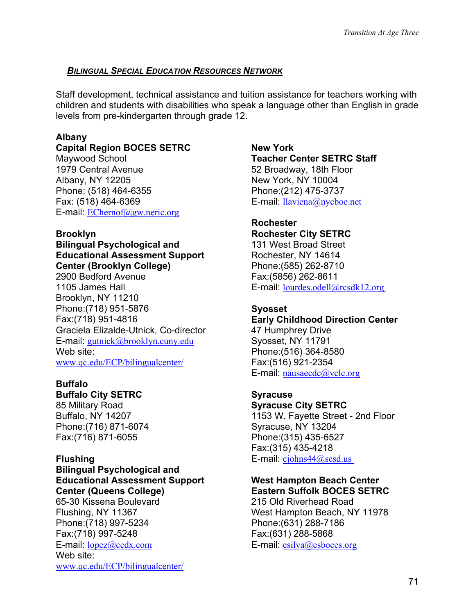# *BILINGUAL SPECIAL EDUCATION RESOURCES NETWORK*

Staff development, technical assistance and tuition assistance for teachers working with children and students with disabilities who speak a language other than English in grade levels from pre-kindergarten through grade 12.

# **Albany**

# **Capital Region BOCES SETRC**

Maywood School 1979 Central Avenue Albany, NY 12205 Phone: (518) 464-6355 Fax: (518) 464-6369 E-mail: [EChernof@gw.neric.org](mailto:EChernof@gw.neric.org)

# **Brooklyn**

#### **Bilingual Psychological and Educational Assessment Support Center (Brooklyn College)**

2900 Bedford Avenue 1105 James Hall Brooklyn, NY 11210 Phone:(718) 951-5876 Fax:(718) 951-4816 Graciela Elizalde-Utnick, Co-director E-mail: [gutnick@brooklyn.cuny.edu](mailto:gutnick@brooklyn.cuny.edu) Web site: [www.qc.edu/ECP/bilingualcenter/](http://www.qc.edu/ECP/bilingualcenter/)

# **Buffalo**

# **Buffalo City SETRC**

85 Military Road Buffalo, NY 14207 Phone:(716) 871-6074 Fax:(716) 871-6055

#### **Bilingual Psychological and Educational Assessment Support Center (Queens College)**

65-30 Kissena Boulevard Flushing, NY 11367 Phone:(718) 997-5234 Fax:(718) 997-5248 E-mail: [lopez@cedx.com](mailto:lopez@cedx.com) Web site: [www.qc.edu/ECP/bilingualcenter/](http://www.qc.edu/ECP/bilingualcenter/) **New York Teacher Center SETRC Staff**  52 Broadway, 18th Floor New York, NY 10004 Phone:(212) 475-3737 E-mail: [llaviena@nycboe.net](mailto:llaviena@nycboe.net)

#### **Rochester Rochester City SETRC**

131 West Broad Street Rochester, NY 14614 Phone:(585) 262-8710 Fax:(5856) 262-8611 E-mail: [lourdes.odell@rcsdk12.org](mailto:lourdes.odell@rcsdk12.org) 

# **Syosset**

# **Early Childhood Direction Center**

47 Humphrey Drive Syosset, NY 11791 Phone:(516) 364-8580 Fax:(516) 921-2354 E-mail: [nausaecdc@vclc.org](mailto:ecdcnass@aol.com)

# **Syracuse**

# **Syracuse City SETRC**

1153 W. Fayette Street - 2nd Floor Syracuse, NY 13204 Phone:(315) 435-6527 Fax:(315) 435-4218 **Flushing E-mail:** cjohns44@scsd.us

### **West Hampton Beach Center Eastern Suffolk BOCES SETRC**

215 Old Riverhead Road West Hampton Beach, NY 11978 Phone:(631) 288-7186 Fax:(631) 288-5868 E-mail: [esilva@esboces.org](mailto:esilva@sriboces.org)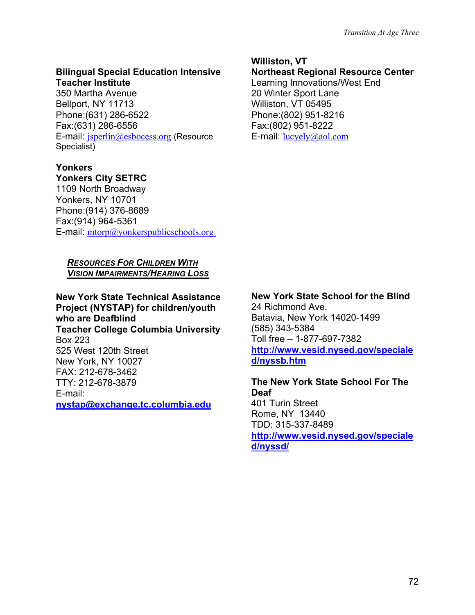#### **Bilingual Special Education Intensive Teacher Institute**

350 Martha Avenue Bellport, NY 11713 Phone:(631) 286-6522 Fax:(631) 286-6556 E-mail: [jsperlin@esbocess.org](mailto:jsperlin@sricbocess.org) (Resource Specialist)

### **Yonkers**

#### **Yonkers City SETRC**

1109 North Broadway Yonkers, NY 10701 Phone:(914) 376-8689 Fax:(914) 964-5361 E-mail: [mtorp@yonkerspublicschools.org](mailto:mtorp@yonkerspublicschools.org) 

#### *RESOURCES FOR CHILDREN WITH VISION IMPAIRMENTS/HEARING LOSS*

**New York State Technical Assistance Project (NYSTAP) for children/youth who are Deafblind Teacher College Columbia University** Box 223 525 West 120th Street New York, NY 10027 FAX: 212-678-3462 TTY: 212-678-3879 E-mail: **[nystap@exchange.tc.columbia.edu](mailto:nystap@exchange.tc.columbia.edu)**

#### **Williston, VT**

#### **Northeast Regional Resource Center**  Learning Innovations/West End 20 Winter Sport Lane Williston, VT 05495 Phone:(802) 951-8216 Fax:(802) 951-8222

E-mail:  $lucyely@aol.com$ 

# **New York State School for the Blind**

24 Richmond Ave. Batavia, New York 14020-1499 (585) 343-5384 Toll free – 1-877-697-7382 **[http://www.vesid.nysed.gov/speciale](http://www.vesid.nysed.gov/specialed/nyssb.htm) [d/nyssb.htm](http://www.vesid.nysed.gov/specialed/nyssb.htm)**

**The New York State School For The Deaf**  401 Turin Street Rome, NY 13440 TDD: 315-337-8489 **[http://www.vesid.nysed.gov/speciale](http://www.vesid.nysed.gov/specialed/nyssd/) [d/nyssd/](http://www.vesid.nysed.gov/specialed/nyssd/)**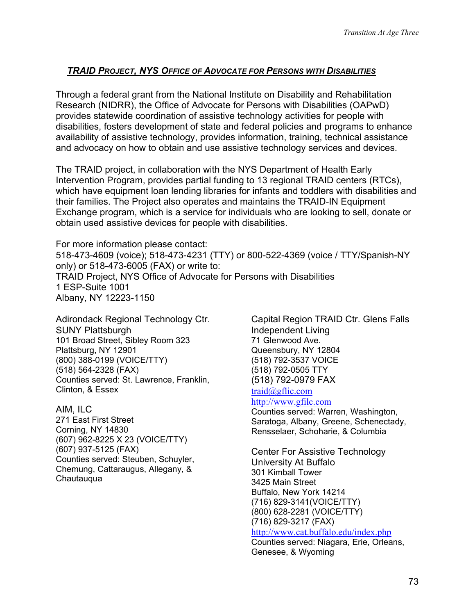### *TRAID PROJECT, NYS OFFICE OF ADVOCATE FOR PERSONS WITH DISABILITIES*

Through a federal grant from the National Institute on Disability and Rehabilitation Research (NIDRR), the Office of Advocate for Persons with Disabilities (OAPwD) provides statewide coordination of assistive technology activities for people with disabilities, fosters development of state and federal policies and programs to enhance availability of assistive technology, provides information, training, technical assistance and advocacy on how to obtain and use assistive technology services and devices.

The TRAID project, in collaboration with the NYS Department of Health Early Intervention Program, provides partial funding to 13 regional TRAID centers (RTCs), which have equipment loan lending libraries for infants and toddlers with disabilities and their families. The Project also operates and maintains the TRAID-IN Equipment Exchange program, which is a service for individuals who are looking to sell, donate or obtain used assistive devices for people with disabilities.

For more information please contact: 518-473-4609 (voice); 518-473-4231 (TTY) or 800-522-4369 (voice / TTY/Spanish-NY only) or 518-473-6005 (FAX) or write to: TRAID Project, NYS Office of Advocate for Persons with Disabilities 1 ESP-Suite 1001 Albany, NY 12223-1150

Adirondack Regional Technology Ctr. SUNY Plattsburgh 101 Broad Street, Sibley Room 323 Plattsburg, NY 12901 (800) 388-0199 (VOICE/TTY) (518) 564-2328 (FAX) Counties served: St. Lawrence, Franklin, Clinton, & Essex

AIM, ILC 271 East First Street Corning, NY 14830 (607) 962-8225 X 23 (VOICE/TTY) (607) 937-5125 (FAX) Counties served: Steuben, Schuyler, Chemung, Cattaraugus, Allegany, & **Chautauqua** 

Capital Region TRAID Ctr. Glens Falls Independent Living 71 Glenwood Ave. Queensbury, NY 12804 (518) 792-3537 VOICE (518) 792-0505 TTY (518) 792-0979 FAX

# [traid@gflic.com](http://www.advoc4disabled.state.ny.us/TRAID_Project/traid@gflic.com)

[http://www.gfilc.com](http://www.gfilc.com/) Counties served: Warren, Washington,

Saratoga, Albany, Greene, Schenectady, Rensselaer, Schoharie, & Columbia

Center For Assistive Technology University At Buffalo 301 Kimball Tower 3425 Main Street Buffalo, New York 14214 (716) 829-3141(VOICE/TTY) (800) 628-2281 (VOICE/TTY) (716) 829-3217 (FAX) <http://www.cat.buffalo.edu/index.php>

Counties served: Niagara, Erie, Orleans, Genesee, & Wyoming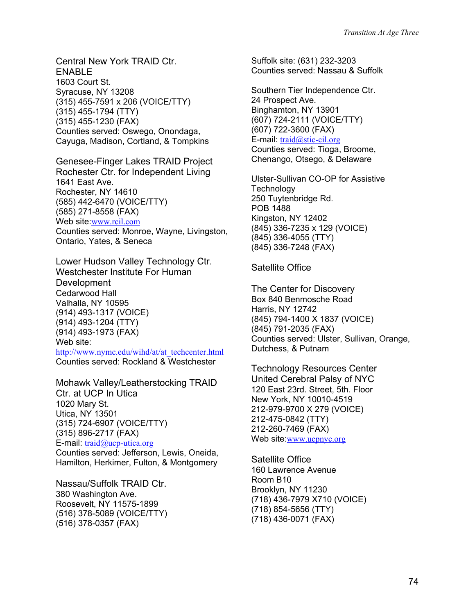Central New York TRAID Ctr. ENABLE 1603 Court St. Syracuse, NY 13208 (315) 455-7591 x 206 (VOICE/TTY) (315) 455-1794 (TTY) (315) 455-1230 (FAX) Counties served: Oswego, Onondaga, Cayuga, Madison, Cortland, & Tompkins

Genesee-Finger Lakes TRAID Project Rochester Ctr. for Independent Living 1641 East Ave. Rochester, NY 14610 (585) 442-6470 (VOICE/TTY) (585) 271-8558 (FAX) Web site:[www.rcil.com](http://www.rcil.com/) Counties served: Monroe, Wayne, Livingston, Ontario, Yates, & Seneca

Lower Hudson Valley Technology Ctr. Westchester Institute For Human Development Cedarwood Hall Valhalla, NY 10595 (914) 493-1317 (VOICE) (914) 493-1204 (TTY) (914) 493-1973 (FAX) Web site: [http://www.nymc.edu/wihd/at/at\\_techcenter.html](http://www.nymc.edu/wihd/at/at_techcenter.html) Counties served: Rockland & Westchester

Mohawk Valley/Leatherstocking TRAID Ctr. at UCP In Utica 1020 Mary St. Utica, NY 13501 (315) 724-6907 (VOICE/TTY) (315) 896-2717 (FAX) E-mail: [traid@ucp-utica.org](http://www.advoc4disabled.state.ny.us/TRAID_Project/traid@ucp-utica.org) Counties served: Jefferson, Lewis, Oneida,

Hamilton, Herkimer, Fulton, & Montgomery

Nassau/Suffolk TRAID Ctr. 380 Washington Ave. Roosevelt, NY 11575-1899 (516) 378-5089 (VOICE/TTY) (516) 378-0357 (FAX)

Suffolk site: (631) 232-3203 Counties served: Nassau & Suffolk

Southern Tier Independence Ctr. 24 Prospect Ave. Binghamton, NY 13901 (607) 724-2111 (VOICE/TTY) (607) 722-3600 (FAX) E-mail: [traid@stic-cil.org](http://www.advoc4disabled.state.ny.us/TRAID_Project/traid@stic-cil.org) Counties served: Tioga, Broome, Chenango, Otsego, & Delaware

Ulster-Sullivan CO-OP for Assistive **Technology** 250 Tuytenbridge Rd. POB 1488 Kingston, NY 12402 (845) 336-7235 x 129 (VOICE) (845) 336-4055 (TTY) (845) 336-7248 (FAX)

Satellite Office

The Center for Discovery Box 840 Benmosche Road Harris, NY 12742 (845) 794-1400 X 1837 (VOICE) (845) 791-2035 (FAX) Counties served: Ulster, Sullivan, Orange, Dutchess, & Putnam

Technology Resources Center United Cerebral Palsy of NYC 120 East 23rd. Street, 5th. Floor New York, NY 10010-4519 212-979-9700 X 279 (VOICE) 212-475-0842 (TTY) 212-260-7469 (FAX) Web site: [www.ucpnyc.org](http://www.ucpnyc.org/)

Satellite Office 160 Lawrence Avenue Room B10 Brooklyn, NY 11230 (718) 436-7979 X710 (VOICE) (718) 854-5656 (TTY) (718) 436-0071 (FAX)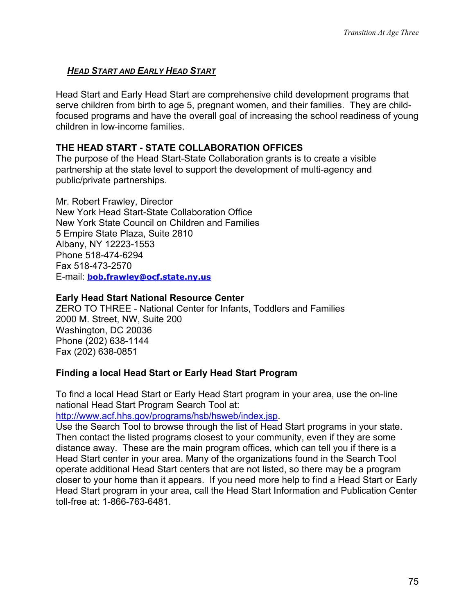# *HEAD START AND EARLY HEAD START*

Head Start and Early Head Start are comprehensive child development programs that serve children from birth to age 5, pregnant women, and their families. They are childfocused programs and have the overall goal of increasing the school readiness of young children in low-income families.

### **THE HEAD START - STATE COLLABORATION OFFICES**

The purpose of the Head Start-State Collaboration grants is to create a visible partnership at the state level to support the development of multi-agency and public/private partnerships.

Mr. Robert Frawley, Director New York Head Start-State Collaboration Office New York State Council on Children and Families 5 Empire State Plaza, Suite 2810 Albany, NY 12223-1553 Phone 518-474-6294 Fax 518-473-2570 E-mail: **[bob.frawley@ocf.state.ny.us](mailto:Council@ccf.state.ny.us)**

#### **Early Head Start National Resource Center**

ZERO TO THREE - National Center for Infants, Toddlers and Families 2000 M. Street, NW, Suite 200 Washington, DC 20036 Phone (202) 638-1144 Fax (202) 638-0851

# **Finding a local Head Start or Early Head Start Program**

To find a local Head Start or Early Head Start program in your area, use the on-line national Head Start Program Search Tool at:

http://www.acf.hhs.gov/programs/hsb/hsweb/index.jsp.

Use the Search Tool to browse through the list of Head Start programs in your state. Then contact the listed programs closest to your community, even if they are some distance away. These are the main program offices, which can tell you if there is a Head Start center in your area. Many of the organizations found in the Search Tool operate additional Head Start centers that are not listed, so there may be a program closer to your home than it appears. If you need more help to find a Head Start or Early Head Start program in your area, call the Head Start Information and Publication Center toll-free at: 1-866-763-6481.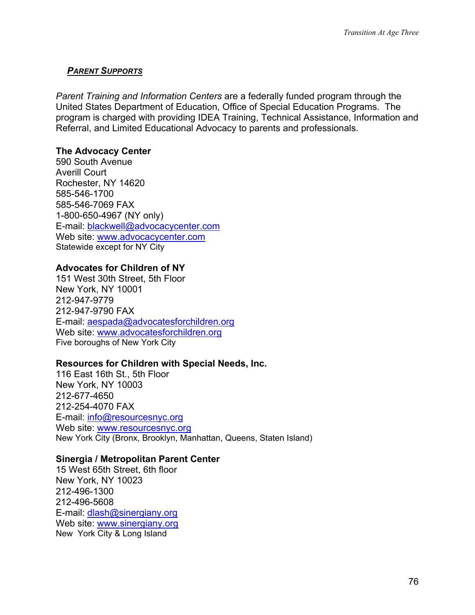#### *PARENT SUPPORTS*

*Parent Training and Information Centers* are a federally funded program through the United States Department of Education, Office of Special Education Programs. The program is charged with providing IDEA Training, Technical Assistance, Information and Referral, and Limited Educational Advocacy to parents and professionals.

### **The Advocacy Center**

590 South Avenue Averill Court Rochester, NY 14620 585-546-1700 585-546-7069 FAX 1-800-650-4967 (NY only) E-mail: [blackwell@advocacycenter.com](mailto:blackwell@advocacycenter.com) Web site: [www.advocacycenter.com](http://www.advocacycenter.com/) Statewide except for NY City

# **Advocates for Children of NY**

151 West 30th Street, 5th Floor New York, NY 10001 212-947-9779 212-947-9790 FAX E-mail: [aespada@advocatesforchildren.org](mailto:aespada@advocatesforchildren.org) Web site: [www.advocatesforchildren.org](http://www.advocatesforchildren.org/) Five boroughs of New York City

#### **Resources for Children with Special Needs, Inc.**

116 East 16th St., 5th Floor New York, NY 10003 212-677-4650 212-254-4070 FAX E-mail: [info@resourcesnyc.org](mailto:info@resourcesnyc.org) Web site: [www.resourcesnyc.org](http://www.resourcesnyc.org/) New York City (Bronx, Brooklyn, Manhattan, Queens, Staten Island)

#### **Sinergia / Metropolitan Parent Center**

15 West 65th Street, 6th floor New York, NY 10023 212-496-1300 212-496-5608 E-mail: [dlash@sinergiany.org](mailto:dlash@sinergiany.org) Web site: [www.sinergiany.org](http://www.sinergiany.org/) New York City & Long Island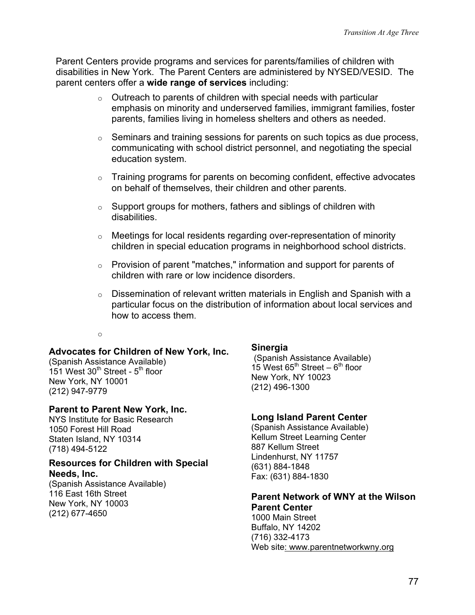Parent Centers provide programs and services for parents/families of children with disabilities in New York. The Parent Centers are administered by NYSED/VESID. The parent centers offer a **wide range of services** including:

- $\circ$  Outreach to parents of children with special needs with particular emphasis on minority and underserved families, immigrant families, foster parents, families living in homeless shelters and others as needed.
- $\circ$  Seminars and training sessions for parents on such topics as due process, communicating with school district personnel, and negotiating the special education system.
- $\circ$  Training programs for parents on becoming confident, effective advocates on behalf of themselves, their children and other parents.
- $\circ$  Support groups for mothers, fathers and siblings of children with disabilities.
- o Meetings for local residents regarding over-representation of minority children in special education programs in neighborhood school districts.
- $\circ$  Provision of parent "matches," information and support for parents of children with rare or low incidence disorders.
- $\circ$  Dissemination of relevant written materials in English and Spanish with a particular focus on the distribution of information about local services and how to access them.

#### o

#### **Advocates for Children of New York, Inc.**

(Spanish Assistance Available) 151 West  $30<sup>th</sup>$  Street -  $5<sup>th</sup>$  floor New York, NY 10001 (212) 947-9779

#### **Parent to Parent New York, Inc.**

NYS Institute for Basic Research 1050 Forest Hill Road Staten Island, NY 10314 (718) 494-5122

#### **Resources for Children with Special Needs, Inc.**

(Spanish Assistance Available) 116 East 16th Street New York, NY 10003 (212) 677-4650

#### **Sinergia**

(Spanish Assistance Available) 15 West  $65^{\text{th}}$  Street –  $6^{\text{th}}$  floor New York, NY 10023 (212) 496-1300

#### **Long Island Parent Center**

(Spanish Assistance Available) Kellum Street Learning Center 887 Kellum Street Lindenhurst, NY 11757 (631) 884-1848 Fax: (631) 884-1830

# **Parent Network of WNY at the Wilson**

**Parent Center**  1000 Main Street Buffalo, NY 14[20](http://www.parentnetworkwny.org/)2 (716) 332-4173 Web site: www.parentnetworkwny.org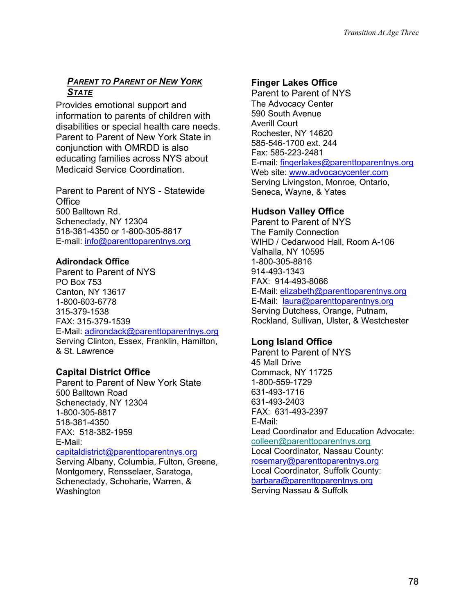# *PARENT TO PARENT OF NEW YORK STATE*

Provides emotional support and information to parents of children with disabilities or special health care needs. Parent to Parent of New York State in conjunction with OMRDD is also educating families across NYS about Medicaid Service Coordination.

Parent to Parent of NYS - Statewide **Office** 500 Balltown Rd. Schenectady, NY 12304 518-381-4350 or 1-800-305-8817 E-mail: [info@parenttoparentnys.org](mailto:info@parenttoparentnys.org)

#### **Adirondack Office**

Parent to Parent of NYS PO Box 753 Canton, NY 13617 1-800-603-6778 315-379-1538 FAX: 315-379-1539 E-Mail: [adirondack@parenttoparentnys.org](mailto:adirondack@parenttoparentnys.org)  Serving Clinton, Essex, Franklin, Hamilton, & St. Lawrence

# **Capital District Office**

Washington

Parent to Parent of New York State 500 Balltown Road Schenectady, NY 12304 1-800-305-8817 518-381-4350 FAX: 518-382-1959 E-Mail: [capitaldistrict@parenttoparentnys.org](mailto:capitaldistrict@parenttoparentnys.org) Serving Albany, Columbia, Fulton, Greene, Montgomery, Rensselaer, Saratoga, Schenectady, Schoharie, Warren, &

# **Finger Lakes Office**

Parent to Parent of NYS The Advocacy Center 590 South Avenue Averill Court Rochester, NY 14620 585-546-1700 ext. 244 Fax: 585-223-2481 E-mail: [fingerlakes@parenttoparentnys.org](mailto:susie@parenttoparentnys.org) Web site: [www.advocacycenter.com](http://www.advocacycenter.com/) Serving Livingston, Monroe, Ontario, Seneca, Wayne, & Yates

# **Hudson Valley Office**

Parent to Parent of NYS The Family Connection WIHD / Cedarwood Hall, Room A-106 Valhalla, NY 10595 1-800-305-8816 914-493-1343 FAX: 914-493-8066 E-Mail: [elizabeth@parenttoparentnys.org](mailto:elizabeth@parenttoparentnys.org) E-Mail: [laura@parenttoparentnys.org](mailto:laura@parenttoparentnys.org) Serving Dutchess, Orange, Putnam, Rockland, Sullivan, Ulster, & Westchester

# **Long Island Office**

Parent to Parent of NYS 45 Mall Drive Commack, NY 11725 1-800-559-1729 631-493-1716 631-493-2403 FAX: 631-493-2397 E-Mail: Lead Coordinator and Education Advocate: [colleen@parenttoparentnys.org](mailto:colleen@parenttoparentnys.org) Local Coordinator, Nassau County: [rosemary@parenttoparentnys.org](mailto:rosemary@parenttoparentnys.org)  Local Coordinator, Suffolk County: [barbara@parenttoparentnys.org](mailto:barbara@parenttoparentnys.org)  Serving Nassau & Suffolk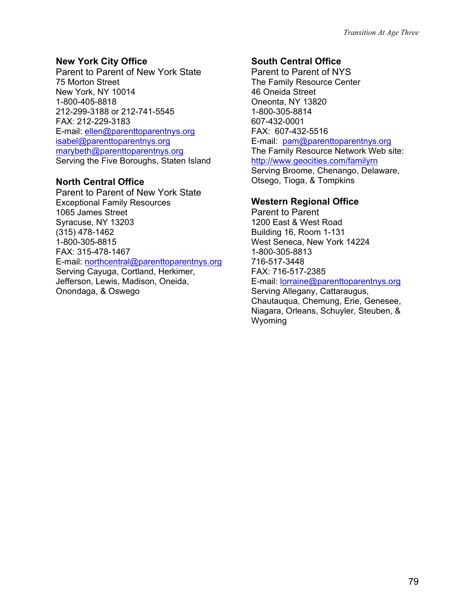#### **New York City Office**

Parent to Parent of New York State 75 Morton Street New York, NY 10014 1-800-405-8818 212-299-3188 or 212-741-5545 FAX: 212-229-3183 E-mail: [ellen@parenttoparentnys.org](mailto:ellen@parenttoparentnys.org) [isabel@parenttoparentnys.org](mailto:isabel@parenttoparentnys.org) [marybeth@parenttoparentnys.org](mailto:marybeth@parenttoparentnys.org) Serving the Five Boroughs, Staten Island

#### **North Central Office**

Parent to Parent of New York State Exceptional Family Resources 1065 James Street Syracuse, NY 13203 (315) 478-1462 1-800-305-8815 FAX: 315-478-1467 E-mail: [northcentral@parenttoparentnys.org](mailto:anne@parenttoparentnys.org) Serving Cayuga, Cortland, Herkimer, Jefferson, Lewis, Madison, Oneida, Onondaga, & Oswego

# **South Central Office**

Parent to Parent of NYS The Family Resource Center 46 Oneida Street Oneonta, NY 13820 1-800-305-8814 607-432-0001 FAX: 607-432-5516 E-mail: [pam@parenttoparentnys.org](mailto:pam@parenttoparentnys.org) The Family Resource Network Web site: <http://www.geocities.com/familyrn> Serving Broome, Chenango, Delaware, Otsego, Tioga, & Tompkins

# **Western Regional Office**

Parent to Parent 1200 East & West Road Building 16, Room 1-131 West Seneca, New York 14224 1-800-305-8813 716-517-3448 FAX: 716-517-2385 E-mail: [lorraine@parenttoparentnys.org](mailto:lorraine@parenttoparentnys.org) Serving Allegany, Cattaraugus, Chautauqua, Chemung, Erie, Genesee, Niagara, Orleans, Schuyler, Steuben, & Wyoming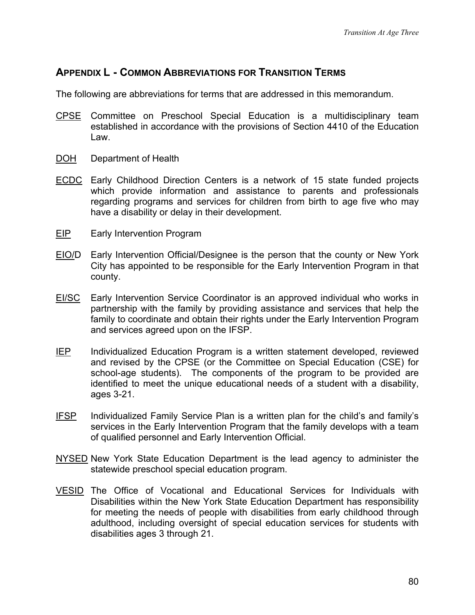# **APPENDIX L - COMMON ABBREVIATIONS FOR TRANSITION TERMS**

The following are abbreviations for terms that are addressed in this memorandum.

- CPSE Committee on Preschool Special Education is a multidisciplinary team established in accordance with the provisions of Section 4410 of the Education Law.
- DOH Department of Health
- ECDC Early Childhood Direction Centers is a network of 15 state funded projects which provide information and assistance to parents and professionals regarding programs and services for children from birth to age five who may have a disability or delay in their development.
- **EIP** Early Intervention Program
- EIO/D Early Intervention Official/Designee is the person that the county or New York City has appointed to be responsible for the Early Intervention Program in that county.
- **EI/SC** Early Intervention Service Coordinator is an approved individual who works in partnership with the family by providing assistance and services that help the family to coordinate and obtain their rights under the Early Intervention Program and services agreed upon on the IFSP.
- IEP Individualized Education Program is a written statement developed, reviewed and revised by the CPSE (or the Committee on Special Education (CSE) for school-age students). The components of the program to be provided are identified to meet the unique educational needs of a student with a disability, ages 3-21.
- IFSP Individualized Family Service Plan is a written plan for the child's and family's services in the Early Intervention Program that the family develops with a team of qualified personnel and Early Intervention Official.
- NYSED New York State Education Department is the lead agency to administer the statewide preschool special education program.
- VESID The Office of Vocational and Educational Services for Individuals with Disabilities within the New York State Education Department has responsibility for meeting the needs of people with disabilities from early childhood through adulthood, including oversight of special education services for students with disabilities ages 3 through 21.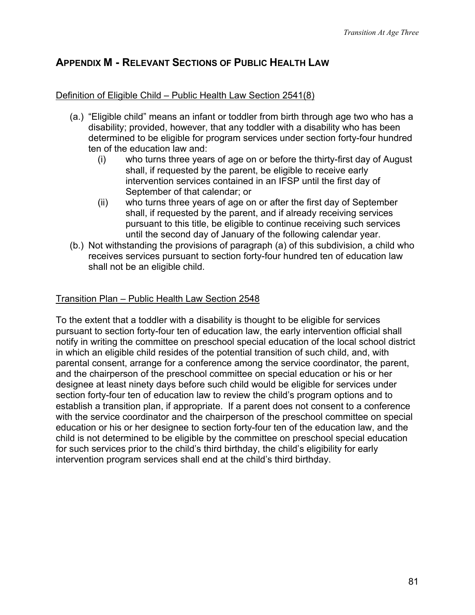# **APPENDIX M - RELEVANT SECTIONS OF PUBLIC HEALTH LAW**

#### Definition of Eligible Child – Public Health Law Section 2541(8)

- (a.) "Eligible child" means an infant or toddler from birth through age two who has a disability; provided, however, that any toddler with a disability who has been determined to be eligible for program services under section forty-four hundred ten of the education law and:
	- (i) who turns three years of age on or before the thirty-first day of August shall, if requested by the parent, be eligible to receive early intervention services contained in an IFSP until the first day of September of that calendar; or
	- (ii) who turns three years of age on or after the first day of September shall, if requested by the parent, and if already receiving services pursuant to this title, be eligible to continue receiving such services until the second day of January of the following calendar year.
- (b.) Not withstanding the provisions of paragraph (a) of this subdivision, a child who receives services pursuant to section forty-four hundred ten of education law shall not be an eligible child.

#### Transition Plan – Public Health Law Section 2548

To the extent that a toddler with a disability is thought to be eligible for services pursuant to section forty-four ten of education law, the early intervention official shall notify in writing the committee on preschool special education of the local school district in which an eligible child resides of the potential transition of such child, and, with parental consent, arrange for a conference among the service coordinator, the parent, and the chairperson of the preschool committee on special education or his or her designee at least ninety days before such child would be eligible for services under section forty-four ten of education law to review the child's program options and to establish a transition plan, if appropriate. If a parent does not consent to a conference with the service coordinator and the chairperson of the preschool committee on special education or his or her designee to section forty-four ten of the education law, and the child is not determined to be eligible by the committee on preschool special education for such services prior to the child's third birthday, the child's eligibility for early intervention program services shall end at the child's third birthday.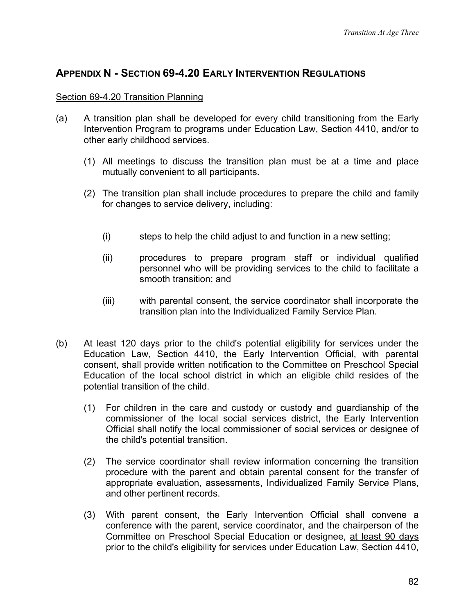# **APPENDIX N - SECTION 69-4.20 EARLY INTERVENTION REGULATIONS**

#### Section 69-4.20 Transition Planning

- (a) A transition plan shall be developed for every child transitioning from the Early Intervention Program to programs under Education Law, Section 4410, and/or to other early childhood services.
	- (1) All meetings to discuss the transition plan must be at a time and place mutually convenient to all participants.
	- (2) The transition plan shall include procedures to prepare the child and family for changes to service delivery, including:
		- (i) steps to help the child adjust to and function in a new setting;
		- (ii) procedures to prepare program staff or individual qualified personnel who will be providing services to the child to facilitate a smooth transition; and
		- (iii) with parental consent, the service coordinator shall incorporate the transition plan into the Individualized Family Service Plan.
- (b) At least 120 days prior to the child's potential eligibility for services under the Education Law, Section 4410, the Early Intervention Official, with parental consent, shall provide written notification to the Committee on Preschool Special Education of the local school district in which an eligible child resides of the potential transition of the child.
	- (1) For children in the care and custody or custody and guardianship of the commissioner of the local social services district, the Early Intervention Official shall notify the local commissioner of social services or designee of the child's potential transition.
	- (2) The service coordinator shall review information concerning the transition procedure with the parent and obtain parental consent for the transfer of appropriate evaluation, assessments, Individualized Family Service Plans, and other pertinent records.
	- (3) With parent consent, the Early Intervention Official shall convene a conference with the parent, service coordinator, and the chairperson of the Committee on Preschool Special Education or designee, at least 90 days prior to the child's eligibility for services under Education Law, Section 4410,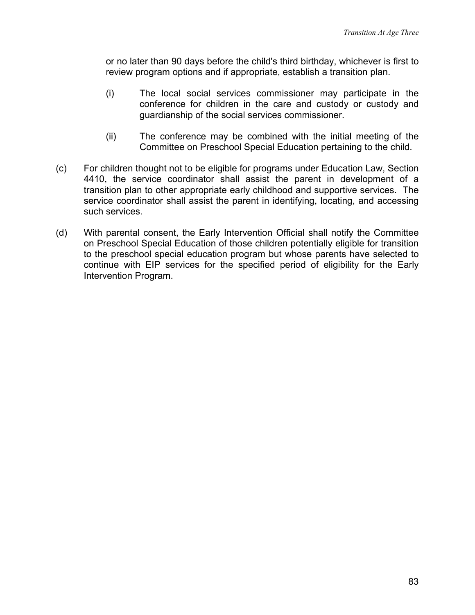or no later than 90 days before the child's third birthday, whichever is first to review program options and if appropriate, establish a transition plan.

- (i) The local social services commissioner may participate in the conference for children in the care and custody or custody and guardianship of the social services commissioner.
- (ii) The conference may be combined with the initial meeting of the Committee on Preschool Special Education pertaining to the child.
- (c) For children thought not to be eligible for programs under Education Law, Section 4410, the service coordinator shall assist the parent in development of a transition plan to other appropriate early childhood and supportive services. The service coordinator shall assist the parent in identifying, locating, and accessing such services.
- (d) With parental consent, the Early Intervention Official shall notify the Committee on Preschool Special Education of those children potentially eligible for transition to the preschool special education program but whose parents have selected to continue with EIP services for the specified period of eligibility for the Early Intervention Program.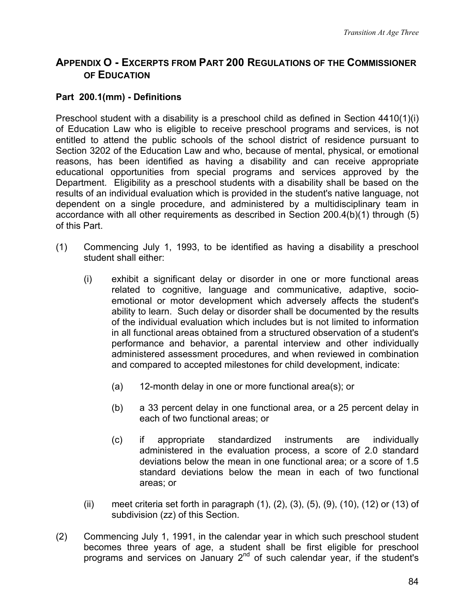# **APPENDIX O - EXCERPTS FROM PART 200 REGULATIONS OF THE COMMISSIONER OF EDUCATION**

### **Part 200.1(mm) - Definitions**

Preschool student with a disability is a preschool child as defined in Section 4410(1)(i) of Education Law who is eligible to receive preschool programs and services, is not entitled to attend the public schools of the school district of residence pursuant to Section 3202 of the Education Law and who, because of mental, physical, or emotional reasons, has been identified as having a disability and can receive appropriate educational opportunities from special programs and services approved by the Department. Eligibility as a preschool students with a disability shall be based on the results of an individual evaluation which is provided in the student's native language, not dependent on a single procedure, and administered by a multidisciplinary team in accordance with all other requirements as described in Section 200.4(b)(1) through (5) of this Part.

- (1) Commencing July 1, 1993, to be identified as having a disability a preschool student shall either:
	- (i) exhibit a significant delay or disorder in one or more functional areas related to cognitive, language and communicative, adaptive, socioemotional or motor development which adversely affects the student's ability to learn. Such delay or disorder shall be documented by the results of the individual evaluation which includes but is not limited to information in all functional areas obtained from a structured observation of a student's performance and behavior, a parental interview and other individually administered assessment procedures, and when reviewed in combination and compared to accepted milestones for child development, indicate:
		- (a) 12-month delay in one or more functional area(s); or
		- (b) a 33 percent delay in one functional area, or a 25 percent delay in each of two functional areas; or
		- (c) if appropriate standardized instruments are individually administered in the evaluation process, a score of 2.0 standard deviations below the mean in one functional area; or a score of 1.5 standard deviations below the mean in each of two functional areas; or
	- (ii) meet criteria set forth in paragraph (1), (2), (3), (5), (9), (10), (12) or (13) of subdivision (zz) of this Section.
- (2) Commencing July 1, 1991, in the calendar year in which such preschool student becomes three years of age, a student shall be first eligible for preschool programs and services on January  $2<sup>nd</sup>$  of such calendar year, if the student's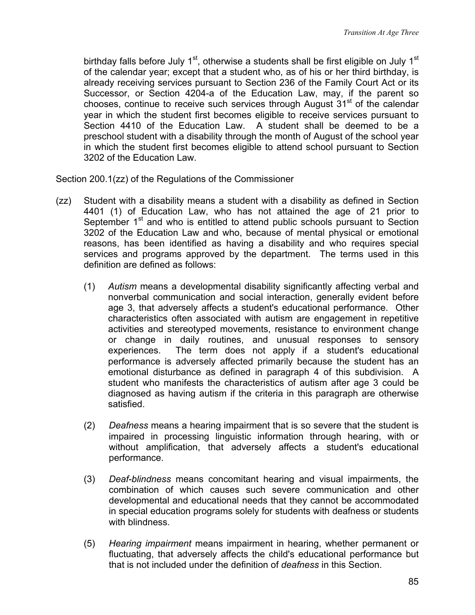birthday falls before July  $1<sup>st</sup>$ , otherwise a students shall be first eligible on July  $1<sup>st</sup>$ of the calendar year; except that a student who, as of his or her third birthday, is already receiving services pursuant to Section 236 of the Family Court Act or its Successor, or Section 4204-a of the Education Law, may, if the parent so chooses, continue to receive such services through August  $31<sup>st</sup>$  of the calendar year in which the student first becomes eligible to receive services pursuant to Section 4410 of the Education Law. A student shall be deemed to be a preschool student with a disability through the month of August of the school year in which the student first becomes eligible to attend school pursuant to Section 3202 of the Education Law.

Section 200.1(zz) of the Regulations of the Commissioner

- (zz) Student with a disability means a student with a disability as defined in Section 4401 (1) of Education Law, who has not attained the age of 21 prior to September 1<sup>st</sup> and who is entitled to attend public schools pursuant to Section 3202 of the Education Law and who, because of mental physical or emotional reasons, has been identified as having a disability and who requires special services and programs approved by the department. The terms used in this definition are defined as follows:
	- (1) *Autism* means a developmental disability significantly affecting verbal and nonverbal communication and social interaction, generally evident before age 3, that adversely affects a student's educational performance. Other characteristics often associated with autism are engagement in repetitive activities and stereotyped movements, resistance to environment change or change in daily routines, and unusual responses to sensory experiences. The term does not apply if a student's educational performance is adversely affected primarily because the student has an emotional disturbance as defined in paragraph 4 of this subdivision. A student who manifests the characteristics of autism after age 3 could be diagnosed as having autism if the criteria in this paragraph are otherwise satisfied.
	- (2) *Deafness* means a hearing impairment that is so severe that the student is impaired in processing linguistic information through hearing, with or without amplification, that adversely affects a student's educational performance.
	- (3) *Deaf-blindness* means concomitant hearing and visual impairments, the combination of which causes such severe communication and other developmental and educational needs that they cannot be accommodated in special education programs solely for students with deafness or students with blindness.
	- (5) *Hearing impairment* means impairment in hearing, whether permanent or fluctuating, that adversely affects the child's educational performance but that is not included under the definition of *deafness* in this Section.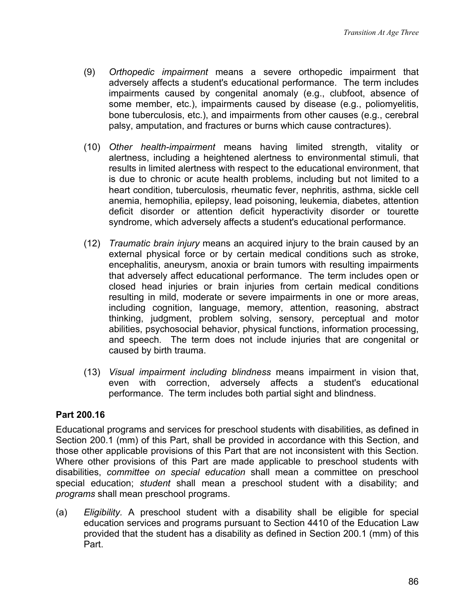- (9) *Orthopedic impairment* means a severe orthopedic impairment that adversely affects a student's educational performance. The term includes impairments caused by congenital anomaly (e.g., clubfoot, absence of some member, etc.), impairments caused by disease (e.g., poliomyelitis, bone tuberculosis, etc.), and impairments from other causes (e.g., cerebral palsy, amputation, and fractures or burns which cause contractures).
- (10) *Other health-impairment* means having limited strength, vitality or alertness, including a heightened alertness to environmental stimuli, that results in limited alertness with respect to the educational environment, that is due to chronic or acute health problems, including but not limited to a heart condition, tuberculosis, rheumatic fever, nephritis, asthma, sickle cell anemia, hemophilia, epilepsy, lead poisoning, leukemia, diabetes, attention deficit disorder or attention deficit hyperactivity disorder or tourette syndrome, which adversely affects a student's educational performance.
- (12) *Traumatic brain injury* means an acquired injury to the brain caused by an external physical force or by certain medical conditions such as stroke, encephalitis, aneurysm, anoxia or brain tumors with resulting impairments that adversely affect educational performance. The term includes open or closed head injuries or brain injuries from certain medical conditions resulting in mild, moderate or severe impairments in one or more areas, including cognition, language, memory, attention, reasoning, abstract thinking, judgment, problem solving, sensory, perceptual and motor abilities, psychosocial behavior, physical functions, information processing, and speech. The term does not include injuries that are congenital or caused by birth trauma.
- (13) *Visual impairment including blindness* means impairment in vision that, even with correction, adversely affects a student's educational performance. The term includes both partial sight and blindness.

#### **Part 200.16**

Educational programs and services for preschool students with disabilities, as defined in Section 200.1 (mm) of this Part, shall be provided in accordance with this Section, and those other applicable provisions of this Part that are not inconsistent with this Section. Where other provisions of this Part are made applicable to preschool students with disabilities, *committee on special education* shall mean a committee on preschool special education; *student* shall mean a preschool student with a disability; and *programs* shall mean preschool programs.

(a) *Eligibility.* A preschool student with a disability shall be eligible for special education services and programs pursuant to Section 4410 of the Education Law provided that the student has a disability as defined in Section 200.1 (mm) of this Part.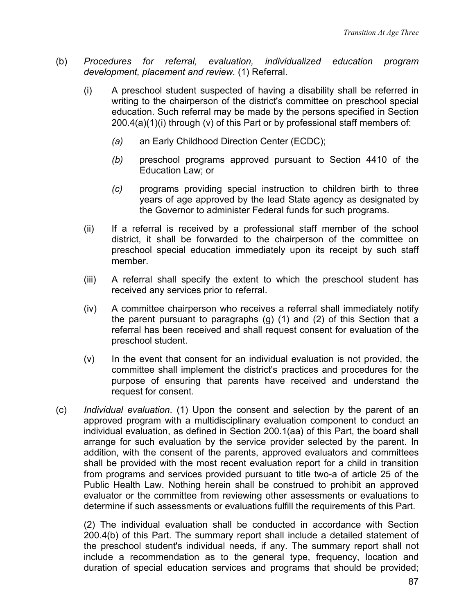- (b) *Procedures for referral, evaluation, individualized education program development, placement and review.* (1) Referral.
	- (i) A preschool student suspected of having a disability shall be referred in writing to the chairperson of the district's committee on preschool special education. Such referral may be made by the persons specified in Section 200.4(a)(1)(i) through (v) of this Part or by professional staff members of:
		- *(a)* an Early Childhood Direction Center (ECDC);
		- *(b)* preschool programs approved pursuant to Section 4410 of the Education Law; or
		- *(c)* programs providing special instruction to children birth to three years of age approved by the lead State agency as designated by the Governor to administer Federal funds for such programs.
	- (ii) If a referral is received by a professional staff member of the school district, it shall be forwarded to the chairperson of the committee on preschool special education immediately upon its receipt by such staff member.
	- (iii) A referral shall specify the extent to which the preschool student has received any services prior to referral.
	- (iv) A committee chairperson who receives a referral shall immediately notify the parent pursuant to paragraphs (g) (1) and (2) of this Section that a referral has been received and shall request consent for evaluation of the preschool student.
	- $(v)$  In the event that consent for an individual evaluation is not provided, the committee shall implement the district's practices and procedures for the purpose of ensuring that parents have received and understand the request for consent.
- (c) *Individual evaluation*. (1) Upon the consent and selection by the parent of an approved program with a multidisciplinary evaluation component to conduct an individual evaluation, as defined in Section 200.1(aa) of this Part, the board shall arrange for such evaluation by the service provider selected by the parent. In addition, with the consent of the parents, approved evaluators and committees shall be provided with the most recent evaluation report for a child in transition from programs and services provided pursuant to title two-a of article 25 of the Public Health Law. Nothing herein shall be construed to prohibit an approved evaluator or the committee from reviewing other assessments or evaluations to determine if such assessments or evaluations fulfill the requirements of this Part.

(2) The individual evaluation shall be conducted in accordance with Section 200.4(b) of this Part. The summary report shall include a detailed statement of the preschool student's individual needs, if any. The summary report shall not include a recommendation as to the general type, frequency, location and duration of special education services and programs that should be provided;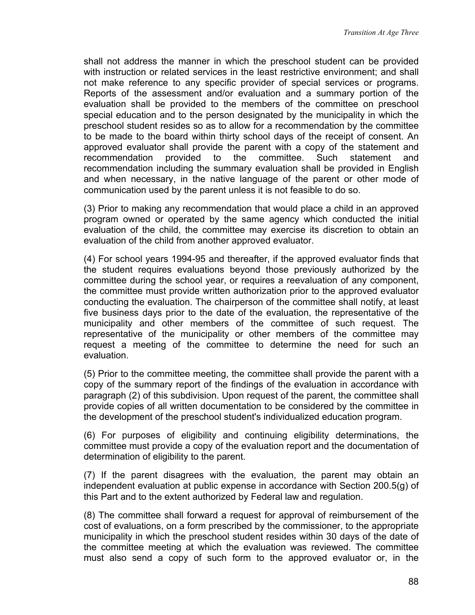shall not address the manner in which the preschool student can be provided with instruction or related services in the least restrictive environment; and shall not make reference to any specific provider of special services or programs. Reports of the assessment and/or evaluation and a summary portion of the evaluation shall be provided to the members of the committee on preschool special education and to the person designated by the municipality in which the preschool student resides so as to allow for a recommendation by the committee to be made to the board within thirty school days of the receipt of consent. An approved evaluator shall provide the parent with a copy of the statement and recommendation provided to the committee. Such statement and recommendation including the summary evaluation shall be provided in English and when necessary, in the native language of the parent or other mode of communication used by the parent unless it is not feasible to do so.

(3) Prior to making any recommendation that would place a child in an approved program owned or operated by the same agency which conducted the initial evaluation of the child, the committee may exercise its discretion to obtain an evaluation of the child from another approved evaluator.

(4) For school years 1994-95 and thereafter, if the approved evaluator finds that the student requires evaluations beyond those previously authorized by the committee during the school year, or requires a reevaluation of any component, the committee must provide written authorization prior to the approved evaluator conducting the evaluation. The chairperson of the committee shall notify, at least five business days prior to the date of the evaluation, the representative of the municipality and other members of the committee of such request. The representative of the municipality or other members of the committee may request a meeting of the committee to determine the need for such an evaluation.

(5) Prior to the committee meeting, the committee shall provide the parent with a copy of the summary report of the findings of the evaluation in accordance with paragraph (2) of this subdivision. Upon request of the parent, the committee shall provide copies of all written documentation to be considered by the committee in the development of the preschool student's individualized education program.

(6) For purposes of eligibility and continuing eligibility determinations, the committee must provide a copy of the evaluation report and the documentation of determination of eligibility to the parent.

(7) If the parent disagrees with the evaluation, the parent may obtain an independent evaluation at public expense in accordance with Section 200.5(g) of this Part and to the extent authorized by Federal law and regulation.

(8) The committee shall forward a request for approval of reimbursement of the cost of evaluations, on a form prescribed by the commissioner, to the appropriate municipality in which the preschool student resides within 30 days of the date of the committee meeting at which the evaluation was reviewed. The committee must also send a copy of such form to the approved evaluator or, in the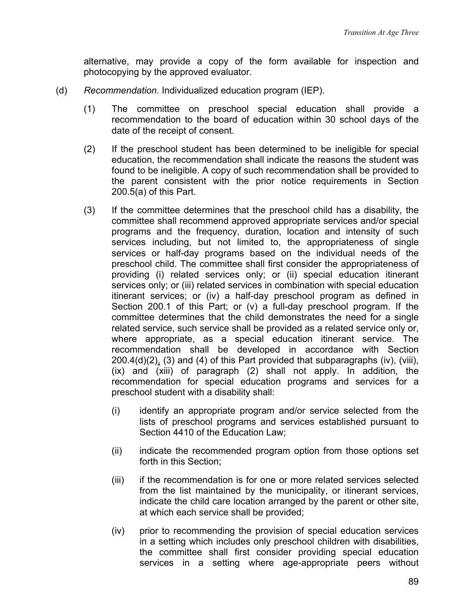alternative, may provide a copy of the form available for inspection and photocopying by the approved evaluator.

- (d) *Recommendation*. Individualized education program (IEP).
	- (1) The committee on preschool special education shall provide a recommendation to the board of education within 30 school days of the date of the receipt of consent.
	- (2) If the preschool student has been determined to be ineligible for special education, the recommendation shall indicate the reasons the student was found to be ineligible. A copy of such recommendation shall be provided to the parent consistent with the prior notice requirements in Section 200.5(a) of this Part.
	- (3) If the committee determines that the preschool child has a disability, the committee shall recommend approved appropriate services and/or special programs and the frequency, duration, location and intensity of such services including, but not limited to, the appropriateness of single services or half-day programs based on the individual needs of the preschool child. The committee shall first consider the appropriateness of providing (i) related services only; or (ii) special education itinerant services only; or (iii) related services in combination with special education itinerant services; or (iv) a half-day preschool program as defined in Section 200.1 of this Part; or (v) a full-day preschool program. If the committee determines that the child demonstrates the need for a single related service, such service shall be provided as a related service only or, where appropriate, as a special education itinerant service. The recommendation shall be developed in accordance with Section 200.4(d)(2), (3) and (4) of this Part provided that subparagraphs (iv), (viii), (ix) and (xiii) of paragraph (2) shall not apply. In addition, the recommendation for special education programs and services for a preschool student with a disability shall:
		- (i) identify an appropriate program and/or service selected from the lists of preschool programs and services established pursuant to Section 4410 of the Education Law;
		- (ii) indicate the recommended program option from those options set forth in this Section;
		- (iii) if the recommendation is for one or more related services selected from the list maintained by the municipality, or itinerant services, indicate the child care location arranged by the parent or other site, at which each service shall be provided;
		- (iv) prior to recommending the provision of special education services in a setting which includes only preschool children with disabilities, the committee shall first consider providing special education services in a setting where age-appropriate peers without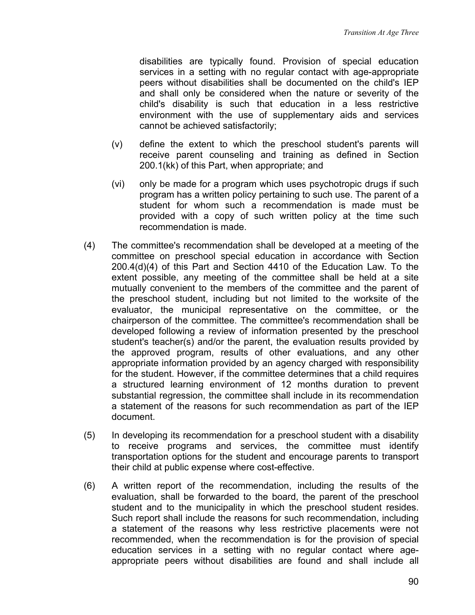disabilities are typically found. Provision of special education services in a setting with no regular contact with age-appropriate peers without disabilities shall be documented on the child's IEP and shall only be considered when the nature or severity of the child's disability is such that education in a less restrictive environment with the use of supplementary aids and services cannot be achieved satisfactorily;

- (v) define the extent to which the preschool student's parents will receive parent counseling and training as defined in Section 200.1(kk) of this Part, when appropriate; and
- (vi) only be made for a program which uses psychotropic drugs if such program has a written policy pertaining to such use. The parent of a student for whom such a recommendation is made must be provided with a copy of such written policy at the time such recommendation is made.
- (4) The committee's recommendation shall be developed at a meeting of the committee on preschool special education in accordance with Section 200.4(d)(4) of this Part and Section 4410 of the Education Law. To the extent possible, any meeting of the committee shall be held at a site mutually convenient to the members of the committee and the parent of the preschool student, including but not limited to the worksite of the evaluator, the municipal representative on the committee, or the chairperson of the committee. The committee's recommendation shall be developed following a review of information presented by the preschool student's teacher(s) and/or the parent, the evaluation results provided by the approved program, results of other evaluations, and any other appropriate information provided by an agency charged with responsibility for the student. However, if the committee determines that a child requires a structured learning environment of 12 months duration to prevent substantial regression, the committee shall include in its recommendation a statement of the reasons for such recommendation as part of the IEP document.
- (5) In developing its recommendation for a preschool student with a disability to receive programs and services, the committee must identify transportation options for the student and encourage parents to transport their child at public expense where cost-effective.
- (6) A written report of the recommendation, including the results of the evaluation, shall be forwarded to the board, the parent of the preschool student and to the municipality in which the preschool student resides. Such report shall include the reasons for such recommendation, including a statement of the reasons why less restrictive placements were not recommended, when the recommendation is for the provision of special education services in a setting with no regular contact where ageappropriate peers without disabilities are found and shall include all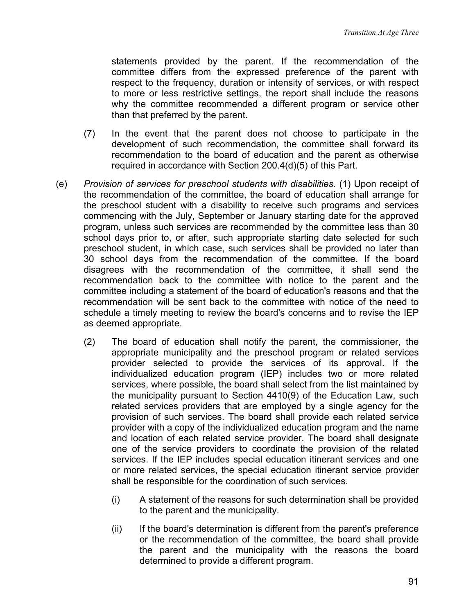statements provided by the parent. If the recommendation of the committee differs from the expressed preference of the parent with respect to the frequency, duration or intensity of services, or with respect to more or less restrictive settings, the report shall include the reasons why the committee recommended a different program or service other than that preferred by the parent.

- (7) In the event that the parent does not choose to participate in the development of such recommendation, the committee shall forward its recommendation to the board of education and the parent as otherwise required in accordance with Section 200.4(d)(5) of this Part.
- (e) *Provision of services for preschool students with disabilities.* (1) Upon receipt of the recommendation of the committee, the board of education shall arrange for the preschool student with a disability to receive such programs and services commencing with the July, September or January starting date for the approved program, unless such services are recommended by the committee less than 30 school days prior to, or after, such appropriate starting date selected for such preschool student, in which case, such services shall be provided no later than 30 school days from the recommendation of the committee. If the board disagrees with the recommendation of the committee, it shall send the recommendation back to the committee with notice to the parent and the committee including a statement of the board of education's reasons and that the recommendation will be sent back to the committee with notice of the need to schedule a timely meeting to review the board's concerns and to revise the IEP as deemed appropriate.
	- (2) The board of education shall notify the parent, the commissioner, the appropriate municipality and the preschool program or related services provider selected to provide the services of its approval. If the individualized education program (IEP) includes two or more related services, where possible, the board shall select from the list maintained by the municipality pursuant to Section 4410(9) of the Education Law, such related services providers that are employed by a single agency for the provision of such services. The board shall provide each related service provider with a copy of the individualized education program and the name and location of each related service provider. The board shall designate one of the service providers to coordinate the provision of the related services. If the IEP includes special education itinerant services and one or more related services, the special education itinerant service provider shall be responsible for the coordination of such services.
		- (i) A statement of the reasons for such determination shall be provided to the parent and the municipality.
		- (ii) If the board's determination is different from the parent's preference or the recommendation of the committee, the board shall provide the parent and the municipality with the reasons the board determined to provide a different program.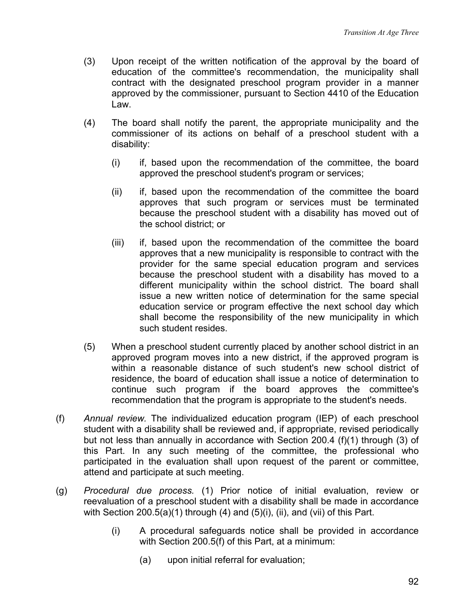- (3) Upon receipt of the written notification of the approval by the board of education of the committee's recommendation, the municipality shall contract with the designated preschool program provider in a manner approved by the commissioner, pursuant to Section 4410 of the Education Law.
- (4) The board shall notify the parent, the appropriate municipality and the commissioner of its actions on behalf of a preschool student with a disability:
	- (i) if, based upon the recommendation of the committee, the board approved the preschool student's program or services;
	- (ii) if, based upon the recommendation of the committee the board approves that such program or services must be terminated because the preschool student with a disability has moved out of the school district; or
	- (iii) if, based upon the recommendation of the committee the board approves that a new municipality is responsible to contract with the provider for the same special education program and services because the preschool student with a disability has moved to a different municipality within the school district. The board shall issue a new written notice of determination for the same special education service or program effective the next school day which shall become the responsibility of the new municipality in which such student resides.
- (5) When a preschool student currently placed by another school district in an approved program moves into a new district, if the approved program is within a reasonable distance of such student's new school district of residence, the board of education shall issue a notice of determination to continue such program if the board approves the committee's recommendation that the program is appropriate to the student's needs.
- (f) *Annual review.* The individualized education program (IEP) of each preschool student with a disability shall be reviewed and, if appropriate, revised periodically but not less than annually in accordance with Section 200.4 (f)(1) through (3) of this Part. In any such meeting of the committee, the professional who participated in the evaluation shall upon request of the parent or committee, attend and participate at such meeting.
- (g) *Procedural due process.* (1) Prior notice of initial evaluation, review or reevaluation of a preschool student with a disability shall be made in accordance with Section 200.5(a)(1) through (4) and (5)(i), (ii), and (vii) of this Part.
	- (i) A procedural safeguards notice shall be provided in accordance with Section 200.5(f) of this Part, at a minimum:
		- (a) upon initial referral for evaluation;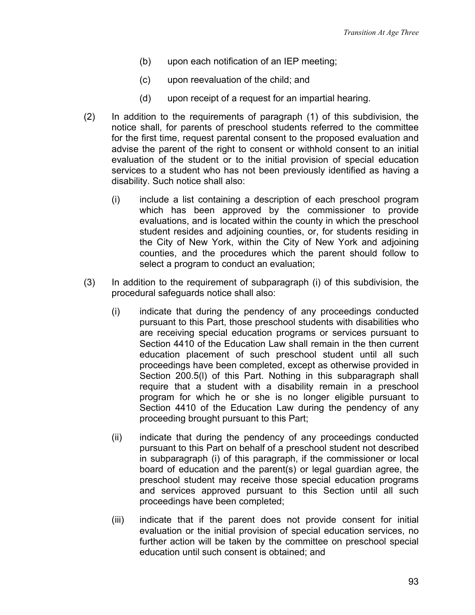- (b) upon each notification of an IEP meeting;
- (c) upon reevaluation of the child; and
- (d) upon receipt of a request for an impartial hearing.
- (2) In addition to the requirements of paragraph (1) of this subdivision, the notice shall, for parents of preschool students referred to the committee for the first time, request parental consent to the proposed evaluation and advise the parent of the right to consent or withhold consent to an initial evaluation of the student or to the initial provision of special education services to a student who has not been previously identified as having a disability. Such notice shall also:
	- (i) include a list containing a description of each preschool program which has been approved by the commissioner to provide evaluations, and is located within the county in which the preschool student resides and adjoining counties, or, for students residing in the City of New York, within the City of New York and adjoining counties, and the procedures which the parent should follow to select a program to conduct an evaluation;
- (3) In addition to the requirement of subparagraph (i) of this subdivision, the procedural safeguards notice shall also:
	- (i) indicate that during the pendency of any proceedings conducted pursuant to this Part, those preschool students with disabilities who are receiving special education programs or services pursuant to Section 4410 of the Education Law shall remain in the then current education placement of such preschool student until all such proceedings have been completed, except as otherwise provided in Section 200.5(l) of this Part. Nothing in this subparagraph shall require that a student with a disability remain in a preschool program for which he or she is no longer eligible pursuant to Section 4410 of the Education Law during the pendency of any proceeding brought pursuant to this Part;
	- (ii) indicate that during the pendency of any proceedings conducted pursuant to this Part on behalf of a preschool student not described in subparagraph (i) of this paragraph, if the commissioner or local board of education and the parent(s) or legal guardian agree, the preschool student may receive those special education programs and services approved pursuant to this Section until all such proceedings have been completed;
	- (iii) indicate that if the parent does not provide consent for initial evaluation or the initial provision of special education services, no further action will be taken by the committee on preschool special education until such consent is obtained; and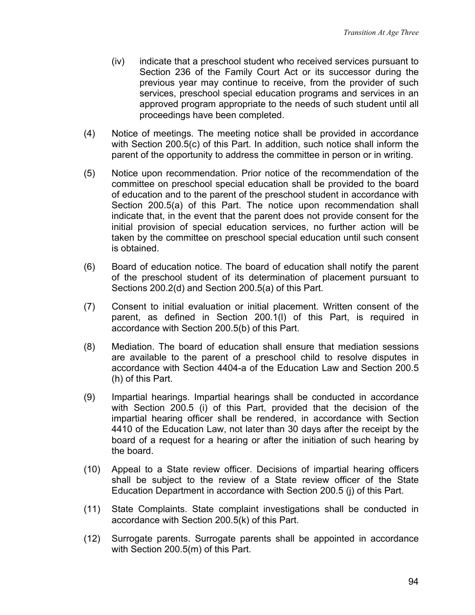- (iv) indicate that a preschool student who received services pursuant to Section 236 of the Family Court Act or its successor during the previous year may continue to receive, from the provider of such services, preschool special education programs and services in an approved program appropriate to the needs of such student until all proceedings have been completed.
- (4) Notice of meetings. The meeting notice shall be provided in accordance with Section 200.5(c) of this Part. In addition, such notice shall inform the parent of the opportunity to address the committee in person or in writing.
- (5) Notice upon recommendation. Prior notice of the recommendation of the committee on preschool special education shall be provided to the board of education and to the parent of the preschool student in accordance with Section 200.5(a) of this Part. The notice upon recommendation shall indicate that, in the event that the parent does not provide consent for the initial provision of special education services, no further action will be taken by the committee on preschool special education until such consent is obtained.
- (6) Board of education notice. The board of education shall notify the parent of the preschool student of its determination of placement pursuant to Sections 200.2(d) and Section 200.5(a) of this Part.
- (7) Consent to initial evaluation or initial placement. Written consent of the parent, as defined in Section 200.1(l) of this Part, is required in accordance with Section 200.5(b) of this Part.
- (8) Mediation. The board of education shall ensure that mediation sessions are available to the parent of a preschool child to resolve disputes in accordance with Section 4404-a of the Education Law and Section 200.5 (h) of this Part.
- (9) Impartial hearings. Impartial hearings shall be conducted in accordance with Section 200.5 (i) of this Part, provided that the decision of the impartial hearing officer shall be rendered, in accordance with Section 4410 of the Education Law, not later than 30 days after the receipt by the board of a request for a hearing or after the initiation of such hearing by the board.
- (10) Appeal to a State review officer. Decisions of impartial hearing officers shall be subject to the review of a State review officer of the State Education Department in accordance with Section 200.5 (j) of this Part.
- (11) State Complaints. State complaint investigations shall be conducted in accordance with Section 200.5(k) of this Part.
- (12) Surrogate parents. Surrogate parents shall be appointed in accordance with Section 200.5(m) of this Part.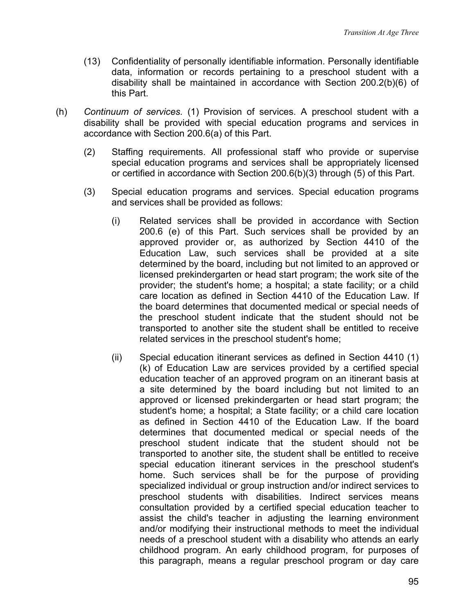- (13) Confidentiality of personally identifiable information. Personally identifiable data, information or records pertaining to a preschool student with a disability shall be maintained in accordance with Section 200.2(b)(6) of this Part.
- (h) *Continuum of services.* (1) Provision of services. A preschool student with a disability shall be provided with special education programs and services in accordance with Section 200.6(a) of this Part.
	- (2) Staffing requirements. All professional staff who provide or supervise special education programs and services shall be appropriately licensed or certified in accordance with Section 200.6(b)(3) through (5) of this Part.
	- (3) Special education programs and services. Special education programs and services shall be provided as follows:
		- (i) Related services shall be provided in accordance with Section 200.6 (e) of this Part. Such services shall be provided by an approved provider or, as authorized by Section 4410 of the Education Law, such services shall be provided at a site determined by the board, including but not limited to an approved or licensed prekindergarten or head start program; the work site of the provider; the student's home; a hospital; a state facility; or a child care location as defined in Section 4410 of the Education Law. If the board determines that documented medical or special needs of the preschool student indicate that the student should not be transported to another site the student shall be entitled to receive related services in the preschool student's home;
		- (ii) Special education itinerant services as defined in Section 4410 (1) (k) of Education Law are services provided by a certified special education teacher of an approved program on an itinerant basis at a site determined by the board including but not limited to an approved or licensed prekindergarten or head start program; the student's home; a hospital; a State facility; or a child care location as defined in Section 4410 of the Education Law. If the board determines that documented medical or special needs of the preschool student indicate that the student should not be transported to another site, the student shall be entitled to receive special education itinerant services in the preschool student's home. Such services shall be for the purpose of providing specialized individual or group instruction and/or indirect services to preschool students with disabilities. Indirect services means consultation provided by a certified special education teacher to assist the child's teacher in adjusting the learning environment and/or modifying their instructional methods to meet the individual needs of a preschool student with a disability who attends an early childhood program. An early childhood program, for purposes of this paragraph, means a regular preschool program or day care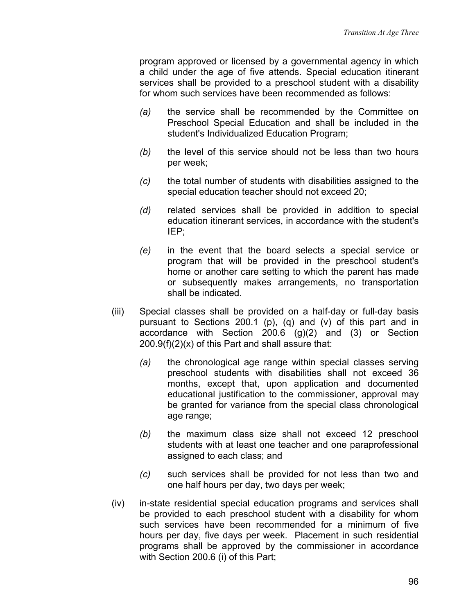program approved or licensed by a governmental agency in which a child under the age of five attends. Special education itinerant services shall be provided to a preschool student with a disability for whom such services have been recommended as follows:

- *(a)* the service shall be recommended by the Committee on Preschool Special Education and shall be included in the student's Individualized Education Program;
- *(b)* the level of this service should not be less than two hours per week;
- *(c)* the total number of students with disabilities assigned to the special education teacher should not exceed 20;
- *(d)* related services shall be provided in addition to special education itinerant services, in accordance with the student's IEP;
- *(e)* in the event that the board selects a special service or program that will be provided in the preschool student's home or another care setting to which the parent has made or subsequently makes arrangements, no transportation shall be indicated.
- (iii) Special classes shall be provided on a half-day or full-day basis pursuant to Sections 200.1 (p), (q) and (v) of this part and in accordance with Section  $200.6$  (g)(2) and (3) or Section  $200.9(f)(2)(x)$  of this Part and shall assure that:
	- *(a)* the chronological age range within special classes serving preschool students with disabilities shall not exceed 36 months, except that, upon application and documented educational justification to the commissioner, approval may be granted for variance from the special class chronological age range;
	- *(b)* the maximum class size shall not exceed 12 preschool students with at least one teacher and one paraprofessional assigned to each class; and
	- *(c)* such services shall be provided for not less than two and one half hours per day, two days per week;
- (iv) in-state residential special education programs and services shall be provided to each preschool student with a disability for whom such services have been recommended for a minimum of five hours per day, five days per week. Placement in such residential programs shall be approved by the commissioner in accordance with Section 200.6 (i) of this Part;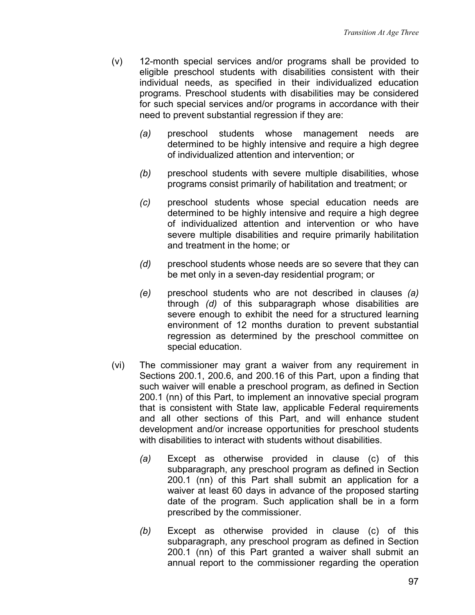- (v) 12-month special services and/or programs shall be provided to eligible preschool students with disabilities consistent with their individual needs, as specified in their individualized education programs. Preschool students with disabilities may be considered for such special services and/or programs in accordance with their need to prevent substantial regression if they are:
	- *(a)* preschool students whose management needs are determined to be highly intensive and require a high degree of individualized attention and intervention; or
	- *(b)* preschool students with severe multiple disabilities, whose programs consist primarily of habilitation and treatment; or
	- *(c)* preschool students whose special education needs are determined to be highly intensive and require a high degree of individualized attention and intervention or who have severe multiple disabilities and require primarily habilitation and treatment in the home; or
	- *(d)* preschool students whose needs are so severe that they can be met only in a seven-day residential program; or
	- *(e)* preschool students who are not described in clauses *(a)* through *(d)* of this subparagraph whose disabilities are severe enough to exhibit the need for a structured learning environment of 12 months duration to prevent substantial regression as determined by the preschool committee on special education.
- (vi) The commissioner may grant a waiver from any requirement in Sections 200.1, 200.6, and 200.16 of this Part, upon a finding that such waiver will enable a preschool program, as defined in Section 200.1 (nn) of this Part, to implement an innovative special program that is consistent with State law, applicable Federal requirements and all other sections of this Part, and will enhance student development and/or increase opportunities for preschool students with disabilities to interact with students without disabilities.
	- *(a)* Except as otherwise provided in clause (c) of this subparagraph, any preschool program as defined in Section 200.1 (nn) of this Part shall submit an application for a waiver at least 60 days in advance of the proposed starting date of the program. Such application shall be in a form prescribed by the commissioner.
	- *(b)* Except as otherwise provided in clause (c) of this subparagraph, any preschool program as defined in Section 200.1 (nn) of this Part granted a waiver shall submit an annual report to the commissioner regarding the operation